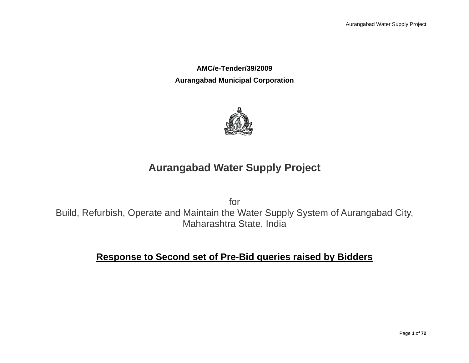**AMC/e-Tender/39/2009 Aurangabad Municipal Corporation**



## **Aurangabad Water Supply Project**

for Build, Refurbish, Operate and Maintain the Water Supply System of Aurangabad City, Maharashtra State, India

## **Response to Second set of Pre-Bid queries raised by Bidders**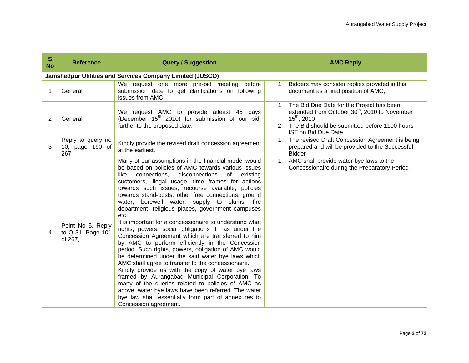| S<br><b>No</b> | <b>Reference</b>                                  | <b>Query / Suggestion</b>                                                                                                                                                                                                                                                                                                                                                                                                                                                                                                                                                                                                                                                                                                                                                                                                                                                                                                                                                                                                                                                                                                                               | <b>AMC Reply</b>                                                                                                                                                                                                |
|----------------|---------------------------------------------------|---------------------------------------------------------------------------------------------------------------------------------------------------------------------------------------------------------------------------------------------------------------------------------------------------------------------------------------------------------------------------------------------------------------------------------------------------------------------------------------------------------------------------------------------------------------------------------------------------------------------------------------------------------------------------------------------------------------------------------------------------------------------------------------------------------------------------------------------------------------------------------------------------------------------------------------------------------------------------------------------------------------------------------------------------------------------------------------------------------------------------------------------------------|-----------------------------------------------------------------------------------------------------------------------------------------------------------------------------------------------------------------|
|                |                                                   | Jamshedpur Utilities and Services Company Limited (JUSCO)                                                                                                                                                                                                                                                                                                                                                                                                                                                                                                                                                                                                                                                                                                                                                                                                                                                                                                                                                                                                                                                                                               |                                                                                                                                                                                                                 |
| 1              | General                                           | We request one more pre-bid meeting before<br>submission date to get clarifications on following<br>issues from AMC.                                                                                                                                                                                                                                                                                                                                                                                                                                                                                                                                                                                                                                                                                                                                                                                                                                                                                                                                                                                                                                    | Bidders may consider replies provided in this<br>1.<br>document as a final position of AMC;                                                                                                                     |
| 2              | General                                           | We request AMC to provide atleast 45 days<br>(December 15 <sup>th</sup> 2010) for submission of our bid,<br>further to the proposed date.                                                                                                                                                                                                                                                                                                                                                                                                                                                                                                                                                                                                                                                                                                                                                                                                                                                                                                                                                                                                               | The Bid Due Date for the Project has been<br>extended from October 30 <sup>th</sup> , 2010 to November<br>$15^{th}$ , 2010<br>The Bid should be submitted before 1100 hours<br>2.<br><b>IST on Bid Due Date</b> |
| 3              | Reply to query no<br>10, page 160 of<br>267       | Kindly provide the revised draft concession agreement<br>at the earliest.                                                                                                                                                                                                                                                                                                                                                                                                                                                                                                                                                                                                                                                                                                                                                                                                                                                                                                                                                                                                                                                                               | The revised Draft Concession Agreement is being<br>1.<br>prepared and will be provided to the Successful<br><b>Bidder</b>                                                                                       |
| 4              | Point No 5, Reply<br>to Q 31, Page 101<br>of 267, | Many of our assumptions in the financial model would<br>be based on policies of AMC towards various issues<br>like<br>connections,<br>disconnections<br>of<br>existing<br>customers, illegal usage, time frames for actions<br>towards such issues, recourse available, policies<br>towards stand-posts, other free connections, ground<br>borewell water, supply to slums, fire<br>water.<br>department, religious places, government campuses<br>etc.<br>It is important for a concessionaire to understand what<br>rights, powers, social obligations it has under the<br>Concession Agreement which are transferred to him<br>by AMC to perform efficiently in the Concession<br>period. Such rights, powers, obligation of AMC would<br>be determined under the said water bye laws which<br>AMC shall agree to transfer to the concessionaire.<br>Kindly provide us with the copy of water bye laws<br>framed by Aurangabad Municipal Corporation. To<br>many of the queries related to policies of AMC as<br>above, water bye laws have been referred. The water<br>bye law shall essentially form part of annexures to<br>Concession agreement. | AMC shall provide water bye laws to the<br>$1_{\cdot}$<br>Concessionaire during the Preparatory Period                                                                                                          |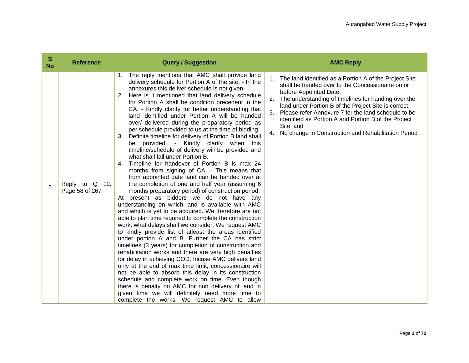| S<br><b>No</b> | <b>Reference</b>                 | <b>Query / Suggestion</b>                                                                                                                                                                                                                                                                                                                                                                                                                                                                                                                                                                                                                                                                                                                                                                                                                                                                                                                                                                                                                                                                                                                                                                                                                                                                                                                                                                                                                                                                                                                                                                                                                                                                                                                                                                                                                                                  | <b>AMC Reply</b>                                                                                                                                                                                                                                                                                                                                                                                                                                            |
|----------------|----------------------------------|----------------------------------------------------------------------------------------------------------------------------------------------------------------------------------------------------------------------------------------------------------------------------------------------------------------------------------------------------------------------------------------------------------------------------------------------------------------------------------------------------------------------------------------------------------------------------------------------------------------------------------------------------------------------------------------------------------------------------------------------------------------------------------------------------------------------------------------------------------------------------------------------------------------------------------------------------------------------------------------------------------------------------------------------------------------------------------------------------------------------------------------------------------------------------------------------------------------------------------------------------------------------------------------------------------------------------------------------------------------------------------------------------------------------------------------------------------------------------------------------------------------------------------------------------------------------------------------------------------------------------------------------------------------------------------------------------------------------------------------------------------------------------------------------------------------------------------------------------------------------------|-------------------------------------------------------------------------------------------------------------------------------------------------------------------------------------------------------------------------------------------------------------------------------------------------------------------------------------------------------------------------------------------------------------------------------------------------------------|
| 5              | Reply to Q 12,<br>Page 58 of 267 | The reply mentions that AMC shall provide land<br>1.<br>delivery schedule for Portion A of the site. - In the<br>annexures this deliver schedule is not given.<br>Here is it mentioned that land delivery schedule<br>2.<br>for Portion A shall be condition precedent in the<br>CA. - Kindly clarify for better understanding that<br>land identified under Portion A will be handed<br>over/ delivered during the preparatory period as<br>per schedule provided to us at the time of bidding.<br>Definite timeline for delivery of Portion B land shall<br>3.<br>be provided. - Kindly clarify when this<br>timeline/schedule of delivery will be provided and<br>what shall fall under Portion B.<br>Timeline for handover of Portion B is max 24<br>4.<br>months from signing of CA. - This means that<br>from appointed date land can be handed over at<br>the completion of one and half year (assuming 6<br>months preparatory period) of construction period.<br>At present as bidders we do not have any<br>understanding on which land is available with AMC<br>and which is yet to be acquired. We therefore are not<br>able to plan time required to complete the construction<br>work, what delays shall we consider. We request AMC<br>to kindly provide list of atleast the areas identified<br>under portion A and B. Further the CA has strict<br>timelines (3 years) for completion of construction and<br>rehabilitation works and there are very high penalties<br>for delay in achieving COD. Incase AMC delivers land<br>only at the end of max time limit, concessionaire will<br>not be able to absorb this delay in its construction<br>schedule and complete work on time. Even though<br>there is penalty on AMC for non delivery of land in<br>given time we will definitely need more time to<br>complete the works. We request AMC to allow | 1. The land identified as a Portion A of the Project Site<br>shall be handed over to the Concessionaire on or<br>before Appointed Date;<br>2.<br>The understanding of timelines for handing over the<br>land under Portion B of the Project Site is correct;<br>3.<br>Please refer Annexure 7 for the land schedule to be<br>identified as Portion A and Portion B of the Project<br>Site; and<br>No change in Construction and Rehabilitation Period<br>4. |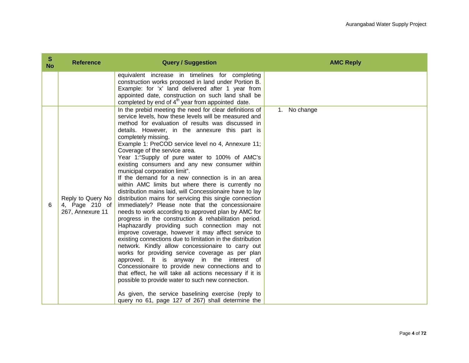| S<br><b>No</b> | <b>Reference</b>                                        | <b>Query / Suggestion</b>                                                                                                                                                                                                                                                                                                                                                                                                                                                                                                                                                                                                                                                                                                                                                                                                                                                                                                                                                                                                                                                                                                                                                                                                                                                                                                                                                                                                                                                                 | <b>AMC Reply</b> |
|----------------|---------------------------------------------------------|-------------------------------------------------------------------------------------------------------------------------------------------------------------------------------------------------------------------------------------------------------------------------------------------------------------------------------------------------------------------------------------------------------------------------------------------------------------------------------------------------------------------------------------------------------------------------------------------------------------------------------------------------------------------------------------------------------------------------------------------------------------------------------------------------------------------------------------------------------------------------------------------------------------------------------------------------------------------------------------------------------------------------------------------------------------------------------------------------------------------------------------------------------------------------------------------------------------------------------------------------------------------------------------------------------------------------------------------------------------------------------------------------------------------------------------------------------------------------------------------|------------------|
|                |                                                         | equivalent increase in timelines for completing<br>construction works proposed in land under Portion B.<br>Example: for 'x' land delivered after 1 year from<br>appointed date, construction on such land shall be<br>completed by end of 4 <sup>th</sup> year from appointed date.                                                                                                                                                                                                                                                                                                                                                                                                                                                                                                                                                                                                                                                                                                                                                                                                                                                                                                                                                                                                                                                                                                                                                                                                       |                  |
| 6              | Reply to Query No<br>4, Page 210 of<br>267, Annexure 11 | In the prebid meeting the need for clear definitions of<br>service levels, how these levels will be measured and<br>method for evaluation of results was discussed in<br>details. However, in the annexure this part is<br>completely missing.<br>Example 1: PreCOD service level no 4, Annexure 11;<br>Coverage of the service area.<br>Year 1:"Supply of pure water to 100% of AMC's<br>existing consumers and any new consumer within<br>municipal corporation limit".<br>If the demand for a new connection is in an area<br>within AMC limits but where there is currently no<br>distribution mains laid, will Concessionaire have to lay<br>distribution mains for servicing this single connection<br>immediately? Please note that the concessionaire<br>needs to work according to approved plan by AMC for<br>progress in the construction & rehabilitation period.<br>Haphazardly providing such connection may not<br>improve coverage, however it may affect service to<br>existing connections due to limitation in the distribution<br>network. Kindly allow concessionaire to carry out<br>works for providing service coverage as per plan<br>approved. It is anyway in the interest of<br>Concessionaire to provide new connections and to<br>that effect, he will take all actions necessary if it is<br>possible to provide water to such new connection.<br>As given, the service baselining exercise (reply to<br>query no 61, page 127 of 267) shall determine the | 1. No change     |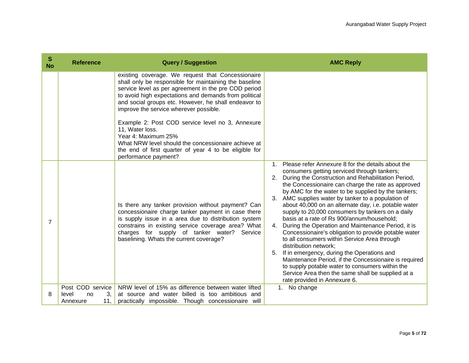| S<br><b>No</b> | <b>Reference</b>                                         | <b>Query / Suggestion</b>                                                                                                                                                                                                                                                                                                                                                                                                                                                                                                                                            | <b>AMC Reply</b>                                                                                                                                                                                                                                                                                                                                                                                                                                                                                                                                                                                                                                                                                                                                                                                                                                                                                                                                       |
|----------------|----------------------------------------------------------|----------------------------------------------------------------------------------------------------------------------------------------------------------------------------------------------------------------------------------------------------------------------------------------------------------------------------------------------------------------------------------------------------------------------------------------------------------------------------------------------------------------------------------------------------------------------|--------------------------------------------------------------------------------------------------------------------------------------------------------------------------------------------------------------------------------------------------------------------------------------------------------------------------------------------------------------------------------------------------------------------------------------------------------------------------------------------------------------------------------------------------------------------------------------------------------------------------------------------------------------------------------------------------------------------------------------------------------------------------------------------------------------------------------------------------------------------------------------------------------------------------------------------------------|
|                |                                                          | existing coverage. We request that Concessionaire<br>shall only be responsible for maintaining the baseline<br>service level as per agreement in the pre COD period<br>to avoid high expectations and demands from political<br>and social groups etc. However, he shall endeavor to<br>improve the service wherever possible.<br>Example 2: Post COD service level no 3, Annexure<br>11, Water loss.<br>Year 4: Maximum 25%<br>What NRW level should the concessionaire achieve at<br>the end of first quarter of year 4 to be eligible for<br>performance payment? |                                                                                                                                                                                                                                                                                                                                                                                                                                                                                                                                                                                                                                                                                                                                                                                                                                                                                                                                                        |
| $\overline{7}$ |                                                          | Is there any tanker provision without payment? Can<br>concessionaire charge tanker payment in case there<br>is supply issue in a area due to distribution system<br>constrains in existing service coverage area? What<br>charges for supply of tanker water?<br>Service<br>baselining. Whats the current coverage?                                                                                                                                                                                                                                                  | Please refer Annexure 8 for the details about the<br>$1_{-}$<br>consumers getting serviced through tankers;<br>2. During the Construction and Rehabilitation Period,<br>the Concessionaire can charge the rate as approved<br>by AMC for the water to be supplied by the tankers;<br>AMC supplies water by tanker to a population of<br>3.<br>about 40,000 on an alternate day, i.e. potable water<br>supply to 20,000 consumers by tankers on a daily<br>basis at a rate of Rs 900/annum/household;<br>During the Operation and Maintenance Period, it is<br>4.<br>Concessionaire's obligation to provide potable water<br>to all consumers within Service Area through<br>distribution network;<br>If in emergency, during the Operations and<br>5.<br>Maintenance Period, if the Concessionaire is required<br>to supply potable water to consumers within the<br>Service Area then the same shall be supplied at a<br>rate provided in Annexure 6. |
| 8              | Post COD service<br>3.<br>level<br>no<br>11,<br>Annexure | NRW level of 15% as difference between water lifted<br>at source and water billed is too ambitious and<br>practically impossible. Though concessionaire<br>will                                                                                                                                                                                                                                                                                                                                                                                                      | 1. No change                                                                                                                                                                                                                                                                                                                                                                                                                                                                                                                                                                                                                                                                                                                                                                                                                                                                                                                                           |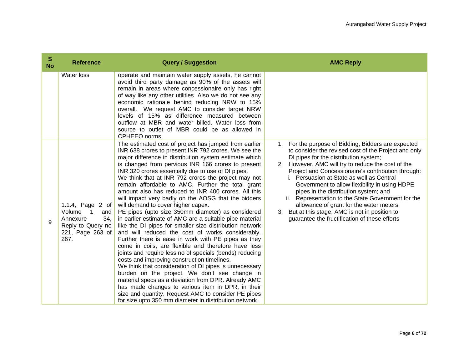| $\mathbf{s}$<br><b>No</b> | <b>Reference</b>                                                                                                     | <b>Query / Suggestion</b>                                                                                                                                                                                                                                                                                                                                                                                                                                                                                                                                                                                                                                                                                                                                                                                                                                                                                                                                                                                                                                                                                                                                                                                                                                                                                                                          | <b>AMC Reply</b>                                                                                                                                                                                                                                                                                                                                                                                                                                                                                                                                                                                                      |
|---------------------------|----------------------------------------------------------------------------------------------------------------------|----------------------------------------------------------------------------------------------------------------------------------------------------------------------------------------------------------------------------------------------------------------------------------------------------------------------------------------------------------------------------------------------------------------------------------------------------------------------------------------------------------------------------------------------------------------------------------------------------------------------------------------------------------------------------------------------------------------------------------------------------------------------------------------------------------------------------------------------------------------------------------------------------------------------------------------------------------------------------------------------------------------------------------------------------------------------------------------------------------------------------------------------------------------------------------------------------------------------------------------------------------------------------------------------------------------------------------------------------|-----------------------------------------------------------------------------------------------------------------------------------------------------------------------------------------------------------------------------------------------------------------------------------------------------------------------------------------------------------------------------------------------------------------------------------------------------------------------------------------------------------------------------------------------------------------------------------------------------------------------|
|                           | Water loss                                                                                                           | operate and maintain water supply assets, he cannot<br>avoid third party damage as 90% of the assets will<br>remain in areas where concessionaire only has right<br>of way like any other utilities. Also we do not see any<br>economic rationale behind reducing NRW to 15%<br>overall. We request AMC to consider target NRW<br>levels of 15% as difference measured between<br>outflow at MBR and water billed. Water loss from<br>source to outlet of MBR could be as allowed in<br>CPHEEO norms.                                                                                                                                                                                                                                                                                                                                                                                                                                                                                                                                                                                                                                                                                                                                                                                                                                              |                                                                                                                                                                                                                                                                                                                                                                                                                                                                                                                                                                                                                       |
| 9                         | 1.1.4, Page 2 of<br>Volume<br>$\mathbf 1$<br>and<br>34,<br>Annexure<br>Reply to Query no<br>221, Page 263 of<br>267. | The estimated cost of project has jumped from earlier<br>INR 638 crores to present INR 792 crores. We see the<br>major difference in distribution system estimate which<br>is changed from pervious INR 166 crores to present<br>INR 320 crores essentially due to use of DI pipes.<br>We think that at INR 792 crores the project may not<br>remain affordable to AMC. Further the total grant<br>amount also has reduced to INR 400 crores. All this<br>will impact very badly on the AOSG that the bidders<br>will demand to cover higher capex.<br>PE pipes (upto size 350mm diameter) as considered<br>in earlier estimate of AMC are a suitable pipe material<br>like the DI pipes for smaller size distribution network<br>and will reduced the cost of works considerably.<br>Further there is ease in work with PE pipes as they<br>come in coils, are flexible and therefore have less<br>joints and require less no of specials (bends) reducing<br>costs and improving construction timelines.<br>We think that consideration of DI pipes is unnecessary<br>burden on the project. We don't see change in<br>material specs as a deviation from DPR. Already AMC<br>has made changes to various item in DPR, in their<br>size and quantity. Request AMC to consider PE pipes<br>for size upto 350 mm diameter in distribution network. | For the purpose of Bidding, Bidders are expected<br>1.<br>to consider the revised cost of the Project and only<br>DI pipes for the distribution system;<br>However, AMC will try to reduce the cost of the<br>2.<br>Project and Concessionaire's contribution through:<br>i. Persuasion at State as well as Central<br>Government to allow flexibility in using HDPE<br>pipes in the distribution system; and<br>ii. Representation to the State Government for the<br>allowance of grant for the water meters<br>But at this stage, AMC is not in position to<br>3.<br>guarantee the fructification of these efforts |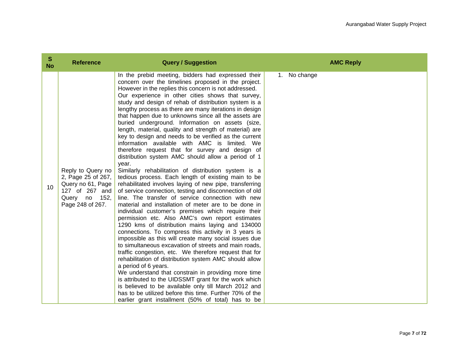| S<br><b>No</b> | <b>Reference</b>                                                                                                          | <b>Query / Suggestion</b>                                                                                                                                                                                                                                                                                                                                                                                                                                                                                                                                                                                                                                                                                                                                                                                                                                                                                                                                                                                                                                                                                                                                                                                                                                                                                                                                                                                                                                                                                                                                                                                                                                                                                                                                                                                                                                                   | <b>AMC Reply</b> |
|----------------|---------------------------------------------------------------------------------------------------------------------------|-----------------------------------------------------------------------------------------------------------------------------------------------------------------------------------------------------------------------------------------------------------------------------------------------------------------------------------------------------------------------------------------------------------------------------------------------------------------------------------------------------------------------------------------------------------------------------------------------------------------------------------------------------------------------------------------------------------------------------------------------------------------------------------------------------------------------------------------------------------------------------------------------------------------------------------------------------------------------------------------------------------------------------------------------------------------------------------------------------------------------------------------------------------------------------------------------------------------------------------------------------------------------------------------------------------------------------------------------------------------------------------------------------------------------------------------------------------------------------------------------------------------------------------------------------------------------------------------------------------------------------------------------------------------------------------------------------------------------------------------------------------------------------------------------------------------------------------------------------------------------------|------------------|
| 10             | Reply to Query no<br>2, Page 25 of 267,<br>Query no 61, Page<br>127 of 267 and<br>152,<br>Query<br>no<br>Page 248 of 267. | In the prebid meeting, bidders had expressed their<br>concern over the timelines proposed in the project.<br>However in the replies this concern is not addressed.<br>Our experience in other cities shows that survey,<br>study and design of rehab of distribution system is a<br>lengthy process as there are many iterations in design<br>that happen due to unknowns since all the assets are<br>buried underground. Information on assets (size,<br>length, material, quality and strength of material) are<br>key to design and needs to be verified as the current<br>information available with AMC is limited. We<br>therefore request that for survey and design of<br>distribution system AMC should allow a period of 1<br>year.<br>Similarly rehabilitation of distribution system is a<br>tedious process. Each length of existing main to be<br>rehabilitated involves laying of new pipe, transferring<br>of service connection, testing and disconnection of old<br>line. The transfer of service connection with new<br>material and installation of meter are to be done in<br>individual customer's premises which require their<br>permission etc. Also AMC's own report estimates<br>1290 kms of distribution mains laying and 134000<br>connections. To compress this activity in 3 years is<br>impossible as this will create many social issues due<br>to simultaneous excavation of streets and main roads,<br>traffic congestion, etc. We therefore request that for<br>rehabilitation of distribution system AMC should allow<br>a period of 6 years.<br>We understand that constrain in providing more time<br>is attributed to the UIDSSMT grant for the work which<br>is believed to be available only till March 2012 and<br>has to be utilized before this time. Further 70% of the<br>earlier grant installment (50% of total) has to be | 1. No change     |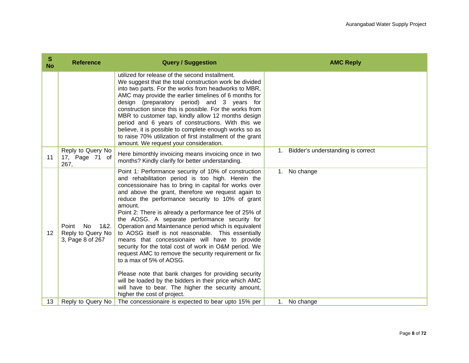| S<br><b>No</b> | <b>Reference</b>                                              | <b>Query / Suggestion</b>                                                                                                                                                                                                                                                                                                                                                                                                                                                                                                                                                                                                                                                                                                                                                                                                                                                                                            | <b>AMC Reply</b>                        |
|----------------|---------------------------------------------------------------|----------------------------------------------------------------------------------------------------------------------------------------------------------------------------------------------------------------------------------------------------------------------------------------------------------------------------------------------------------------------------------------------------------------------------------------------------------------------------------------------------------------------------------------------------------------------------------------------------------------------------------------------------------------------------------------------------------------------------------------------------------------------------------------------------------------------------------------------------------------------------------------------------------------------|-----------------------------------------|
|                |                                                               | utilized for release of the second installment.<br>We suggest that the total construction work be divided<br>into two parts. For the works from headworks to MBR,<br>AMC may provide the earlier timelines of 6 months for<br>design (preparatory period) and 3 years for<br>construction since this is possible. For the works from<br>MBR to customer tap, kindly allow 12 months design<br>period and 6 years of constructions. With this we<br>believe, it is possible to complete enough works so as<br>to raise 70% utilization of first installment of the grant<br>amount. We request your consideration.                                                                                                                                                                                                                                                                                                    |                                         |
| 11             | Reply to Query No<br>17, Page 71 of<br>267,                   | Here bimonthly invoicing means invoicing once in two<br>months? Kindly clarify for better understanding.                                                                                                                                                                                                                                                                                                                                                                                                                                                                                                                                                                                                                                                                                                                                                                                                             | Bidder's understanding is correct<br>1. |
| 12             | Point<br>No.<br>1&2.<br>Reply to Query No<br>3, Page 8 of 267 | Point 1: Performance security of 10% of construction<br>and rehabilitation period is too high. Herein the<br>concessionaire has to bring in capital for works over<br>and above the grant, therefore we request again to<br>reduce the performance security to 10% of grant<br>amount.<br>Point 2: There is already a performance fee of 25% of<br>the AOSG. A separate performance security for<br>Operation and Maintenance period which is equivalent<br>to AOSG itself is not reasonable. This essentially<br>means that concessionaire will have to provide<br>security for the total cost of work in O&M period. We<br>request AMC to remove the security requirement or fix<br>to a max of 5% of AOSG.<br>Please note that bank charges for providing security<br>will be loaded by the bidders in their price which AMC<br>will have to bear. The higher the security amount,<br>higher the cost of project. | 1. No change                            |
| 13             | Reply to Query No                                             | The concessionaire is expected to bear upto 15% per                                                                                                                                                                                                                                                                                                                                                                                                                                                                                                                                                                                                                                                                                                                                                                                                                                                                  | No change<br>1.                         |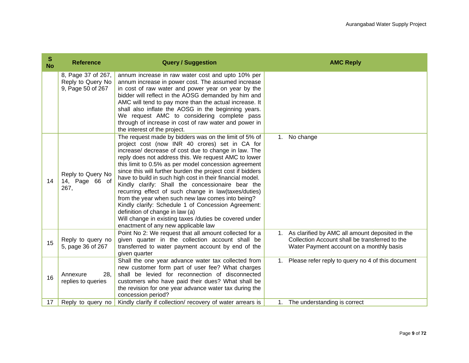| S<br><b>No</b> | <b>Reference</b>                                             | <b>Query / Suggestion</b>                                                                                                                                                                                                                                                                                                                                                                                                                                                                                                                                                                                                                                                                                                                                               | <b>AMC Reply</b>                                                                                                                                 |
|----------------|--------------------------------------------------------------|-------------------------------------------------------------------------------------------------------------------------------------------------------------------------------------------------------------------------------------------------------------------------------------------------------------------------------------------------------------------------------------------------------------------------------------------------------------------------------------------------------------------------------------------------------------------------------------------------------------------------------------------------------------------------------------------------------------------------------------------------------------------------|--------------------------------------------------------------------------------------------------------------------------------------------------|
|                | 8, Page 37 of 267,<br>Reply to Query No<br>9, Page 50 of 267 | annum increase in raw water cost and upto 10% per<br>annum increase in power cost. The assumed increase<br>in cost of raw water and power year on year by the<br>bidder will reflect in the AOSG demanded by him and<br>AMC will tend to pay more than the actual increase. It<br>shall also inflate the AOSG in the beginning years.<br>We request AMC to considering complete pass<br>through of increase in cost of raw water and power in<br>the interest of the project.                                                                                                                                                                                                                                                                                           |                                                                                                                                                  |
| 14             | Reply to Query No<br>14, Page 66 of<br>267,                  | The request made by bidders was on the limit of 5% of<br>project cost (now INR 40 crores) set in CA for<br>increase/ decrease of cost due to change in law. The<br>reply does not address this. We request AMC to lower<br>this limit to 0.5% as per model concession agreement<br>since this will further burden the project cost if bidders<br>have to build in such high cost in their financial model.<br>Kindly clarify: Shall the concessionaire bear the<br>recurring effect of such change in law(taxes/duties)<br>from the year when such new law comes into being?<br>Kindly clarify: Schedule 1 of Concession Agreement:<br>definition of change in law (a)<br>Will change in existing taxes /duties be covered under<br>enactment of any new applicable law | No change<br>1.                                                                                                                                  |
| 15             | Reply to query no<br>5, page 36 of 267                       | Point No 2: We request that all amount collected for a<br>given quarter in the collection account shall be<br>transferred to water payment account by end of the<br>given quarter                                                                                                                                                                                                                                                                                                                                                                                                                                                                                                                                                                                       | 1. As clarified by AMC all amount deposited in the<br>Collection Account shall be transferred to the<br>Water Payment account on a monthly basis |
| 16             | Annexure<br>28.<br>replies to queries                        | Shall the one year advance water tax collected from<br>new customer form part of user fee? What charges<br>shall be levied for reconnection of disconnected<br>customers who have paid their dues? What shall be<br>the revision for one year advance water tax during the<br>concession period?                                                                                                                                                                                                                                                                                                                                                                                                                                                                        | Please refer reply to query no 4 of this document<br>$1_{\cdot}$                                                                                 |
| 17             | Reply to query no                                            | Kindly clarify if collection/ recovery of water arrears is                                                                                                                                                                                                                                                                                                                                                                                                                                                                                                                                                                                                                                                                                                              | 1. The understanding is correct                                                                                                                  |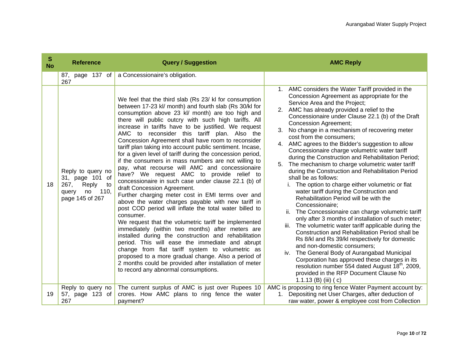| S<br><b>No</b> | <b>Reference</b>                                                                                      | <b>Query / Suggestion</b>                                                                                                                                                                                                                                                                                                                                                                                                                                                                                                                                                                                                                                                                                                                                                                                                                                                                                                                                                                                                                                                                                                                                                                                                                                                                                                                                                              | <b>AMC Reply</b>                                                                                                                                                                                                                                                                                                                                                                                                                                                                                                                                                                                                                                                                                                                                                                                                                                                                                                                                                                                                                                                                                                                                                                                                                                                                                                                                |
|----------------|-------------------------------------------------------------------------------------------------------|----------------------------------------------------------------------------------------------------------------------------------------------------------------------------------------------------------------------------------------------------------------------------------------------------------------------------------------------------------------------------------------------------------------------------------------------------------------------------------------------------------------------------------------------------------------------------------------------------------------------------------------------------------------------------------------------------------------------------------------------------------------------------------------------------------------------------------------------------------------------------------------------------------------------------------------------------------------------------------------------------------------------------------------------------------------------------------------------------------------------------------------------------------------------------------------------------------------------------------------------------------------------------------------------------------------------------------------------------------------------------------------|-------------------------------------------------------------------------------------------------------------------------------------------------------------------------------------------------------------------------------------------------------------------------------------------------------------------------------------------------------------------------------------------------------------------------------------------------------------------------------------------------------------------------------------------------------------------------------------------------------------------------------------------------------------------------------------------------------------------------------------------------------------------------------------------------------------------------------------------------------------------------------------------------------------------------------------------------------------------------------------------------------------------------------------------------------------------------------------------------------------------------------------------------------------------------------------------------------------------------------------------------------------------------------------------------------------------------------------------------|
|                | 87, page 137 of<br>267                                                                                | a Concessionaire's obligation.                                                                                                                                                                                                                                                                                                                                                                                                                                                                                                                                                                                                                                                                                                                                                                                                                                                                                                                                                                                                                                                                                                                                                                                                                                                                                                                                                         |                                                                                                                                                                                                                                                                                                                                                                                                                                                                                                                                                                                                                                                                                                                                                                                                                                                                                                                                                                                                                                                                                                                                                                                                                                                                                                                                                 |
| 18             | Reply to query no<br>31, page 101 of<br>267,<br>Reply<br>to<br>110,<br>query<br>no<br>page 145 of 267 | We feel that the third slab (Rs 23/ kl for consumption<br>between 17-23 kl/ month) and fourth slab (Rs 30/kl for<br>consumption above 23 kl/ month) are too high and<br>there will public outcry with such high tariffs. All<br>increase in tariffs have to be justified. We request<br>AMC to reconsider this tariff plan. Also the<br>Concession Agreement shall have room to reconsider<br>tariff plan taking into account public sentiment. Incase,<br>for a given level of tariff during the concession period,<br>if the consumers in mass numbers are not willing to<br>pay, what recourse will AMC and concessionaire<br>have? We request AMC to provide relief to<br>concessionaire in such case under clause 22.1 (b) of<br>draft Concession Agreement.<br>Further charging meter cost in EMI terms over and<br>above the water charges payable with new tariff in<br>post COD period will inflate the total water billed to<br>consumer.<br>We request that the volumetric tariff be implemented<br>immediately (within two months) after meters are<br>installed during the construction and rehabilitation<br>period. This will ease the immediate and abrupt<br>change from flat tariff system to volumetric as<br>proposed to a more gradual change. Also a period of<br>2 months could be provided after installation of meter<br>to record any abnormal consumptions. | 1. AMC considers the Water Tariff provided in the<br>Concession Agreement as appropriate for the<br>Service Area and the Project;<br>2. AMC has already provided a relief to the<br>Concessionaire under Clause 22.1 (b) of the Draft<br><b>Concession Agreement;</b><br>No change in a mechanism of recovering meter<br>3.<br>cost from the consumers;<br>AMC agrees to the Bidder's suggestion to allow<br>4.<br>Concessionaire charge volumetric water tariff<br>during the Construction and Rehabilitation Period;<br>The mechanism to charge volumetric water tariff<br>5.<br>during the Construction and Rehabilitation Period<br>shall be as follows:<br>i. The option to charge either volumetric or flat<br>water tariff during the Construction and<br>Rehabilitation Period will be with the<br>Concessionaire;<br>ii. The Concessionaire can charge volumetric tariff<br>only after 3 months of installation of such meter;<br>iii. The volumetric water tariff applicable during the<br>Construction and Rehabilitation Period shall be<br>Rs 8/kl and Rs 39/kl respectively for domestic<br>and non-domestic consumers;<br>iv. The General Body of Aurangabad Municipal<br>Corporation has approved these charges in its<br>resolution number 554 dated August 18 <sup>th</sup> , 2009,<br>provided in the RFP Document Clause No |
|                |                                                                                                       |                                                                                                                                                                                                                                                                                                                                                                                                                                                                                                                                                                                                                                                                                                                                                                                                                                                                                                                                                                                                                                                                                                                                                                                                                                                                                                                                                                                        | 1.1.13 (B) (iii) (c)                                                                                                                                                                                                                                                                                                                                                                                                                                                                                                                                                                                                                                                                                                                                                                                                                                                                                                                                                                                                                                                                                                                                                                                                                                                                                                                            |
| 19             | Reply to query no<br>57, page 123 of<br>267                                                           | The current surplus of AMC is just over Rupees 10<br>crores. How AMC plans to ring fence the water<br>payment?                                                                                                                                                                                                                                                                                                                                                                                                                                                                                                                                                                                                                                                                                                                                                                                                                                                                                                                                                                                                                                                                                                                                                                                                                                                                         | AMC is proposing to ring fence Water Payment account by:<br>Depositing net User Charges, after deduction of<br>$1_{\cdot}$<br>raw water, power & employee cost from Collection                                                                                                                                                                                                                                                                                                                                                                                                                                                                                                                                                                                                                                                                                                                                                                                                                                                                                                                                                                                                                                                                                                                                                                  |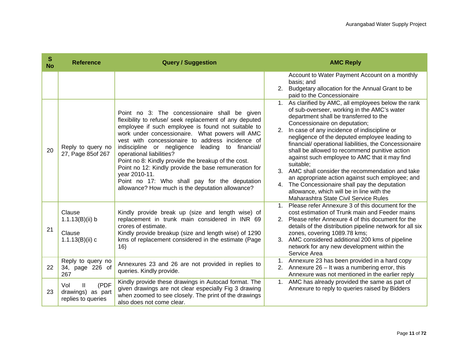| S<br><b>No</b> | <b>Reference</b>                                            | <b>Query / Suggestion</b>                                                                                                                                                                                                                                                                                                                                                                                                                                                                                                                                                                  | <b>AMC Reply</b>                                                                                                                                                                                                                                                                                                                                                                                                                                                                                                                                                                                                                                                                                           |
|----------------|-------------------------------------------------------------|--------------------------------------------------------------------------------------------------------------------------------------------------------------------------------------------------------------------------------------------------------------------------------------------------------------------------------------------------------------------------------------------------------------------------------------------------------------------------------------------------------------------------------------------------------------------------------------------|------------------------------------------------------------------------------------------------------------------------------------------------------------------------------------------------------------------------------------------------------------------------------------------------------------------------------------------------------------------------------------------------------------------------------------------------------------------------------------------------------------------------------------------------------------------------------------------------------------------------------------------------------------------------------------------------------------|
|                |                                                             |                                                                                                                                                                                                                                                                                                                                                                                                                                                                                                                                                                                            | Account to Water Payment Account on a monthly<br>basis; and<br>2. Budgetary allocation for the Annual Grant to be<br>paid to the Concessionaire                                                                                                                                                                                                                                                                                                                                                                                                                                                                                                                                                            |
| 20             | Reply to query no<br>27, Page 85of 267                      | Point no 3: The concessionaire shall be given<br>flexibility to refuse/ seek replacement of any deputed<br>employee if such employee is found not suitable to<br>work under concessionaire. What powers will AMC<br>vest with concessionaire to address incidence of<br>indiscipline or negligence leading to financial/<br>operational liabilities?<br>Point no 8: Kindly provide the breakup of the cost.<br>Point no 12: Kindly provide the base remuneration for<br>year 2010-11.<br>Point no 17: Who shall pay for the deputation<br>allowance? How much is the deputation allowance? | 1. As clarified by AMC, all employees below the rank<br>of sub-overseer, working in the AMC's water<br>department shall be transferred to the<br>Concessionaire on deputation;<br>2. In case of any incidence of indiscipline or<br>negligence of the deputed employee leading to<br>financial/operational liabilities, the Concessionaire<br>shall be allowed to recommend punitive action<br>against such employee to AMC that it may find<br>suitable;<br>3. AMC shall consider the recommendation and take<br>an appropriate action against such employee; and<br>4. The Concessionaire shall pay the deputation<br>allowance, which will be in line with the<br>Maharashtra State Civil Service Rules |
| 21             | Clause<br>1.1.13(B)(ii) b<br>Clause<br>$1.1.13(B)(ii)$ c    | Kindly provide break up (size and length wise) of<br>replacement in trunk main considered in INR 69<br>crores of estimate.<br>Kindly provide breakup (size and length wise) of 1290<br>kms of replacement considered in the estimate (Page<br>16)                                                                                                                                                                                                                                                                                                                                          | 1. Please refer Annexure 3 of this document for the<br>cost estimation of Trunk main and Feeder mains<br>2. Please refer Annexure 4 of this document for the<br>details of the distribution pipeline network for all six<br>zones, covering 1089.78 kms;<br>3. AMC considered additional 200 kms of pipeline<br>network for any new development within the<br>Service Area                                                                                                                                                                                                                                                                                                                                 |
| 22             | Reply to query no<br>34, page 226 of<br>267                 | Annexures 23 and 26 are not provided in replies to<br>queries. Kindly provide.                                                                                                                                                                                                                                                                                                                                                                                                                                                                                                             | 1. Annexure 23 has been provided in a hard copy<br>2. Annexure $26 - It$ was a numbering error, this<br>Annexure was not mentioned in the earlier reply                                                                                                                                                                                                                                                                                                                                                                                                                                                                                                                                                    |
| 23             | (PDF<br>Vol<br>Ш<br>drawings) as part<br>replies to queries | Kindly provide these drawings in Autocad format. The<br>given drawings are not clear especially Fig 3 drawing<br>when zoomed to see closely. The print of the drawings<br>also does not come clear.                                                                                                                                                                                                                                                                                                                                                                                        | 1. AMC has already provided the same as part of<br>Annexure to reply to queries raised by Bidders                                                                                                                                                                                                                                                                                                                                                                                                                                                                                                                                                                                                          |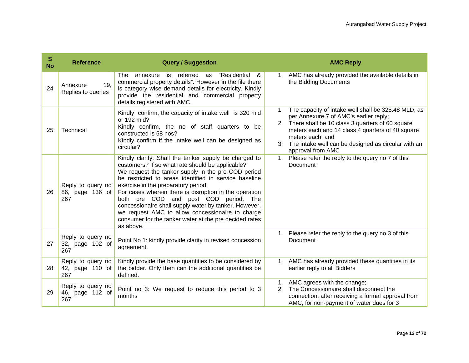| S<br><b>No</b> | <b>Reference</b>                            | <b>Query / Suggestion</b>                                                                                                                                                                                                                                                                                                                                                                                                                                                                                                                              | <b>AMC Reply</b>                                                                                                                                                                                                                                                                                                    |
|----------------|---------------------------------------------|--------------------------------------------------------------------------------------------------------------------------------------------------------------------------------------------------------------------------------------------------------------------------------------------------------------------------------------------------------------------------------------------------------------------------------------------------------------------------------------------------------------------------------------------------------|---------------------------------------------------------------------------------------------------------------------------------------------------------------------------------------------------------------------------------------------------------------------------------------------------------------------|
| 24             | 19,<br>Annexure<br>Replies to queries       | is referred as<br>"Residential &<br><b>The</b><br>annexure<br>commercial property details". However in the file there<br>is category wise demand details for electricity. Kindly<br>provide the residential and commercial property<br>details registered with AMC.                                                                                                                                                                                                                                                                                    | 1. AMC has already provided the available details in<br>the Bidding Documents                                                                                                                                                                                                                                       |
| 25             | Technical                                   | Kindly confirm, the capacity of intake well is 320 mld<br>or 192 mld?<br>Kindly confirm, the no of staff quarters to be<br>constructed is 58 nos?<br>Kindly confirm if the intake well can be designed as<br>circular?                                                                                                                                                                                                                                                                                                                                 | The capacity of intake well shall be 325.48 MLD, as<br>1.<br>per Annexure 7 of AMC's earlier reply;<br>2. There shall be 10 class 3 quarters of 60 square<br>meters each and 14 class 4 quarters of 40 square<br>meters each; and<br>The intake well can be designed as circular with an<br>3.<br>approval from AMC |
| 26             | Reply to query no<br>86, page 136 of<br>267 | Kindly clarify: Shall the tanker supply be charged to<br>customers? If so what rate should be applicable?<br>We request the tanker supply in the pre COD period<br>be restricted to areas identified in service baseline<br>exercise in the preparatory period.<br>For cases wherein there is disruption in the operation<br>both pre COD and post COD period, The<br>concessionaire shall supply water by tanker. However,<br>we request AMC to allow concessionaire to charge<br>consumer for the tanker water at the pre decided rates<br>as above. | 1. Please refer the reply to the query no 7 of this<br>Document                                                                                                                                                                                                                                                     |
| 27             | Reply to query no<br>32, page 102 of<br>267 | Point No 1: kindly provide clarity in revised concession<br>agreement.                                                                                                                                                                                                                                                                                                                                                                                                                                                                                 | 1. Please refer the reply to the query no 3 of this<br>Document                                                                                                                                                                                                                                                     |
| 28             | Reply to query no<br>42, page 110 of<br>267 | Kindly provide the base quantities to be considered by<br>the bidder. Only then can the additional quantities be<br>defined.                                                                                                                                                                                                                                                                                                                                                                                                                           | 1. AMC has already provided these quantities in its<br>earlier reply to all Bidders                                                                                                                                                                                                                                 |
| 29             | Reply to query no<br>46, page 112 of<br>267 | Point no 3: We request to reduce this period to 3<br>months                                                                                                                                                                                                                                                                                                                                                                                                                                                                                            | AMC agrees with the change;<br>$1_{\cdot}$<br>The Concessionaire shall disconnect the<br>2.<br>connection, after receiving a formal approval from<br>AMC, for non-payment of water dues for 3                                                                                                                       |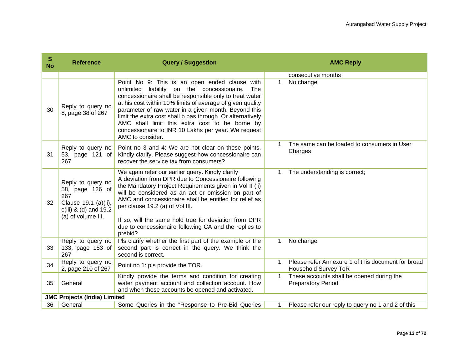| S<br><b>No</b> | <b>Reference</b>                                                                                                     | <b>Query / Suggestion</b>                                                                                                                                                                                                                                                                                                                                                                                                                                                            |         | <b>AMC Reply</b>                                                                     |
|----------------|----------------------------------------------------------------------------------------------------------------------|--------------------------------------------------------------------------------------------------------------------------------------------------------------------------------------------------------------------------------------------------------------------------------------------------------------------------------------------------------------------------------------------------------------------------------------------------------------------------------------|---------|--------------------------------------------------------------------------------------|
|                |                                                                                                                      |                                                                                                                                                                                                                                                                                                                                                                                                                                                                                      |         | consecutive months                                                                   |
| 30             | Reply to query no<br>8, page 38 of 267                                                                               | Point No 9: This is an open ended clause with<br>unlimited liability on the concessionaire.<br><b>The</b><br>concessionaire shall be responsible only to treat water<br>at his cost within 10% limits of average of given quality<br>parameter of raw water in a given month. Beyond this<br>limit the extra cost shall b pas through. Or alternatively<br>AMC shall limit this extra cost to be borne by<br>concessionaire to INR 10 Lakhs per year. We request<br>AMC to consider. | 1.      | No change                                                                            |
| 31             | Reply to query no<br>53, page 121 of<br>267                                                                          | Point no 3 and 4: We are not clear on these points.<br>Kindly clarify. Please suggest how concessionaire can<br>recover the service tax from consumers?                                                                                                                                                                                                                                                                                                                              | $1_{-}$ | The same can be loaded to consumers in User<br>Charges                               |
| 32             | Reply to query no<br>58, page 126 of<br>267<br>Clause 19.1 (a)(ii),<br>$c(iii)$ & (d) and 19.2<br>(a) of volume III. | We again refer our earlier query. Kindly clarify<br>A deviation from DPR due to Concessionaire following<br>the Mandatory Project Requirements given in Vol II (ii)<br>will be considered as an act or omission on part of<br>AMC and concessionaire shall be entitled for relief as<br>per clause 19.2 (a) of Vol III.<br>If so, will the same hold true for deviation from DPR<br>due to concessionaire following CA and the replies to<br>prebid?                                 |         | 1. The understanding is correct;                                                     |
| 33             | Reply to query no<br>133, page 153 of<br>267                                                                         | Pls clarify whether the first part of the example or the<br>second part is correct in the query. We think the<br>second is correct.                                                                                                                                                                                                                                                                                                                                                  |         | 1. No change                                                                         |
| 34             | Reply to query no<br>2, page 210 of 267                                                                              | Point no 1: pls provide the TOR.                                                                                                                                                                                                                                                                                                                                                                                                                                                     |         | 1. Please refer Annexure 1 of this document for broad<br><b>Household Survey ToR</b> |
| 35             | General                                                                                                              | Kindly provide the terms and condition for creating<br>water payment account and collection account. How<br>and when these accounts be opened and activated.                                                                                                                                                                                                                                                                                                                         |         | 1. These accounts shall be opened during the<br><b>Preparatory Period</b>            |
|                | <b>JMC Projects (India) Limited</b>                                                                                  |                                                                                                                                                                                                                                                                                                                                                                                                                                                                                      |         |                                                                                      |
| 36             | General                                                                                                              | Some Queries in the "Response to Pre-Bid Queries                                                                                                                                                                                                                                                                                                                                                                                                                                     |         | 1. Please refer our reply to query no 1 and 2 of this                                |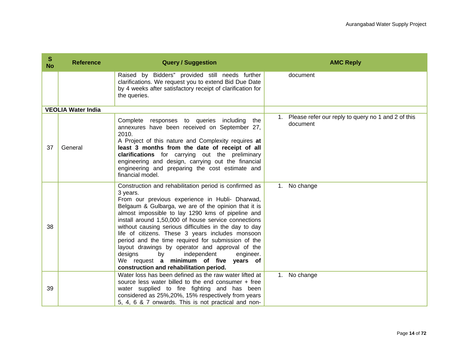| S<br><b>No</b> | <b>Reference</b>          | <b>Query / Suggestion</b>                                                                                                                                                                                                                                                                                                                                                                                                                                                                                                                                                                                                                          | <b>AMC Reply</b>                                                  |
|----------------|---------------------------|----------------------------------------------------------------------------------------------------------------------------------------------------------------------------------------------------------------------------------------------------------------------------------------------------------------------------------------------------------------------------------------------------------------------------------------------------------------------------------------------------------------------------------------------------------------------------------------------------------------------------------------------------|-------------------------------------------------------------------|
|                |                           | Raised by Bidders" provided still needs further<br>clarifications. We request you to extend Bid Due Date<br>by 4 weeks after satisfactory receipt of clarification for<br>the queries.                                                                                                                                                                                                                                                                                                                                                                                                                                                             | document                                                          |
|                | <b>VEOLIA Water India</b> |                                                                                                                                                                                                                                                                                                                                                                                                                                                                                                                                                                                                                                                    |                                                                   |
| 37             | General                   | Complete responses to queries including the<br>annexures have been received on September 27,<br>2010.<br>A Project of this nature and Complexity requires at<br>least 3 months from the date of receipt of all<br>clarifications for carrying out the preliminary<br>engineering and design, carrying out the financial<br>engineering and preparing the cost estimate and<br>financial model.                                                                                                                                                                                                                                                     | 1. Please refer our reply to query no 1 and 2 of this<br>document |
| 38             |                           | Construction and rehabilitation period is confirmed as<br>3 years.<br>From our previous experience in Hubli- Dharwad,<br>Belgaum & Gulbarga, we are of the opinion that it is<br>almost impossible to lay 1290 kms of pipeline and<br>install around 1,50,000 of house service connections<br>without causing serious difficulties in the day to day<br>life of citizens. These 3 years includes monsoon<br>period and the time required for submission of the<br>layout drawings by operator and approval of the<br>independent<br>designs<br>by<br>engineer.<br>We request a minimum of five years of<br>construction and rehabilitation period. | 1. No change                                                      |
| 39             |                           | Water loss has been defined as the raw water lifted at<br>source less water billed to the end consumer + free<br>water supplied to fire fighting and has been<br>considered as 25%, 20%, 15% respectively from years<br>5, 4, 6 & 7 onwards. This is not practical and non-                                                                                                                                                                                                                                                                                                                                                                        | 1. No change                                                      |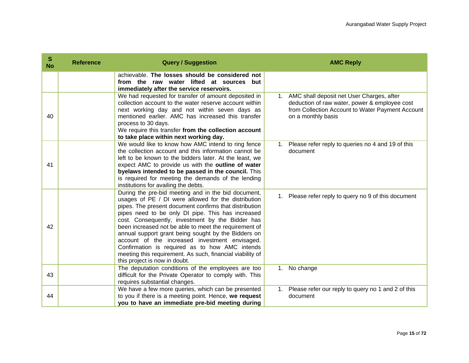| S<br><b>No</b> | <b>Reference</b> | <b>Query / Suggestion</b>                                                                                                                                                                                                                                                                                                                                                                                                                                                                                                                                                                       | <b>AMC Reply</b>                                                                                                                                                        |
|----------------|------------------|-------------------------------------------------------------------------------------------------------------------------------------------------------------------------------------------------------------------------------------------------------------------------------------------------------------------------------------------------------------------------------------------------------------------------------------------------------------------------------------------------------------------------------------------------------------------------------------------------|-------------------------------------------------------------------------------------------------------------------------------------------------------------------------|
|                |                  | achievable. The losses should be considered not<br>from the raw water lifted at sources<br>but<br>immediately after the service reservoirs.                                                                                                                                                                                                                                                                                                                                                                                                                                                     |                                                                                                                                                                         |
| 40             |                  | We had requested for transfer of amount deposited in<br>collection account to the water reserve account within<br>next working day and not within seven days as<br>mentioned earlier. AMC has increased this transfer<br>process to 30 days.<br>We require this transfer from the collection account<br>to take place within next working day.                                                                                                                                                                                                                                                  | 1. AMC shall deposit net User Charges, after<br>deduction of raw water, power & employee cost<br>from Collection Account to Water Payment Account<br>on a monthly basis |
| 41             |                  | We would like to know how AMC intend to ring fence<br>the collection account and this information cannot be<br>left to be known to the bidders later. At the least, we<br>expect AMC to provide us with the outline of water<br>byelaws intended to be passed in the council. This<br>is required for meeting the demands of the lending<br>institutions for availing the debts.                                                                                                                                                                                                                | 1. Please refer reply to queries no 4 and 19 of this<br>document                                                                                                        |
| 42             |                  | During the pre-bid meeting and in the bid document,<br>usages of PE / DI were allowed for the distribution<br>pipes. The present document confirms that distribution<br>pipes need to be only DI pipe. This has increased<br>cost. Consequently, investment by the Bidder has<br>been increased not be able to meet the requirement of<br>annual support grant being sought by the Bidders on<br>account of the increased investment envisaged.<br>Confirmation is required as to how AMC intends<br>meeting this requirement. As such, financial viability of<br>this project is now in doubt. | 1. Please refer reply to query no 9 of this document                                                                                                                    |
| 43             |                  | The deputation conditions of the employees are too<br>difficult for the Private Operator to comply with. This<br>requires substantial changes.                                                                                                                                                                                                                                                                                                                                                                                                                                                  | 1. No change                                                                                                                                                            |
| 44             |                  | We have a few more queries, which can be presented<br>to you if there is a meeting point. Hence, we request<br>you to have an immediate pre-bid meeting during                                                                                                                                                                                                                                                                                                                                                                                                                                  | 1. Please refer our reply to query no 1 and 2 of this<br>document                                                                                                       |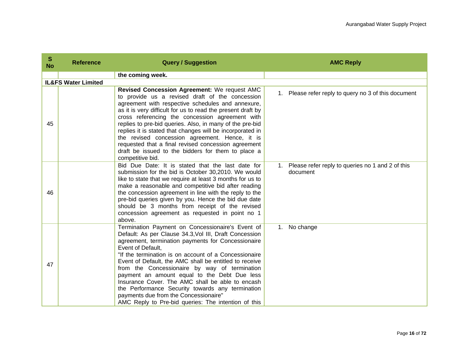| S<br><b>No</b> | <b>Reference</b>               | <b>Query / Suggestion</b>                                                                                                                                                                                                                                                                                                                                                                                                                                                                                                                                                                                         | <b>AMC Reply</b>                                                |
|----------------|--------------------------------|-------------------------------------------------------------------------------------------------------------------------------------------------------------------------------------------------------------------------------------------------------------------------------------------------------------------------------------------------------------------------------------------------------------------------------------------------------------------------------------------------------------------------------------------------------------------------------------------------------------------|-----------------------------------------------------------------|
|                |                                | the coming week.                                                                                                                                                                                                                                                                                                                                                                                                                                                                                                                                                                                                  |                                                                 |
|                | <b>IL&amp;FS Water Limited</b> |                                                                                                                                                                                                                                                                                                                                                                                                                                                                                                                                                                                                                   |                                                                 |
| 45             |                                | Revised Concession Agreement: We request AMC<br>to provide us a revised draft of the concession<br>agreement with respective schedules and annexure,<br>as it is very difficult for us to read the present draft by<br>cross referencing the concession agreement with<br>replies to pre-bid queries. Also, in many of the pre-bid<br>replies it is stated that changes will be incorporated in<br>the revised concession agreement. Hence, it is<br>requested that a final revised concession agreement<br>draft be issued to the bidders for them to place a<br>competitive bid.                                | 1. Please refer reply to query no 3 of this document            |
| 46             |                                | Bid Due Date: It is stated that the last date for<br>submission for the bid is October 30,2010. We would<br>like to state that we require at least 3 months for us to<br>make a reasonable and competitive bid after reading<br>the concession agreement in line with the reply to the<br>pre-bid queries given by you. Hence the bid due date<br>should be 3 months from receipt of the revised<br>concession agreement as requested in point no 1<br>above.                                                                                                                                                     | 1. Please refer reply to queries no 1 and 2 of this<br>document |
| 47             |                                | Termination Payment on Concessionaire's Event of<br>Default: As per Clause 34.3, Vol III, Draft Concession<br>agreement, termination payments for Concessionaire<br>Event of Default.<br>"If the termination is on account of a Concessionaire<br>Event of Default, the AMC shall be entitled to receive<br>from the Concessionaire by way of termination<br>payment an amount equal to the Debt Due less<br>Insurance Cover. The AMC shall be able to encash<br>the Performance Security towards any termination<br>payments due from the Concessionaire"<br>AMC Reply to Pre-bid queries: The intention of this | No change<br>1.                                                 |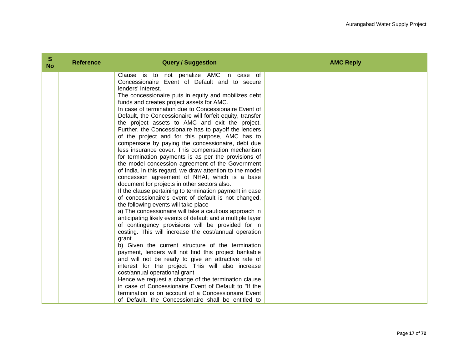| S<br><b>No</b> | <b>Reference</b> | <b>Query / Suggestion</b>                                                                            | <b>AMC Reply</b> |
|----------------|------------------|------------------------------------------------------------------------------------------------------|------------------|
|                |                  | Clause is to not penalize AMC in case of<br>Concessionaire Event of Default and to secure            |                  |
|                |                  | lenders' interest.                                                                                   |                  |
|                |                  | The concessionaire puts in equity and mobilizes debt                                                 |                  |
|                |                  | funds and creates project assets for AMC.                                                            |                  |
|                |                  | In case of termination due to Concessionaire Event of                                                |                  |
|                |                  | Default, the Concessionaire will forfeit equity, transfer                                            |                  |
|                |                  | the project assets to AMC and exit the project.                                                      |                  |
|                |                  | Further, the Concessionaire has to payoff the lenders                                                |                  |
|                |                  | of the project and for this purpose, AMC has to<br>compensate by paying the concessionaire, debt due |                  |
|                |                  | less insurance cover. This compensation mechanism                                                    |                  |
|                |                  | for termination payments is as per the provisions of                                                 |                  |
|                |                  | the model concession agreement of the Government                                                     |                  |
|                |                  | of India. In this regard, we draw attention to the model                                             |                  |
|                |                  | concession agreement of NHAI, which is a base                                                        |                  |
|                |                  | document for projects in other sectors also.                                                         |                  |
|                |                  | If the clause pertaining to termination payment in case                                              |                  |
|                |                  | of concessionaire's event of default is not changed,<br>the following events will take place         |                  |
|                |                  | a) The concessionaire will take a cautious approach in                                               |                  |
|                |                  | anticipating likely events of default and a multiple layer                                           |                  |
|                |                  | of contingency provisions will be provided for in                                                    |                  |
|                |                  | costing. This will increase the cost/annual operation                                                |                  |
|                |                  | grant                                                                                                |                  |
|                |                  | b) Given the current structure of the termination                                                    |                  |
|                |                  | payment, lenders will not find this project bankable                                                 |                  |
|                |                  | and will not be ready to give an attractive rate of                                                  |                  |
|                |                  | interest for the project. This will also increase<br>cost/annual operational grant                   |                  |
|                |                  | Hence we request a change of the termination clause                                                  |                  |
|                |                  | in case of Concessionaire Event of Default to "If the                                                |                  |
|                |                  | termination is on account of a Concessionaire Event                                                  |                  |
|                |                  | of Default, the Concessionaire shall be entitled to                                                  |                  |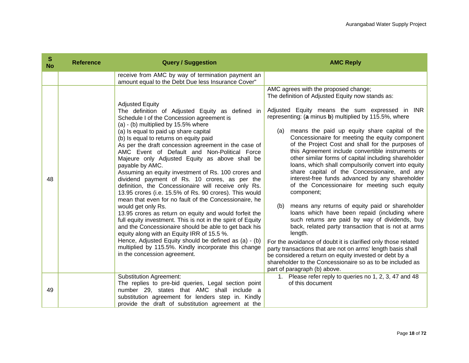| S<br><b>No</b> | <b>Reference</b> | <b>Query / Suggestion</b>                                                                                                                                                                                                                                                                                                                                                                                                                                                                                                                                                                                                                                                                                                                                                                                                                                                                                                                                                                                                                                                                                               | <b>AMC Reply</b>                                                                                                                                                                                                                                                                                                                                                                                                                                                                                                                                                                                                                                                                                                                                                                                                                                                                                                                                                                                                                                                                                                                                                                                                                |
|----------------|------------------|-------------------------------------------------------------------------------------------------------------------------------------------------------------------------------------------------------------------------------------------------------------------------------------------------------------------------------------------------------------------------------------------------------------------------------------------------------------------------------------------------------------------------------------------------------------------------------------------------------------------------------------------------------------------------------------------------------------------------------------------------------------------------------------------------------------------------------------------------------------------------------------------------------------------------------------------------------------------------------------------------------------------------------------------------------------------------------------------------------------------------|---------------------------------------------------------------------------------------------------------------------------------------------------------------------------------------------------------------------------------------------------------------------------------------------------------------------------------------------------------------------------------------------------------------------------------------------------------------------------------------------------------------------------------------------------------------------------------------------------------------------------------------------------------------------------------------------------------------------------------------------------------------------------------------------------------------------------------------------------------------------------------------------------------------------------------------------------------------------------------------------------------------------------------------------------------------------------------------------------------------------------------------------------------------------------------------------------------------------------------|
|                |                  | receive from AMC by way of termination payment an<br>amount equal to the Debt Due less Insurance Cover"                                                                                                                                                                                                                                                                                                                                                                                                                                                                                                                                                                                                                                                                                                                                                                                                                                                                                                                                                                                                                 |                                                                                                                                                                                                                                                                                                                                                                                                                                                                                                                                                                                                                                                                                                                                                                                                                                                                                                                                                                                                                                                                                                                                                                                                                                 |
| 48             |                  | <b>Adjusted Equity</b><br>The definition of Adjusted Equity as defined in<br>Schedule I of the Concession agreement is<br>(a) - (b) multiplied by 15.5% where<br>(a) Is equal to paid up share capital<br>(b) Is equal to returns on equity paid<br>As per the draft concession agreement in the case of<br>AMC Event of Default and Non-Political Force<br>Majeure only Adjusted Equity as above shall be<br>payable by AMC.<br>Assuming an equity investment of Rs. 100 crores and<br>dividend payment of Rs. 10 crores, as per the<br>definition, the Concessionaire will receive only Rs.<br>13.95 crores (i.e. 15.5% of Rs. 90 crores). This would<br>mean that even for no fault of the Concessionaire, he<br>would get only Rs.<br>13.95 crores as return on equity and would forfeit the<br>full equity investment. This is not in the spirit of Equity<br>and the Concessionaire should be able to get back his<br>equity along with an Equity IRR of 15.5 %.<br>Hence, Adjusted Equity should be defined as (a) - (b)<br>multiplied by 115.5%. Kindly incorporate this change<br>in the concession agreement. | AMC agrees with the proposed change;<br>The definition of Adjusted Equity now stands as:<br>Adjusted Equity means the sum expressed in INR<br>representing: (a minus b) multiplied by 115.5%, where<br>means the paid up equity share capital of the<br>(a)<br>Concessionaire for meeting the equity component<br>of the Project Cost and shall for the purposes of<br>this Agreement include convertible instruments or<br>other similar forms of capital including shareholder<br>loans, which shall compulsorily convert into equity<br>share capital of the Concessionaire, and any<br>interest-free funds advanced by any shareholder<br>of the Concessionaire for meeting such equity<br>component;<br>means any returns of equity paid or shareholder<br>(b)<br>loans which have been repaid (including where<br>such returns are paid by way of dividends, buy<br>back, related party transaction that is not at arms<br>length.<br>For the avoidance of doubt it is clarified only those related<br>party transactions that are not on arms' length basis shall<br>be considered a return on equity invested or debt by a<br>shareholder to the Concessionaire so as to be included as<br>part of paragraph (b) above. |
| 49             |                  | <b>Substitution Agreement:</b><br>The replies to pre-bid queries, Legal section point<br>number 29, states that AMC shall include a<br>substitution agreement for lenders step in. Kindly<br>provide the draft of substitution agreement at the                                                                                                                                                                                                                                                                                                                                                                                                                                                                                                                                                                                                                                                                                                                                                                                                                                                                         | 1. Please refer reply to queries no 1, 2, 3, 47 and 48<br>of this document                                                                                                                                                                                                                                                                                                                                                                                                                                                                                                                                                                                                                                                                                                                                                                                                                                                                                                                                                                                                                                                                                                                                                      |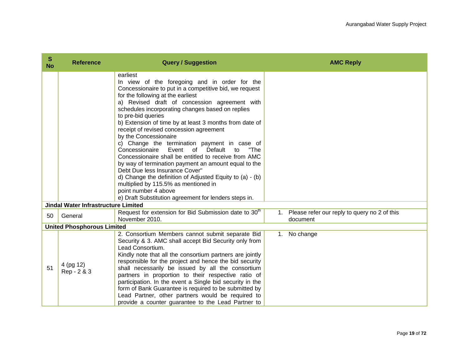| S<br><b>No</b> | <b>Reference</b>                           | <b>Query / Suggestion</b>                                                                                                                                                                                                                                                                                                                                                                                                                                                                                                                                                                                                                                                                                                                                                                                                                                       | <b>AMC Reply</b>                                            |
|----------------|--------------------------------------------|-----------------------------------------------------------------------------------------------------------------------------------------------------------------------------------------------------------------------------------------------------------------------------------------------------------------------------------------------------------------------------------------------------------------------------------------------------------------------------------------------------------------------------------------------------------------------------------------------------------------------------------------------------------------------------------------------------------------------------------------------------------------------------------------------------------------------------------------------------------------|-------------------------------------------------------------|
|                |                                            | earliest<br>In view of the foregoing and in order for the<br>Concessionaire to put in a competitive bid, we request<br>for the following at the earliest<br>a) Revised draft of concession agreement with<br>schedules incorporating changes based on replies<br>to pre-bid queries<br>b) Extension of time by at least 3 months from date of<br>receipt of revised concession agreement<br>by the Concessionaire<br>c) Change the termination payment in case of<br>Concessionaire<br>Event of<br>Default<br>"The<br>to<br>Concessionaire shall be entitled to receive from AMC<br>by way of termination payment an amount equal to the<br>Debt Due less Insurance Cover"<br>d) Change the definition of Adjusted Equity to (a) - (b)<br>multiplied by 115.5% as mentioned in<br>point number 4 above<br>e) Draft Substitution agreement for lenders steps in. |                                                             |
|                | <b>Jindal Water Infrastructure Limited</b> |                                                                                                                                                                                                                                                                                                                                                                                                                                                                                                                                                                                                                                                                                                                                                                                                                                                                 |                                                             |
| 50             | General                                    | Request for extension for Bid Submission date to 30 <sup>th</sup><br>November 2010.                                                                                                                                                                                                                                                                                                                                                                                                                                                                                                                                                                                                                                                                                                                                                                             | 1. Please refer our reply to query no 2 of this<br>document |
|                | <b>United Phosphorous Limited</b>          |                                                                                                                                                                                                                                                                                                                                                                                                                                                                                                                                                                                                                                                                                                                                                                                                                                                                 |                                                             |
| 51             | 4 (pg 12)<br>Rep - 2 & 3                   | 2. Consortium Members cannot submit separate Bid<br>Security & 3. AMC shall accept Bid Security only from<br>Lead Consortium.<br>Kindly note that all the consortium partners are jointly<br>responsible for the project and hence the bid security<br>shall necessarily be issued by all the consortium<br>partners in proportion to their respective ratio of<br>participation. In the event a Single bid security in the<br>form of Bank Guarantee is required to be submitted by<br>Lead Partner, other partners would be required to<br>provide a counter guarantee to the Lead Partner to                                                                                                                                                                                                                                                                 | 1. No change                                                |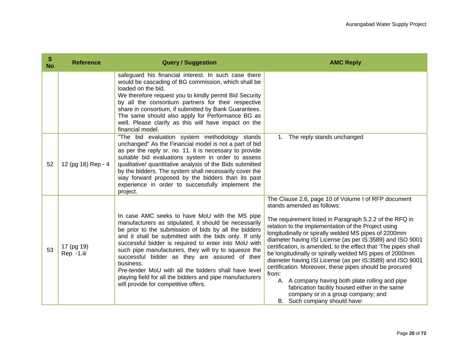| S<br><b>No</b> | <b>Reference</b>         | <b>Query / Suggestion</b>                                                                                                                                                                                                                                                                                                                                                                                                                                                                                                                                             | <b>AMC Reply</b>                                                                                                                                                                                                                                                                                                                                                                                                                                                                                                                                                                                                                                                                                                                                                  |
|----------------|--------------------------|-----------------------------------------------------------------------------------------------------------------------------------------------------------------------------------------------------------------------------------------------------------------------------------------------------------------------------------------------------------------------------------------------------------------------------------------------------------------------------------------------------------------------------------------------------------------------|-------------------------------------------------------------------------------------------------------------------------------------------------------------------------------------------------------------------------------------------------------------------------------------------------------------------------------------------------------------------------------------------------------------------------------------------------------------------------------------------------------------------------------------------------------------------------------------------------------------------------------------------------------------------------------------------------------------------------------------------------------------------|
|                |                          | safeguard his financial interest. In such case there<br>would be cascading of BG commission, which shall be<br>loaded on the bid.<br>We therefore request you to kindly permit Bid Security<br>by all the consortium partners for their respective<br>share in consortium, if submitted by Bank Guarantees.<br>The same should also apply for Performance BG as<br>well. Please clarify as this will have impact on the<br>financial model.                                                                                                                           |                                                                                                                                                                                                                                                                                                                                                                                                                                                                                                                                                                                                                                                                                                                                                                   |
| 52             | 12 (pg 16) Rep - 4       | "The bid evaluation system methodology stands<br>unchanged" As the Financial model is not a part of bid<br>as per the reply sr. no. 11. it is necessary to provide<br>suitable bid evaluations system in order to assess<br>qualitative/ quantitative analysis of the Bids submitted<br>by the bidders. The system shall necessarily cover the<br>way forward proposed by the bidders than its past<br>experience in order to successfully implement the<br>project.                                                                                                  | 1. The reply stands unchanged                                                                                                                                                                                                                                                                                                                                                                                                                                                                                                                                                                                                                                                                                                                                     |
| 53             | 17 (pg 19)<br>Rep -1.iii | In case AMC seeks to have MoU with the MS pipe<br>manufacturers as stipulated, it should be necessarily<br>be prior to the submission of bids by all the bidders<br>and it shall be submitted with the bids only. If only<br>successful bidder is required to enter into MoU with<br>such pipe manufacturers, they will try to squeeze the<br>successful bidder as they are assured of their<br>business.<br>Pre-tender MoU with all the bidders shall have level<br>playing field for all the bidders and pipe manufacturers<br>will provide for competitive offers. | The Clause 2.6, page 10 of Volume I of RFP document<br>stands amended as follows:<br>The requirement listed in Paragraph 5.2.2 of the RFQ in<br>relation to the implementation of the Project using<br>longitudinally or spirally welded MS pipes of 2200mm<br>diameter having ISI License (as per IS:3589) and ISO 9001<br>certification, is amended, to the effect that 'The pipes shall<br>be longitudinally or spirally welded MS pipes of 2000mm<br>diameter having ISI License (as per IS:3589) and ISO 9001<br>certification. Moreover, these pipes should be procured<br>from:<br>A. A company having both plate rolling and pipe<br>fabrication facility housed either in the same<br>company or in a group company; and<br>B. Such company should have: |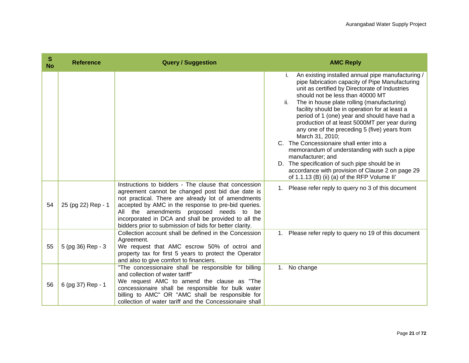| S<br><b>No</b> | <b>Reference</b>   | <b>Query / Suggestion</b>                                                                                                                                                                                                                                                                                                                                                           | <b>AMC Reply</b>                                                                                                                                                                                                                                                                                                                                                                                                                                                                                                                                                                                                                                                                                                                                               |
|----------------|--------------------|-------------------------------------------------------------------------------------------------------------------------------------------------------------------------------------------------------------------------------------------------------------------------------------------------------------------------------------------------------------------------------------|----------------------------------------------------------------------------------------------------------------------------------------------------------------------------------------------------------------------------------------------------------------------------------------------------------------------------------------------------------------------------------------------------------------------------------------------------------------------------------------------------------------------------------------------------------------------------------------------------------------------------------------------------------------------------------------------------------------------------------------------------------------|
|                |                    |                                                                                                                                                                                                                                                                                                                                                                                     | An existing installed annual pipe manufacturing /<br>i.<br>pipe fabrication capacity of Pipe Manufacturing<br>unit as certified by Directorate of Industries<br>should not be less than 40000 MT<br>ii.<br>The in house plate rolling (manufacturing)<br>facility should be in operation for at least a<br>period of 1 (one) year and should have had a<br>production of at least 5000MT per year during<br>any one of the preceding 5 (five) years from<br>March 31, 2010;<br>C. The Concessionaire shall enter into a<br>memorandum of understanding with such a pipe<br>manufacturer; and<br>D. The specification of such pipe should be in<br>accordance with provision of Clause 2 on page 29<br>of 1.1.13 (B) (ii) (a) of the RFP Volume II <sup>t</sup> |
| 54             | 25 (pg 22) Rep - 1 | Instructions to bidders - The clause that concession<br>agreement cannot be changed post bid due date is<br>not practical. There are already lot of amendments<br>accepted by AMC in the response to pre-bid queries.<br>All the amendments proposed needs to be<br>incorporated in DCA and shall be provided to all the<br>bidders prior to submission of bids for better clarity. | Please refer reply to query no 3 of this document<br>1.                                                                                                                                                                                                                                                                                                                                                                                                                                                                                                                                                                                                                                                                                                        |
| 55             | 5 (pg 36) Rep - 3  | Collection account shall be defined in the Concession<br>Agreement.<br>We request that AMC escrow 50% of octroi and<br>property tax for first 5 years to protect the Operator<br>and also to give comfort to financiers.                                                                                                                                                            | Please refer reply to query no 19 of this document<br>1.                                                                                                                                                                                                                                                                                                                                                                                                                                                                                                                                                                                                                                                                                                       |
| 56             | 6 (pg 37) Rep - 1  | "The concessionaire shall be responsible for billing<br>and collection of water tariff"<br>We request AMC to amend the clause as "The<br>concessionaire shall be responsible for bulk water<br>billing to AMC" OR "AMC shall be responsible for<br>collection of water tariff and the Concessionaire shall                                                                          | No change<br>1.                                                                                                                                                                                                                                                                                                                                                                                                                                                                                                                                                                                                                                                                                                                                                |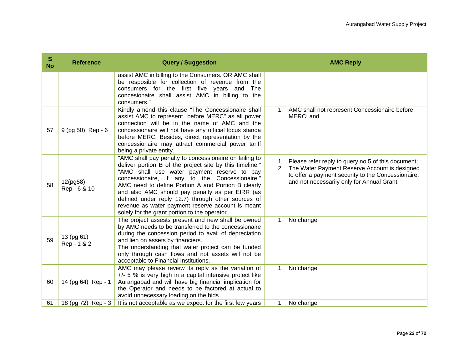| S<br><b>No</b> | <b>Reference</b>          | <b>Query / Suggestion</b>                                                                                                                                                                                                                                                                                                                                                                                                                                                                | <b>AMC Reply</b>                                                                                                                                                                                                |
|----------------|---------------------------|------------------------------------------------------------------------------------------------------------------------------------------------------------------------------------------------------------------------------------------------------------------------------------------------------------------------------------------------------------------------------------------------------------------------------------------------------------------------------------------|-----------------------------------------------------------------------------------------------------------------------------------------------------------------------------------------------------------------|
|                |                           | assist AMC in billing to the Consumers. OR AMC shall<br>be resposible for collection of revenue from the<br>consumers for the first five years and<br>The<br>concesionaire shall assist AMC in billing to the<br>consumers."                                                                                                                                                                                                                                                             |                                                                                                                                                                                                                 |
| 57             | 9 (pg 50) Rep - 6         | Kindly amend this clause "The Concessionaire shall<br>assist AMC to represent before MERC" as all power<br>connection will be in the name of AMC and the<br>concessionaire will not have any official locus standa<br>before MERC. Besides, direct representation by the<br>concessionaire may attract commercial power tariff<br>being a private entity.                                                                                                                                | 1. AMC shall not represent Concessionaire before<br>MERC; and                                                                                                                                                   |
| 58             | 12(pg58)<br>Rep - 6 & 10  | "AMC shall pay penalty to concessionaire on failing to<br>deliver portion B of the project site by this timeline."<br>"AMC shall use water payment reserve to pay<br>concessionaire, if any to the Concessionaire."<br>AMC need to define Portion A and Portion B clearly<br>and also AMC should pay penalty as per EIRR (as<br>defined under reply 12.7) through other sources of<br>revenue as water payment reserve account is meant<br>solely for the grant portion to the operator. | Please refer reply to query no 5 of this document;<br>1.<br>2. The Water Payment Reserve Account is designed<br>to offer a payment security to the Concessionaire,<br>and not necessarily only for Annual Grant |
| 59             | 13 (pg 61)<br>Rep - 1 & 2 | The project assests present and new shall be owned<br>by AMC needs to be transferred to the concessionaire<br>during the concession period to avail of depreciation<br>and lien on assets by financiers.<br>The understanding that water project can be funded<br>only through cash flows and not assets will not be<br>acceptable to Financial Institutions.                                                                                                                            | No change<br>1.                                                                                                                                                                                                 |
| 60             | 14 (pg 64) Rep - 1        | AMC may please review its reply as the variation of<br>$+/-$ 5 % is very high in a capital intensive project like<br>Aurangabad and will have big financial implication for<br>the Operator and needs to be factored at actual to<br>avoid unnecessary loading on the bids.                                                                                                                                                                                                              | 1. No change                                                                                                                                                                                                    |
| 61             | 18 (pg 72) Rep - 3        | It is not acceptable as we expect for the first few years                                                                                                                                                                                                                                                                                                                                                                                                                                | No change<br>1.                                                                                                                                                                                                 |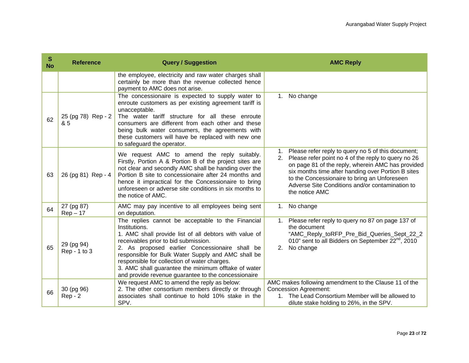| S<br><b>No</b> | <b>Reference</b>           | <b>Query / Suggestion</b>                                                                                                                                                                                                                                                                                                                                                                                                                  | <b>AMC Reply</b>                                                                                                                                                                                                                                                                                                                                            |
|----------------|----------------------------|--------------------------------------------------------------------------------------------------------------------------------------------------------------------------------------------------------------------------------------------------------------------------------------------------------------------------------------------------------------------------------------------------------------------------------------------|-------------------------------------------------------------------------------------------------------------------------------------------------------------------------------------------------------------------------------------------------------------------------------------------------------------------------------------------------------------|
|                |                            | the employee, electricity and raw water charges shall<br>certainly be more than the revenue collected hence<br>payment to AMC does not arise.                                                                                                                                                                                                                                                                                              |                                                                                                                                                                                                                                                                                                                                                             |
| 62             | 25 (pg 78) Rep - 2<br>& 5  | The concessionaire is expected to supply water to<br>enroute customers as per existing agreement tariff is<br>unacceptable.<br>The water tariff structure for all these enroute<br>consumers are different from each other and these<br>being bulk water consumers, the agreements with<br>these customers will have be replaced with new one<br>to safeguard the operator.                                                                | No change<br>$1_{\cdot}$                                                                                                                                                                                                                                                                                                                                    |
| 63             | 26 (pg 81) Rep - 4         | We request AMC to amend the reply suitably.<br>Firstly, Portion A & Portion B of the project sites are<br>not clear and secondly AMC shall be handing over the<br>Portion B site to concessionaire after 24 months and<br>hence it impractical for the Concessionaire to bring<br>unforeseen or adverse site conditions in six months to<br>the notice of AMC.                                                                             | Please refer reply to query no 5 of this document;<br>$1_{\cdot}$<br>2. Please refer point no 4 of the reply to query no 26<br>on page 81 of the reply, wherein AMC has provided<br>six months time after handing over Portion B sites<br>to the Concessionaire to bring an Unforeseen<br>Adverse Site Conditions and/or contamination to<br>the notice AMC |
| 64             | 27 (pg 87)<br>$Rep-17$     | AMC may pay incentive to all employees being sent<br>on deputation.                                                                                                                                                                                                                                                                                                                                                                        | No change<br>$1_{\cdot}$                                                                                                                                                                                                                                                                                                                                    |
| 65             | 29 (pg 94)<br>Rep - 1 to 3 | The replies cannot be acceptable to the Financial<br>Institutions.<br>1. AMC shall provide list of all debtors with value of<br>receivables prior to bid submission.<br>2. As proposed earlier Concessionaire shall be<br>responsible for Bulk Water Supply and AMC shall be<br>responsible for collection of water charges.<br>3. AMC shall guarantee the minimum offtake of water<br>and provide revenue guarantee to the concessionaire | 1. Please refer reply to query no 87 on page 137 of<br>the document<br>"AMC_Reply_toRFP_Pre_Bid_Queries_Sept_22_2<br>010" sent to all Bidders on September 22 <sup>nd</sup> , 2010<br>2. No change                                                                                                                                                          |
| 66             | 30 (pg 96)<br>$Rep - 2$    | We request AMC to amend the reply as below:<br>2. The other consortium members directly or through<br>associates shall continue to hold 10% stake in the<br>SPV.                                                                                                                                                                                                                                                                           | AMC makes following amendment to the Clause 11 of the<br><b>Concession Agreement:</b><br>1. The Lead Consortium Member will be allowed to<br>dilute stake holding to 26%, in the SPV.                                                                                                                                                                       |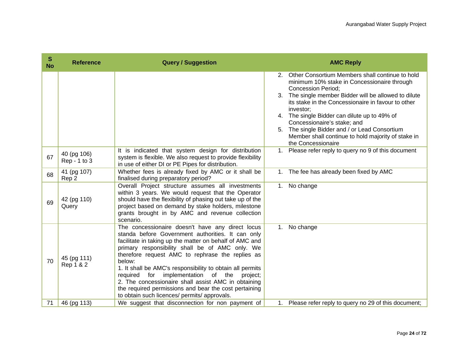| S<br><b>No</b> | <b>Reference</b>            | <b>Query / Suggestion</b>                                                                                                                                                                                                                                                                                                                                                                                                                                                                                                                                              |    | <b>AMC Reply</b>                                                                                                                                                                                                                                                                                           |
|----------------|-----------------------------|------------------------------------------------------------------------------------------------------------------------------------------------------------------------------------------------------------------------------------------------------------------------------------------------------------------------------------------------------------------------------------------------------------------------------------------------------------------------------------------------------------------------------------------------------------------------|----|------------------------------------------------------------------------------------------------------------------------------------------------------------------------------------------------------------------------------------------------------------------------------------------------------------|
|                |                             |                                                                                                                                                                                                                                                                                                                                                                                                                                                                                                                                                                        |    | 2. Other Consortium Members shall continue to hold<br>minimum 10% stake in Concessionaire through<br><b>Concession Period:</b><br>3. The single member Bidder will be allowed to dilute<br>its stake in the Concessionaire in favour to other<br>investor;<br>4. The single Bidder can dilute up to 49% of |
|                |                             |                                                                                                                                                                                                                                                                                                                                                                                                                                                                                                                                                                        |    | Concessionaire's stake; and<br>5. The single Bidder and / or Lead Consortium<br>Member shall continue to hold majority of stake in<br>the Concessionaire                                                                                                                                                   |
| 67             | 40 (pg 106)<br>Rep - 1 to 3 | It is indicated that system design for distribution<br>system is flexible. We also request to provide flexibility<br>in use of either DI or PE Pipes for distribution.                                                                                                                                                                                                                                                                                                                                                                                                 |    | 1. Please refer reply to query no 9 of this document                                                                                                                                                                                                                                                       |
| 68             | 41 (pg 107)<br>Rep 2        | Whether fees is already fixed by AMC or it shall be<br>finalised during preparatory period?                                                                                                                                                                                                                                                                                                                                                                                                                                                                            | 1. | The fee has already been fixed by AMC                                                                                                                                                                                                                                                                      |
| 69             | 42 (pg 110)<br>Query        | Overall Project structure assumes all investments<br>within 3 years. We would request that the Operator<br>should have the flexibility of phasing out take up of the<br>project based on demand by stake holders, milestone<br>grants brought in by AMC and revenue collection<br>scenario.                                                                                                                                                                                                                                                                            |    | 1. No change                                                                                                                                                                                                                                                                                               |
| 70             | 45 (pg 111)<br>Rep 1 & 2    | The concessionaire doesn't have any direct locus<br>standa before Government authorities. It can only<br>facilitate in taking up the matter on behalf of AMC and<br>primary responsibility shall be of AMC only. We<br>therefore request AMC to rephrase the replies as<br>below:<br>1. It shall be AMC's responsibility to obtain all permits<br>implementation of the<br>for<br>required<br>project;<br>2. The concessionaire shall assist AMC in obtaining<br>the required permissions and bear the cost pertaining<br>to obtain such licences/ permits/ approvals. |    | 1. No change                                                                                                                                                                                                                                                                                               |
| 71             | 46 (pg 113)                 | We suggest that disconnection for non payment of                                                                                                                                                                                                                                                                                                                                                                                                                                                                                                                       |    | 1. Please refer reply to query no 29 of this document;                                                                                                                                                                                                                                                     |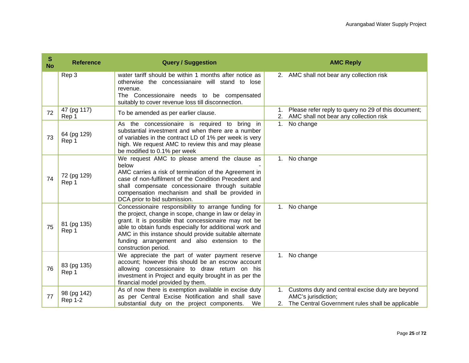| S<br><b>No</b> | <b>Reference</b>              | <b>Query / Suggestion</b>                                                                                                                                                                                                                                                                                                                                             | <b>AMC Reply</b>                                                                                                                 |
|----------------|-------------------------------|-----------------------------------------------------------------------------------------------------------------------------------------------------------------------------------------------------------------------------------------------------------------------------------------------------------------------------------------------------------------------|----------------------------------------------------------------------------------------------------------------------------------|
|                | Rep 3                         | water tariff should be within 1 months after notice as<br>otherwise the concessianaire will stand to<br>lose<br>revenue.<br>The Concessionaire needs to be compensated<br>suitably to cover revenue loss till disconnection.                                                                                                                                          | 2. AMC shall not bear any collection risk                                                                                        |
| 72             | 47 (pg 117)<br>Rep 1          | To be amended as per earlier clause.                                                                                                                                                                                                                                                                                                                                  | Please refer reply to query no 29 of this document;<br>1.<br>2. AMC shall not bear any collection risk                           |
| 73             | 64 (pg 129)<br>Rep 1          | As the concessionaire is required to bring in<br>substantial investment and when there are a number<br>of variables in the contract LD of 1% per week is very<br>high. We request AMC to review this and may please<br>be modified to 0.1% per week                                                                                                                   | 1. No change                                                                                                                     |
| 74             | 72 (pg 129)<br>Rep 1          | We request AMC to please amend the clause as<br>below<br>AMC carries a risk of termination of the Agreement in<br>case of non-fulfilment of the Condition Precedent and<br>shall compensate concessionaire through suitable<br>compensation mechanism and shall be provided in<br>DCA prior to bid submission.                                                        | 1. No change                                                                                                                     |
| 75             | 81 (pg 135)<br>Rep 1          | Concessionaire responsibility to arrange funding for<br>the project, change in scope, change in law or delay in<br>grant. It is possible that concessionaire may not be<br>able to obtain funds especially for additional work and<br>AMC in this instance should provide suitable alternate<br>funding arrangement and also extension to the<br>construction period. | 1. No change                                                                                                                     |
| 76             | 83 (pg 135)<br>Rep 1          | We appreciate the part of water payment reserve<br>account; however this should be an escrow account<br>allowing concessionaire to draw return on his<br>investment in Project and equity brought in as per the<br>financial model provided by them.                                                                                                                  | 1. No change                                                                                                                     |
| 77             | 98 (pg 142)<br><b>Rep 1-2</b> | As of now there is exemption available in excise duty<br>as per Central Excise Notification and shall save<br>substantial duty on the project components.<br>We                                                                                                                                                                                                       | 1. Customs duty and central excise duty are beyond<br>AMC's jurisdiction;<br>2. The Central Government rules shall be applicable |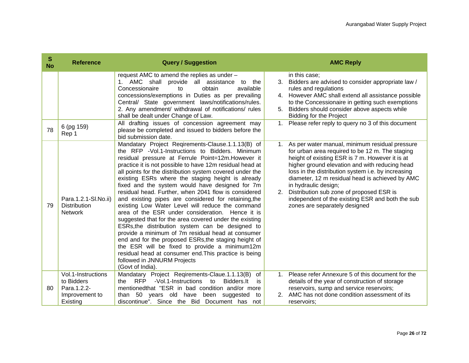| s<br><b>No</b> | <b>Reference</b>                                                              | <b>Query / Suggestion</b>                                                                                                                                                                                                                                                                                                                                                                                                                                                                                                                                                                                                                                                                                                                                                                                                                                                                                                                                                                                  |    | <b>AMC Reply</b>                                                                                                                                                                                                                                                                                                                                                                                                                                                            |
|----------------|-------------------------------------------------------------------------------|------------------------------------------------------------------------------------------------------------------------------------------------------------------------------------------------------------------------------------------------------------------------------------------------------------------------------------------------------------------------------------------------------------------------------------------------------------------------------------------------------------------------------------------------------------------------------------------------------------------------------------------------------------------------------------------------------------------------------------------------------------------------------------------------------------------------------------------------------------------------------------------------------------------------------------------------------------------------------------------------------------|----|-----------------------------------------------------------------------------------------------------------------------------------------------------------------------------------------------------------------------------------------------------------------------------------------------------------------------------------------------------------------------------------------------------------------------------------------------------------------------------|
|                |                                                                               | request AMC to amend the replies as under -<br>1. AMC shall provide all assistance<br>to<br>the<br>Concessionaire<br>obtain<br>available<br>to<br>concessions/exemptions in Duties as per prevailing<br>Central/ State government laws/notifications/rules.<br>2. Any amendment/ withdrawal of notifications/ rules<br>shall be dealt under Change of Law.                                                                                                                                                                                                                                                                                                                                                                                                                                                                                                                                                                                                                                                 |    | in this case;<br>3. Bidders are advised to consider appropriate law /<br>rules and regulations<br>4. However AMC shall extend all assistance possible<br>to the Concessionaire in getting such exemptions<br>Bidders should consider above aspects while<br><b>Bidding for the Project</b>                                                                                                                                                                                  |
| 78             | 6 (pg 159)<br>Rep 1                                                           | All drafting issues of concession agreement may<br>please be completed and issued to bidders before the<br>bid submission date.                                                                                                                                                                                                                                                                                                                                                                                                                                                                                                                                                                                                                                                                                                                                                                                                                                                                            |    | 1. Please refer reply to query no 3 of this document                                                                                                                                                                                                                                                                                                                                                                                                                        |
| 79             | Para.1.2.1-SI.No.ii)<br><b>Distribution</b><br><b>Network</b>                 | Mandatary Project Reqirements-Clause.1.1.13(B) of<br>the RFP -Vol.1-Instructions to Bidders. Minimum<br>residual pressure at Ferrule Point=12m. However it<br>practice it is not possible to have 12m residual head at<br>all points for the distribution system covered under the<br>existing ESRs where the staging height is already<br>fixed and the system would have designed for 7m<br>residual head. Further, when 2041 flow is considered<br>and existing pipes are considered for retaining, the<br>existing Low Water Level will reduce the command<br>area of the ESR under consideration. Hence it is<br>suggested that for the area covered under the existing<br>ESRs, the distribution system can be designed to<br>provide a minimum of 7m residual head at consumer<br>end and for the proposed ESRs, the staging height of<br>the ESR will be fixed to provide a minimum12m<br>residual head at consumer end. This practice is being<br>followed in JNNURM Projects<br>(Govt of India). | 1. | As per water manual, minimum residual pressure<br>for urban area required to be 12 m. The staging<br>height of existing ESR is 7 m. However it is at<br>higher ground elevation and with reducing head<br>loss in the distribution system i.e. by increasing<br>diameter, 12 m residual head is achieved by AMC<br>in hydraulic design;<br>2. Distribution sub zone of proposed ESR is<br>independent of the existing ESR and both the sub<br>zones are separately designed |
| 80             | Vol.1-Instructions<br>to Bidders<br>Para.1.2.2-<br>Improvement to<br>Existing | Mandatary Project Reqirements-Claue.1.1.13(B)<br>0f<br>-Vol.1-Instructions<br><b>RFP</b><br>to<br>Bidders.lt<br>the<br>is<br>mentioned that "ESR in bad condition and/or more<br>than 50 years old have<br>been suggested<br>to<br>discontinue". Since the Bid Document has not                                                                                                                                                                                                                                                                                                                                                                                                                                                                                                                                                                                                                                                                                                                            |    | 1. Please refer Annexure 5 of this document for the<br>details of the year of construction of storage<br>reservoirs, sump and service reservoirs;<br>2. AMC has not done condition assessment of its<br>reservoirs;                                                                                                                                                                                                                                                         |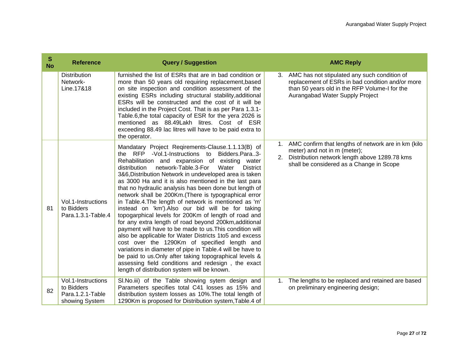| ${\bf S}$<br><b>No</b> | <b>Reference</b>                                                       | <b>Query / Suggestion</b>                                                                                                                                                                                                                                                                                                                                                                                                                                                                                                                                                                                                                                                                                                                                                                                                                                                                                                                                                                                                                                                                      |             | <b>AMC Reply</b>                                                                                                                                                                     |
|------------------------|------------------------------------------------------------------------|------------------------------------------------------------------------------------------------------------------------------------------------------------------------------------------------------------------------------------------------------------------------------------------------------------------------------------------------------------------------------------------------------------------------------------------------------------------------------------------------------------------------------------------------------------------------------------------------------------------------------------------------------------------------------------------------------------------------------------------------------------------------------------------------------------------------------------------------------------------------------------------------------------------------------------------------------------------------------------------------------------------------------------------------------------------------------------------------|-------------|--------------------------------------------------------------------------------------------------------------------------------------------------------------------------------------|
|                        | <b>Distribution</b><br>Network-<br>Line.17&18                          | furnished the list of ESRs that are in bad condition or<br>more than 50 years old requiring replacement, based<br>on site inspection and condition assessment of the<br>existing ESRs including structural stability, additional<br>ESRs will be constructed and the cost of it will be<br>included in the Project Cost. That is as per Para 1.3.1-<br>Table.6, the total capacity of ESR for the yera 2026 is<br>mentioned as 88.49Lakh litres. Cost of ESR<br>exceeding 88.49 lac litres will have to be paid extra to<br>the operator.                                                                                                                                                                                                                                                                                                                                                                                                                                                                                                                                                      | 3.          | AMC has not stipulated any such condition of<br>replacement of ESRs in bad condition and/or more<br>than 50 years old in the RFP Volume-I for the<br>Aurangabad Water Supply Project |
| 81                     | Vol.1-Instructions<br>to Bidders<br>Para.1.3.1-Table.4                 | Mandatary Project Reqirements-Clause.1.1.13(B) of<br>the RFP -Vol.1-Instructions to Bidders.Para3-<br>Rehabilitation and expansion of existing water<br>network-Table.3-For<br>Water<br><b>District</b><br>distribution<br>3&6, Distribution Network in undeveloped area is taken<br>as 3000 Ha and it is also mentioned in the last para<br>that no hydraulic analysis has been done but length of<br>network shall be 200Km. (There is typographical error<br>in Table.4. The length of network is mentioned as 'm'<br>instead on 'km'). Also our bid will be for taking<br>topogarphical levels for 200Km of length of road and<br>for any extra length of road beyond 200km, additional<br>payment will have to be made to us. This condition will<br>also be applicable for Water Districts 1to5 and excess<br>cost over the 1290Km of specified length and<br>variations in diameter of pipe in Table.4 will be have to<br>be paid to us. Only after taking topographical levels &<br>assessing field conditions and redesign, the exact<br>length of distribution system will be known. | 2.          | AMC confirm that lengths of network are in km (kilo<br>meter) and not in m (meter);<br>Distribution network length above 1289.78 kms<br>shall be considered as a Change in Scope     |
| 82                     | Vol.1-Instructions<br>to Bidders<br>Para.1.2.1-Table<br>showing System | SI. No.iii) of the Table showing sytem design and<br>Parameters specifies total C41 losses as 15% and<br>distribution system losses as 10%. The total length of<br>1290Km is proposed for Distribution system, Table.4 of                                                                                                                                                                                                                                                                                                                                                                                                                                                                                                                                                                                                                                                                                                                                                                                                                                                                      | $1_{\cdot}$ | The lengths to be replaced and retained are based<br>on preliminary engineering design;                                                                                              |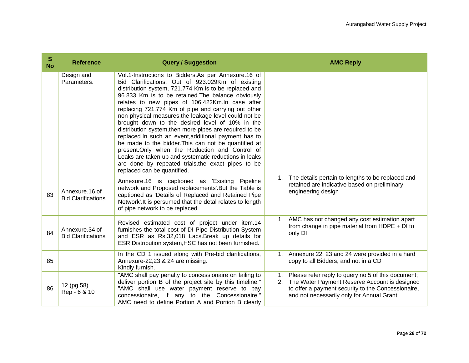| S<br><b>No</b> | <b>Reference</b>                             | <b>Query / Suggestion</b>                                                                                                                                                                                                                                                                                                                                                                                                                                                                                                                                                                                                                                                                                                                                                                                                 | <b>AMC Reply</b>                                                                                                                                                                                                         |
|----------------|----------------------------------------------|---------------------------------------------------------------------------------------------------------------------------------------------------------------------------------------------------------------------------------------------------------------------------------------------------------------------------------------------------------------------------------------------------------------------------------------------------------------------------------------------------------------------------------------------------------------------------------------------------------------------------------------------------------------------------------------------------------------------------------------------------------------------------------------------------------------------------|--------------------------------------------------------------------------------------------------------------------------------------------------------------------------------------------------------------------------|
|                | Design and<br>Parameters.                    | Vol.1-Instructions to Bidders.As per Annexure.16 of<br>Bid Clarifications, Out of 923.029Km of existing<br>distribution system, 721.774 Km is to be replaced and<br>96.833 Km is to be retained. The balance obviously<br>relates to new pipes of 106.422Km. In case after<br>replacing 721.774 Km of pipe and carrying out other<br>non physical measures, the leakage level could not be<br>brought down to the desired level of 10% in the<br>distribution system, then more pipes are required to be<br>replaced. In such an event, additional payment has to<br>be made to the bidder. This can not be quantified at<br>present.Only when the Reduction and Control of<br>Leaks are taken up and systematic reductions in leaks<br>are done by repeated trials, the exact pipes to be<br>replaced can be quantified. |                                                                                                                                                                                                                          |
| 83             | Annexure, 16 of<br><b>Bid Clarifications</b> | Annexure.16 is captioned as 'Existing Pipeline<br>network and Proposed replacements'. But the Table is<br>captioned as 'Details of Replaced and Retained Pipe<br>Network'. It is persumed that the detal relates to length<br>of pipe network to be replaced.                                                                                                                                                                                                                                                                                                                                                                                                                                                                                                                                                             | The details pertain to lengths to be replaced and<br>1.<br>retained are indicative based on preliminary<br>engineering design                                                                                            |
| 84             | Annexure 34 of<br><b>Bid Clarifications</b>  | Revised estimated cost of project under item.14<br>furnishes the total cost of DI Pipe Distribution System<br>and ESR as Rs.32,018 Lacs. Break up details for<br>ESR, Distribution system, HSC has not been furnished.                                                                                                                                                                                                                                                                                                                                                                                                                                                                                                                                                                                                    | 1. AMC has not changed any cost estimation apart<br>from change in pipe material from HDPE $+$ DI to<br>only DI                                                                                                          |
| 85             |                                              | In the CD 1 issued along with Pre-bid clarifications,<br>Annexure-22,23 & 24 are missing.<br>Kindly furnish.                                                                                                                                                                                                                                                                                                                                                                                                                                                                                                                                                                                                                                                                                                              | Annexure 22, 23 and 24 were provided in a hard<br>$1_{1}$<br>copy to all Bidders, and not in a CD                                                                                                                        |
| 86             | 12 (pg 58)<br>Rep - 6 & 10                   | "AMC shall pay penalty to concessionaire on failing to<br>deliver portion B of the project site by this timeline."<br>"AMC shall use water payment reserve to pay<br>concessionaire, if any to the Concessionaire."<br>AMC need to define Portion A and Portion B clearly                                                                                                                                                                                                                                                                                                                                                                                                                                                                                                                                                 | Please refer reply to query no 5 of this document;<br>$1_{\cdot}$<br>2. The Water Payment Reserve Account is designed<br>to offer a payment security to the Concessionaire,<br>and not necessarily only for Annual Grant |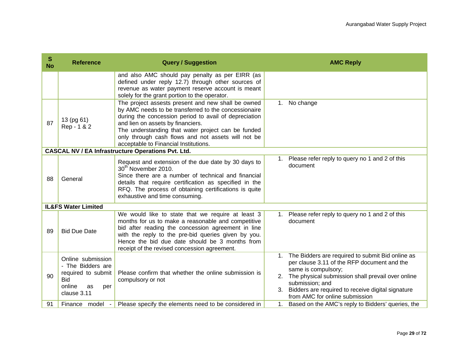| S<br><b>No</b> | <b>Reference</b>                                                                                                 | <b>Query / Suggestion</b>                                                                                                                                                                                                                                                                                                                                     |                | <b>AMC Reply</b>                                                                                                                                                                                                                                                                      |
|----------------|------------------------------------------------------------------------------------------------------------------|---------------------------------------------------------------------------------------------------------------------------------------------------------------------------------------------------------------------------------------------------------------------------------------------------------------------------------------------------------------|----------------|---------------------------------------------------------------------------------------------------------------------------------------------------------------------------------------------------------------------------------------------------------------------------------------|
|                |                                                                                                                  | and also AMC should pay penalty as per EIRR (as<br>defined under reply 12.7) through other sources of<br>revenue as water payment reserve account is meant<br>solely for the grant portion to the operator.                                                                                                                                                   |                |                                                                                                                                                                                                                                                                                       |
| 87             | 13 (pg 61)<br>Rep - 1 & 2                                                                                        | The project assests present and new shall be owned<br>by AMC needs to be transferred to the concessionaire<br>during the concession period to avail of depreciation<br>and lien on assets by financiers.<br>The understanding that water project can be funded<br>only through cash flows and not assets will not be<br>acceptable to Financial Institutions. | 1.             | No change                                                                                                                                                                                                                                                                             |
|                |                                                                                                                  | <b>CASCAL NV / EA Infrastructure Operations Pvt. Ltd.</b>                                                                                                                                                                                                                                                                                                     |                |                                                                                                                                                                                                                                                                                       |
| 88             | General                                                                                                          | Request and extension of the due date by 30 days to<br>30 <sup>th</sup> November 2010.<br>Since there are a number of technical and financial<br>details that require certification as specified in the<br>RFQ. The process of obtaining certifications is quite<br>exhaustive and time consuming.                                                            |                | 1. Please refer reply to query no 1 and 2 of this<br>document                                                                                                                                                                                                                         |
|                | <b>IL&amp;FS Water Limited</b>                                                                                   |                                                                                                                                                                                                                                                                                                                                                               |                |                                                                                                                                                                                                                                                                                       |
| 89             | <b>Bid Due Date</b>                                                                                              | We would like to state that we require at least 3<br>months for us to make a reasonable and competitive<br>bid after reading the concession agreement in line<br>with the reply to the pre-bid queries given by you.<br>Hence the bid due date should be 3 months from<br>receipt of the revised concession agreement.                                        |                | 1. Please refer reply to query no 1 and 2 of this<br>document                                                                                                                                                                                                                         |
| 90             | Online submission<br>- The Bidders are<br>required to submit<br><b>Bid</b><br>online<br>as<br>per<br>clause 3.11 | Please confirm that whether the online submission is<br>compulsory or not                                                                                                                                                                                                                                                                                     | 1.<br>2.<br>3. | The Bidders are required to submit Bid online as<br>per clause 3.11 of the RFP document and the<br>same is compulsory;<br>The physical submission shall prevail over online<br>submission; and<br>Bidders are required to receive digital signature<br>from AMC for online submission |
| 91             | Finance model                                                                                                    | Please specify the elements need to be considered in                                                                                                                                                                                                                                                                                                          | 1.             | Based on the AMC's reply to Bidders' queries, the                                                                                                                                                                                                                                     |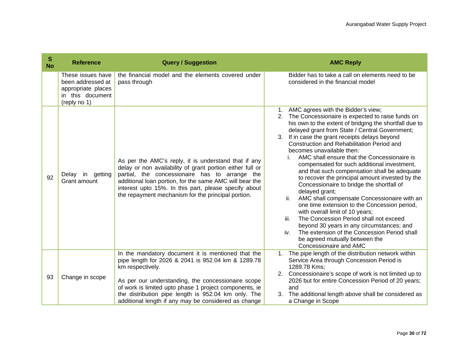| S<br><b>No</b> | <b>Reference</b>                                                                                 | <b>Query / Suggestion</b>                                                                                                                                                                                                                                                                                                                     | <b>AMC Reply</b>                                                                                                                                                                                                                                                                                                                                                                                                                                                                                                                                                                                                                                                                                                                                                                                                                                                                                                                                                    |
|----------------|--------------------------------------------------------------------------------------------------|-----------------------------------------------------------------------------------------------------------------------------------------------------------------------------------------------------------------------------------------------------------------------------------------------------------------------------------------------|---------------------------------------------------------------------------------------------------------------------------------------------------------------------------------------------------------------------------------------------------------------------------------------------------------------------------------------------------------------------------------------------------------------------------------------------------------------------------------------------------------------------------------------------------------------------------------------------------------------------------------------------------------------------------------------------------------------------------------------------------------------------------------------------------------------------------------------------------------------------------------------------------------------------------------------------------------------------|
|                | These issues have<br>been addressed at<br>appropriate places<br>in this document<br>(reply no 1) | the financial model and the elements covered under<br>pass through                                                                                                                                                                                                                                                                            | Bidder has to take a call on elements need to be<br>considered in the financial model                                                                                                                                                                                                                                                                                                                                                                                                                                                                                                                                                                                                                                                                                                                                                                                                                                                                               |
| 92             | Delay in<br>getting<br>Grant amount                                                              | As per the AMC's reply, it is understand that if any<br>delay or non availability of grant portion either full or<br>partial, the concessionaire has to arrange the<br>additional loan portion, for the same AMC will bear the<br>interest upto 15%. In this part, please specify about<br>the repayment mechanism for the principal portion. | AMC agrees with the Bidder's view;<br>1.<br>2. The Concessionaire is expected to raise funds on<br>his own to the extent of bridging the shortfall due to<br>delayed grant from State / Central Government;<br>3. If in case the grant receipts delays beyond<br>Construction and Rehabilitation Period and<br>becomes unavailable then:<br>AMC shall ensure that the Concessionaire is<br>compensated for such additional investment,<br>and that such compensation shall be adequate<br>to recover the principal amount invested by the<br>Concessionaire to bridge the shortfall of<br>delayed grant;<br>ii.<br>AMC shall compensate Concessionaire with an<br>one time extension to the Concession period,<br>with overall limit of 10 years;<br>iii.<br>The Concession Period shall not exceed<br>beyond 30 years in any circumstances; and<br>The extension of the Concession Period shall<br>iv.<br>be agreed mutually between the<br>Concessionaire and AMC |
| 93             | Change in scope                                                                                  | In the mandatory document it is mentioned that the<br>pipe length for 2026 & 2041 is 952.04 km & 1289.78<br>km respectively.<br>As per our understanding, the concessionaire scope<br>of work is limited upto phase 1 project components, ie                                                                                                  | The pipe length of the distribution network within<br>1.<br>Service Area through Concession Period is<br>1289.78 Kms:<br>Concessionaire's scope of work is not limited up to<br>2026 but for entire Concession Period of 20 years;<br>and                                                                                                                                                                                                                                                                                                                                                                                                                                                                                                                                                                                                                                                                                                                           |
|                |                                                                                                  | the distribution pipe length is 952.04 km only. The<br>additional length if any may be considered as change                                                                                                                                                                                                                                   | The additional length above shall be considered as<br>3.<br>a Change in Scope                                                                                                                                                                                                                                                                                                                                                                                                                                                                                                                                                                                                                                                                                                                                                                                                                                                                                       |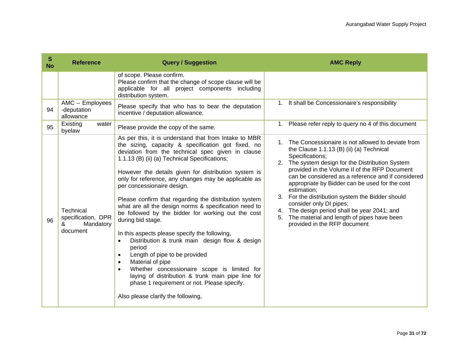| S<br><b>No</b> | <b>Reference</b>                                              | <b>Query / Suggestion</b>                                                                                                                                                                                                                                                                                                                                                                                                                                                                                                                                                                                                                                                                                                                                                                                                                                                                                                                         | <b>AMC Reply</b>                                                                                                                                                                                                                                                                                                                                                                                                                                                                                                                                                   |
|----------------|---------------------------------------------------------------|---------------------------------------------------------------------------------------------------------------------------------------------------------------------------------------------------------------------------------------------------------------------------------------------------------------------------------------------------------------------------------------------------------------------------------------------------------------------------------------------------------------------------------------------------------------------------------------------------------------------------------------------------------------------------------------------------------------------------------------------------------------------------------------------------------------------------------------------------------------------------------------------------------------------------------------------------|--------------------------------------------------------------------------------------------------------------------------------------------------------------------------------------------------------------------------------------------------------------------------------------------------------------------------------------------------------------------------------------------------------------------------------------------------------------------------------------------------------------------------------------------------------------------|
|                |                                                               | of scope. Please confirm.<br>Please confirm that the change of scope clause will be<br>applicable for all project components including<br>distribution system.                                                                                                                                                                                                                                                                                                                                                                                                                                                                                                                                                                                                                                                                                                                                                                                    |                                                                                                                                                                                                                                                                                                                                                                                                                                                                                                                                                                    |
| 94             | AMC - Employees<br>-deputation<br>allowance                   | Please specify that who has to bear the deputation<br>incentive / deputation allowance.                                                                                                                                                                                                                                                                                                                                                                                                                                                                                                                                                                                                                                                                                                                                                                                                                                                           | 1. It shall be Concessionaire's responsibility                                                                                                                                                                                                                                                                                                                                                                                                                                                                                                                     |
| 95             | Existing<br>water<br>byelaw                                   | Please provide the copy of the same.                                                                                                                                                                                                                                                                                                                                                                                                                                                                                                                                                                                                                                                                                                                                                                                                                                                                                                              | 1. Please refer reply to query no 4 of this document                                                                                                                                                                                                                                                                                                                                                                                                                                                                                                               |
| 96             | Technical<br>specification, DPR<br>Mandatory<br>&<br>document | As per this, it is understand that from Intake to MBR<br>the sizing, capacity & specification got fixed, no<br>deviation from the technical spec given in clause<br>1.1.13 (B) (ii) (a) Technical Specifications;<br>However the details given for distribution system is<br>only for reference, any changes may be applicable as<br>per concessionaire design.<br>Please confirm that regarding the distribution system<br>what are all the design norms & specification need to<br>be followed by the bidder for working out the cost<br>during bid stage.<br>In this aspects please specify the following,<br>Distribution & trunk main design flow & design<br>period<br>Length of pipe to be provided<br>$\bullet$<br>Material of pipe<br>$\bullet$<br>Whether concessionaire scope is limited for<br>laying of distribution & trunk main pipe line for<br>phase 1 requirement or not. Please specify.<br>Also please clarify the following, | 1. The Concessionaire is not allowed to deviate from<br>the Clause 1.1.13 (B) (ii) (a) Technical<br>Specifications;<br>2. The system design for the Distribution System<br>provided in the Volume II of the RFP Document<br>can be considered as a reference and if considered<br>appropriate by Bidder can be used for the cost<br>estimation;<br>3. For the distribution system the Bidder should<br>consider only DI pipes;<br>4. The design period shall be year 2041; and<br>The material and length of pipes have been<br>5.<br>provided in the RFP document |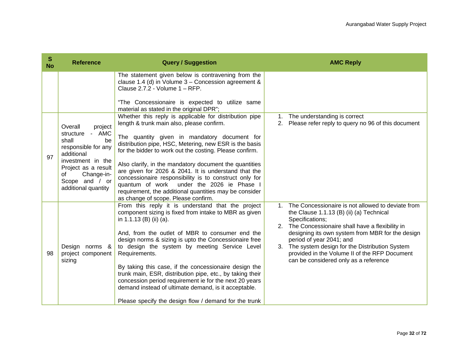| S<br><b>No</b> | <b>Reference</b>                                                                                                                                                               | <b>Query / Suggestion</b>                                                                                                                                                                                                                                                                                                                                                                                                                                                                                                                                   | <b>AMC Reply</b>                                                                                                                                                                                                                                                                                                                                                                                                   |
|----------------|--------------------------------------------------------------------------------------------------------------------------------------------------------------------------------|-------------------------------------------------------------------------------------------------------------------------------------------------------------------------------------------------------------------------------------------------------------------------------------------------------------------------------------------------------------------------------------------------------------------------------------------------------------------------------------------------------------------------------------------------------------|--------------------------------------------------------------------------------------------------------------------------------------------------------------------------------------------------------------------------------------------------------------------------------------------------------------------------------------------------------------------------------------------------------------------|
|                |                                                                                                                                                                                | The statement given below is contravening from the<br>clause 1.4 (d) in Volume $3$ – Concession agreement &<br>Clause 2.7.2 - Volume 1 - RFP.<br>"The Concessionaire is expected to utilize same<br>material as stated in the original DPR";                                                                                                                                                                                                                                                                                                                |                                                                                                                                                                                                                                                                                                                                                                                                                    |
| 97             | Overall<br>project<br>- AMC<br>structure<br>shall<br>be<br>responsible for any<br>additional<br>investment in the<br>Project as a result<br>Change-in-<br>of<br>Scope and / or | Whether this reply is applicable for distribution pipe<br>length & trunk main also, please confirm.<br>The quantity given in mandatory document for<br>distribution pipe, HSC, Metering, new ESR is the basis<br>for the bidder to work out the costing. Please confirm.<br>Also clarify, in the mandatory document the quantities<br>are given for 2026 & 2041. It is understand that the<br>concessionaire responsibility is to construct only for<br>quantum of work under the 2026 ie Phase I                                                           | The understanding is correct<br>1.<br>Please refer reply to query no 96 of this document<br>2.                                                                                                                                                                                                                                                                                                                     |
|                | additional quantity                                                                                                                                                            | requirement, the additional quantities may be consider<br>as change of scope. Please confirm.                                                                                                                                                                                                                                                                                                                                                                                                                                                               |                                                                                                                                                                                                                                                                                                                                                                                                                    |
| 98             | Design norms &<br>project component<br>sizing                                                                                                                                  | From this reply it is understand that the project<br>component sizing is fixed from intake to MBR as given<br>in 1.1.13 (B) (ii) (a).<br>And, from the outlet of MBR to consumer end the<br>design norms & sizing is upto the Concessionaire free<br>to design the system by meeting Service Level<br>Requirements.<br>By taking this case, if the concessionaire design the<br>trunk main, ESR, distribution pipe, etc., by taking their<br>concession period requirement ie for the next 20 years<br>demand instead of ultimate demand, is it acceptable. | The Concessionaire is not allowed to deviate from<br>$1_{\cdot}$<br>the Clause 1.1.13 (B) (ii) (a) Technical<br>Specifications;<br>2. The Concessionaire shall have a flexibility in<br>designing its own system from MBR for the design<br>period of year 2041; and<br>3. The system design for the Distribution System<br>provided in the Volume II of the RFP Document<br>can be considered only as a reference |
|                |                                                                                                                                                                                | Please specify the design flow / demand for the trunk                                                                                                                                                                                                                                                                                                                                                                                                                                                                                                       |                                                                                                                                                                                                                                                                                                                                                                                                                    |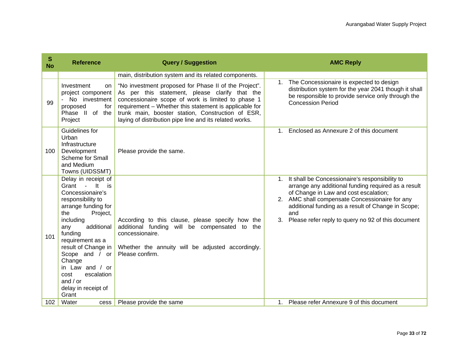| S<br><b>No</b> | <b>Reference</b>                                                                                                                                                                                                                                                                                                                            | <b>Query / Suggestion</b>                                                                                                                                                                                                                                                                                                               | <b>AMC Reply</b>                                                                                                                                                                                                                                                                                                                |
|----------------|---------------------------------------------------------------------------------------------------------------------------------------------------------------------------------------------------------------------------------------------------------------------------------------------------------------------------------------------|-----------------------------------------------------------------------------------------------------------------------------------------------------------------------------------------------------------------------------------------------------------------------------------------------------------------------------------------|---------------------------------------------------------------------------------------------------------------------------------------------------------------------------------------------------------------------------------------------------------------------------------------------------------------------------------|
|                |                                                                                                                                                                                                                                                                                                                                             | main, distribution system and its related components.                                                                                                                                                                                                                                                                                   |                                                                                                                                                                                                                                                                                                                                 |
| 99             | Investment<br>on<br>project component<br>- No investment<br>proposed<br>for<br>Phase II of the<br>Project                                                                                                                                                                                                                                   | "No investment proposed for Phase II of the Project".<br>As per this statement, please clarify that the<br>concessionaire scope of work is limited to phase 1<br>requirement - Whether this statement is applicable for<br>trunk main, booster station, Construction of ESR,<br>laying of distribution pipe line and its related works. | The Concessionaire is expected to design<br>$1_{-}$<br>distribution system for the year 2041 though it shall<br>be responsible to provide service only through the<br><b>Concession Period</b>                                                                                                                                  |
| 100            | Guidelines for<br>Urban<br>Infrastructure<br>Development<br><b>Scheme for Small</b><br>and Medium<br>Towns (UIDSSMT)                                                                                                                                                                                                                        | Please provide the same.                                                                                                                                                                                                                                                                                                                | Enclosed as Annexure 2 of this document<br>1 <sub>1</sub>                                                                                                                                                                                                                                                                       |
| 101            | Delay in receipt of<br>It<br>Grant -<br>is is<br>Concessionaire's<br>responsibility to<br>arrange funding for<br>the<br>Project,<br>including<br>additional<br>any<br>funding<br>requirement as a<br>result of Change in<br>Scope and / or<br>Change<br>in Law and / or<br>cost<br>escalation<br>and $/$ or<br>delay in receipt of<br>Grant | According to this clause, please specify how the<br>additional funding will be compensated to the<br>concessionaire.<br>Whether the annuity will be adjusted accordingly.<br>Please confirm.                                                                                                                                            | It shall be Concessionaire's responsibility to<br>1.<br>arrange any additional funding required as a result<br>of Change in Law and cost escalation;<br>2. AMC shall compensate Concessionaire for any<br>additional funding as a result of Change in Scope;<br>and<br>Please refer reply to query no 92 of this document<br>3. |
| 102            | Water<br>cess                                                                                                                                                                                                                                                                                                                               | Please provide the same                                                                                                                                                                                                                                                                                                                 | Please refer Annexure 9 of this document<br>1 <sup>1</sup>                                                                                                                                                                                                                                                                      |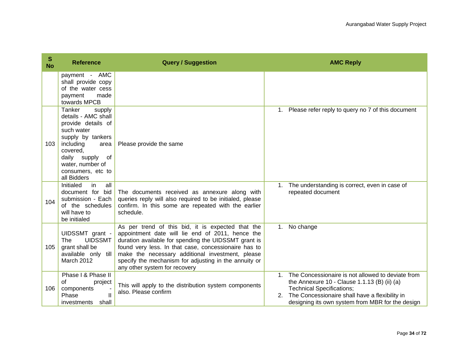| $\mathbf{s}$<br><b>No</b> | <b>Reference</b>                                                                                                                                                                                                | <b>Query / Suggestion</b>                                                                                                                                                                                                                                                                                                                                           |          | <b>AMC Reply</b>                                                                                                                                                                                                                            |
|---------------------------|-----------------------------------------------------------------------------------------------------------------------------------------------------------------------------------------------------------------|---------------------------------------------------------------------------------------------------------------------------------------------------------------------------------------------------------------------------------------------------------------------------------------------------------------------------------------------------------------------|----------|---------------------------------------------------------------------------------------------------------------------------------------------------------------------------------------------------------------------------------------------|
|                           | payment - AMC<br>shall provide copy<br>of the water cess<br>made<br>payment<br>towards MPCB                                                                                                                     |                                                                                                                                                                                                                                                                                                                                                                     |          |                                                                                                                                                                                                                                             |
| 103                       | Tanker<br>supply<br>details - AMC shall<br>provide details of<br>such water<br>supply by tankers<br>including<br>area<br>covered,<br>daily supply<br>of<br>water, number of<br>consumers, etc to<br>all Bidders | Please provide the same                                                                                                                                                                                                                                                                                                                                             |          | 1. Please refer reply to query no 7 of this document                                                                                                                                                                                        |
| 104                       | Initialed<br>in.<br>all<br>document for bid<br>submission - Each<br>of the schedules<br>will have to<br>be initialed                                                                                            | The documents received as annexure along with<br>queries reply will also required to be initialed, please<br>confirm. In this some are repeated with the earlier<br>schedule.                                                                                                                                                                                       | 1.       | The understanding is correct, even in case of<br>repeated document                                                                                                                                                                          |
| 105                       | UIDSSMT grant -<br><b>UIDSSMT</b><br>The<br>grant shall be<br>available only till<br><b>March 2012</b>                                                                                                          | As per trend of this bid, it is expected that the<br>appointment date will lie end of 2011, hence the<br>duration available for spending the UIDSSMT grant is<br>found very less. In that case, concessionaire has to<br>make the necessary additional investment, please<br>specify the mechanism for adjusting in the annuity or<br>any other system for recovery |          | 1. No change                                                                                                                                                                                                                                |
| 106                       | Phase I & Phase II<br>0f<br>project<br>components<br>Phase<br>investments shall                                                                                                                                 | This will apply to the distribution system components<br>also. Please confirm                                                                                                                                                                                                                                                                                       | 1.<br>2. | The Concessionaire is not allowed to deviate from<br>the Annexure 10 - Clause 1.1.13 (B) (ii) (a)<br><b>Technical Specifications;</b><br>The Concessionaire shall have a flexibility in<br>designing its own system from MBR for the design |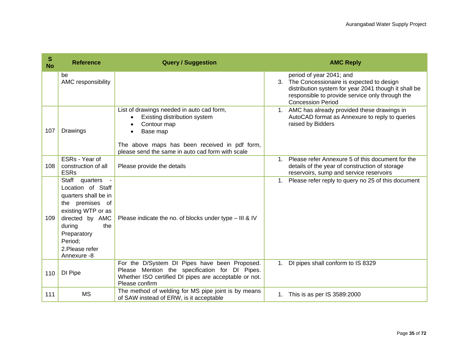| ${\bf S}$<br><b>No</b> | <b>Reference</b>                                                                                                                                                                                          | <b>Query / Suggestion</b>                                                                                                                                                                                                           | <b>AMC Reply</b>                                                                                                                                                                                               |
|------------------------|-----------------------------------------------------------------------------------------------------------------------------------------------------------------------------------------------------------|-------------------------------------------------------------------------------------------------------------------------------------------------------------------------------------------------------------------------------------|----------------------------------------------------------------------------------------------------------------------------------------------------------------------------------------------------------------|
|                        | be<br>AMC responsibility                                                                                                                                                                                  |                                                                                                                                                                                                                                     | period of year 2041; and<br>3. The Concessionaire is expected to design<br>distribution system for year 2041 though it shall be<br>responsible to provide service only through the<br><b>Concession Period</b> |
| 107                    | Drawings                                                                                                                                                                                                  | List of drawings needed in auto cad form,<br>Existing distribution system<br>Contour map<br>$\bullet$<br>Base map<br>$\bullet$<br>The above maps has been received in pdf form,<br>please send the same in auto cad form with scale | 1. AMC has already provided these drawings in<br>AutoCAD format as Annexure to reply to queries<br>raised by Bidders                                                                                           |
| 108                    | ESRs - Year of<br>construction of all<br><b>ESRs</b>                                                                                                                                                      | Please provide the details                                                                                                                                                                                                          | Please refer Annexure 5 of this document for the<br>$1_{-}$<br>details of the year of construction of storage<br>reservoirs, sump and service reservoirs                                                       |
| 109                    | Staff<br>quarters -<br>Location of Staff<br>quarters shall be in<br>the premises of<br>existing WTP or as<br>directed by AMC<br>the<br>during<br>Preparatory<br>Period;<br>2. Please refer<br>Annexure -8 | Please indicate the no. of blocks under type - III & IV                                                                                                                                                                             | Please refer reply to query no 25 of this document<br>$1_{\cdot}$                                                                                                                                              |
| 110                    | DI Pipe                                                                                                                                                                                                   | For the D/System DI Pipes have been Proposed.<br>Please Mention the specification for DI Pipes.<br>Whether ISO certified DI pipes are acceptable or not.<br>Please confirm                                                          | DI pipes shall conform to IS 8329<br>1.                                                                                                                                                                        |
| 111                    | <b>MS</b>                                                                                                                                                                                                 | The method of welding for MS pipe joint is by means<br>of SAW instead of ERW, is it acceptable                                                                                                                                      | 1. This is as per IS 3589:2000                                                                                                                                                                                 |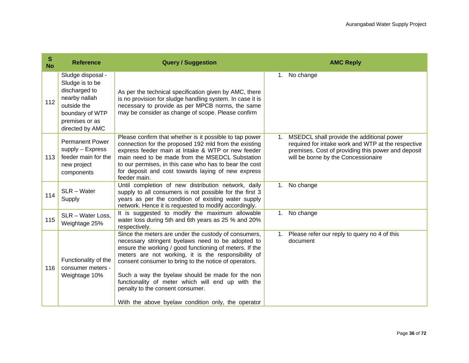| ${\mathbb S}$<br><b>No</b> | <b>Reference</b>                                                                                                                              | <b>Query / Suggestion</b>                                                                                                                                                                                                                                                                                                                                                                                                                                                               |    | <b>AMC Reply</b>                                                                                                                                                                             |
|----------------------------|-----------------------------------------------------------------------------------------------------------------------------------------------|-----------------------------------------------------------------------------------------------------------------------------------------------------------------------------------------------------------------------------------------------------------------------------------------------------------------------------------------------------------------------------------------------------------------------------------------------------------------------------------------|----|----------------------------------------------------------------------------------------------------------------------------------------------------------------------------------------------|
| 112                        | Sludge disposal -<br>Sludge is to be<br>discharged to<br>nearby nallah<br>outside the<br>boundary of WTP<br>premises or as<br>directed by AMC | As per the technical specification given by AMC, there<br>is no provision for sludge handling system. In case it is<br>necessary to provide as per MPCB norms, the same<br>may be consider as change of scope. Please confirm                                                                                                                                                                                                                                                           | 1. | No change                                                                                                                                                                                    |
| 113                        | <b>Permanent Power</b><br>supply - Express<br>feeder main for the<br>new project<br>components                                                | Please confirm that whether is it possible to tap power<br>connection for the proposed 192 mld from the existing<br>express feeder main at Intake & WTP or new feeder<br>main need to be made from the MSEDCL Substation<br>to our permises, in this case who has to bear the cost<br>for deposit and cost towards laying of new express<br>feeder main.                                                                                                                                | 1. | MSEDCL shall provide the additional power<br>required for intake work and WTP at the respective<br>premises. Cost of providing this power and deposit<br>will be borne by the Concessionaire |
| 114                        | SLR - Water<br>Supply                                                                                                                         | Until completion of new distribution network, daily<br>supply to all consumers is not possible for the first 3<br>years as per the condition of existing water supply<br>network. Hence it is requested to modify accordingly.                                                                                                                                                                                                                                                          |    | 1. No change                                                                                                                                                                                 |
| 115                        | SLR - Water Loss,<br>Weightage 25%                                                                                                            | It is suggested to modify the maximum allowable<br>water loss during 5th and 6th years as 25 % and 20%<br>respectively.                                                                                                                                                                                                                                                                                                                                                                 |    | 1. No change                                                                                                                                                                                 |
| 116                        | Functionality of the<br>consumer meters -<br>Weightage 10%                                                                                    | Since the meters are under the custody of consumers,<br>necessary stringent byelaws need to be adopted to<br>ensure the working / good functioning of meters. If the<br>meters are not working, it is the responsibility of<br>consent consumer to bring to the notice of operators.<br>Such a way the byelaw should be made for the non<br>functionality of meter which will end up with the<br>penalty to the consent consumer.<br>With the above byelaw condition only, the operator | 1. | Please refer our reply to query no 4 of this<br>document                                                                                                                                     |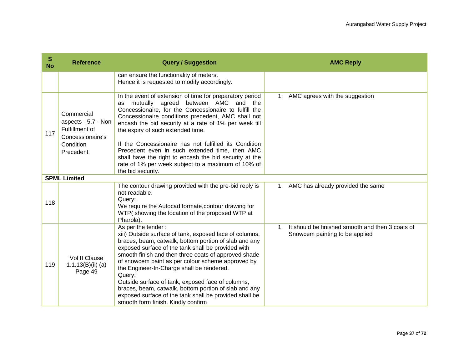| S<br><b>No</b> | <b>Reference</b>                                                                                  | <b>Query / Suggestion</b>                                                                                                                                                                                                                                                                                                                                                                                                                                                                                                                                                      | <b>AMC Reply</b>                                                                              |
|----------------|---------------------------------------------------------------------------------------------------|--------------------------------------------------------------------------------------------------------------------------------------------------------------------------------------------------------------------------------------------------------------------------------------------------------------------------------------------------------------------------------------------------------------------------------------------------------------------------------------------------------------------------------------------------------------------------------|-----------------------------------------------------------------------------------------------|
|                |                                                                                                   | can ensure the functionality of meters.<br>Hence it is requested to modify accordingly.                                                                                                                                                                                                                                                                                                                                                                                                                                                                                        |                                                                                               |
| 117            | Commercial<br>aspects - 5.7 - Non<br>Fulfillment of<br>Concessionaire's<br>Condition<br>Precedent | In the event of extension of time for preparatory period<br>as mutually agreed between AMC and<br>the<br>Concessionaire, for the Concessionaire to fulfill the<br>Concessionaire conditions precedent, AMC shall not<br>encash the bid security at a rate of 1% per week till<br>the expiry of such extended time.<br>If the Concessionaire has not fulfilled its Condition<br>Precedent even in such extended time, then AMC<br>shall have the right to encash the bid security at the<br>rate of 1% per week subject to a maximum of 10% of<br>the bid security.             | 1. AMC agrees with the suggestion                                                             |
|                | <b>SPML Limited</b>                                                                               |                                                                                                                                                                                                                                                                                                                                                                                                                                                                                                                                                                                |                                                                                               |
| 118            |                                                                                                   | The contour drawing provided with the pre-bid reply is<br>not readable.<br>Query:<br>We require the Autocad formate, contour drawing for<br>WTP(showing the location of the proposed WTP at<br>Pharola).                                                                                                                                                                                                                                                                                                                                                                       | 1. AMC has already provided the same                                                          |
| 119            | Vol II Clause<br>1.1.13(B(iii) (a)<br>Page 49                                                     | As per the tender:<br>xiii) Outside surface of tank, exposed face of columns,<br>braces, beam, catwalk, bottom portion of slab and any<br>exposed surface of the tank shall be provided with<br>smooth finish and then three coats of approved shade<br>of snowcem paint as per colour scheme approved by<br>the Engineer-In-Charge shall be rendered.<br>Query:<br>Outside surface of tank, exposed face of columns,<br>braces, beam, catwalk, bottom portion of slab and any<br>exposed surface of the tank shall be provided shall be<br>smooth form finish. Kindly confirm | It should be finished smooth and then 3 coats of<br>$1_{-}$<br>Snowcem painting to be applied |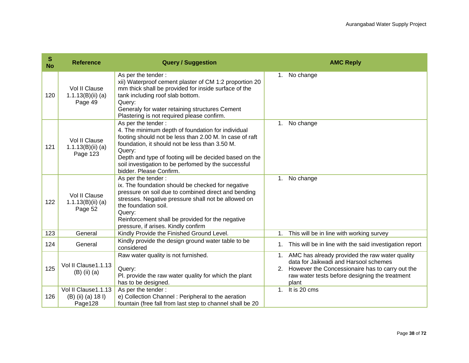| $\mathbb S$<br><b>No</b> | <b>Reference</b>                                     | <b>Query / Suggestion</b>                                                                                                                                                                                                                                                                                                                  |                | <b>AMC Reply</b>                                                                                                                                                                                         |
|--------------------------|------------------------------------------------------|--------------------------------------------------------------------------------------------------------------------------------------------------------------------------------------------------------------------------------------------------------------------------------------------------------------------------------------------|----------------|----------------------------------------------------------------------------------------------------------------------------------------------------------------------------------------------------------|
| 120                      | Vol II Clause<br>$1.1.13(B)(ii)$ (a)<br>Page 49      | As per the tender:<br>xii) Waterproof cement plaster of CM 1:2 proportion 20<br>mm thick shall be provided for inside surface of the<br>tank including roof slab bottom.<br>Query:<br>Generaly for water retaining structures Cement<br>Plastering is not required please confirm.                                                         |                | 1. No change                                                                                                                                                                                             |
| 121                      | Vol II Clause<br>$1.1.13(B)(ii)$ (a)<br>Page 123     | As per the tender:<br>4. The minimum depth of foundation for individual<br>footing should not be less than 2.00 M. In case of raft<br>foundation, it should not be less than 3.50 M.<br>Query:<br>Depth and type of footing will be decided based on the<br>soil investigation to be perfomed by the successful<br>bidder. Please Confirm. | 1 <sub>1</sub> | No change                                                                                                                                                                                                |
| 122                      | Vol II Clause<br>$1.1.13(B)(ii)$ (a)<br>Page 52      | As per the tender:<br>ix. The foundation should be checked for negative<br>pressure on soil due to combined direct and bending<br>stresses. Negative pressure shall not be allowed on<br>the foundation soil.<br>Query:<br>Reinforcement shall be provided for the negative<br>pressure, if arises. Kindly confirm                         | 1.             | No change                                                                                                                                                                                                |
| 123                      | General                                              | Kindly Provide the Finished Ground Level.                                                                                                                                                                                                                                                                                                  | 1.             | This will be in line with working survey                                                                                                                                                                 |
| 124                      | General                                              | Kindly provide the design ground water table to be<br>considered                                                                                                                                                                                                                                                                           | 1.             | This will be in line with the said investigation report                                                                                                                                                  |
| 125                      | Vol II Clause1.1.13<br>$(B)$ (ii) $(a)$              | Raw water quality is not furnished.<br>Query:<br>Pl. provide the raw water quality for which the plant<br>has to be designed.                                                                                                                                                                                                              | 1.             | AMC has already provided the raw water quality<br>data for Jaikwadi and Harsool schemes<br>2. However the Concessionaire has to carry out the<br>raw water tests before designing the treatment<br>plant |
| 126                      | Vol II Clause1.1.13<br>(B) (ii) (a) 18 l)<br>Page128 | As per the tender:<br>e) Collection Channel : Peripheral to the aeration<br>fountain (free fall from last step to channel shall be 20                                                                                                                                                                                                      | 1 <sub>1</sub> | It is 20 cms                                                                                                                                                                                             |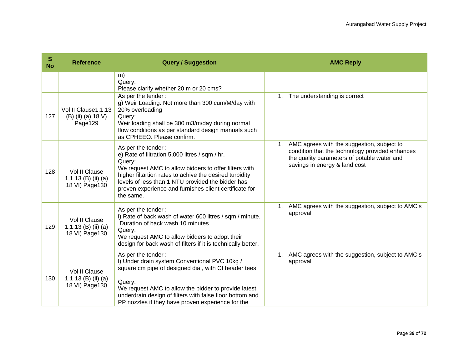| S<br><b>No</b> | <b>Reference</b>                                        | <b>Query / Suggestion</b>                                                                                                                                                                                                                                                                                                      | <b>AMC Reply</b>                                                                                                                                                                    |
|----------------|---------------------------------------------------------|--------------------------------------------------------------------------------------------------------------------------------------------------------------------------------------------------------------------------------------------------------------------------------------------------------------------------------|-------------------------------------------------------------------------------------------------------------------------------------------------------------------------------------|
|                |                                                         | m)<br>Query:<br>Please clarify whether 20 m or 20 cms?                                                                                                                                                                                                                                                                         |                                                                                                                                                                                     |
| 127            | Vol II Clause1.1.13<br>(B) (ii) (a) 18 V)<br>Page129    | As per the tender:<br>g) Weir Loading: Not more than 300 cum/M/day with<br>20% overloading<br>Query:<br>Weir loading shall be 300 m3/m/day during normal<br>flow conditions as per standard design manuals such<br>as CPHEEO. Please confirm.                                                                                  | 1. The understanding is correct                                                                                                                                                     |
| 128            | Vol II Clause<br>1.1.13 (B) (ii) (a)<br>18 VI) Page 130 | As per the tender:<br>e) Rate of filtration 5,000 litres / sqm / hr.<br>Query:<br>We request AMC to allow bidders to offer filters with<br>higher filtartion rates to achive the desired turbidity<br>levels of less than 1 NTU provided the bidder has<br>proven experience and furnishes client certificate for<br>the same. | AMC agrees with the suggestion, subject to<br>1.<br>condition that the technology provided enhances<br>the quality parameters of potable water and<br>savings in energy & land cost |
| 129            | Vol II Clause<br>1.1.13 (B) (ii) (a)<br>18 VI) Page 130 | As per the tender:<br>i) Rate of back wash of water 600 litres / sqm / minute.<br>Duration of back wash 10 minutes.<br>Query:<br>We request AMC to allow bidders to adopt their<br>design for back wash of filters if it is technically better.                                                                                | 1. AMC agrees with the suggestion, subject to AMC's<br>approval                                                                                                                     |
| 130            | Vol II Clause<br>1.1.13 (B) (ii) (a)<br>18 VI) Page 130 | As per the tender:<br>I) Under drain system Conventional PVC 10kg /<br>square cm pipe of designed dia., with CI header tees.<br>Query:<br>We request AMC to allow the bidder to provide latest<br>underdrain design of filters with false floor bottom and<br>PP nozzles if they have proven experience for the                | 1. AMC agrees with the suggestion, subject to AMC's<br>approval                                                                                                                     |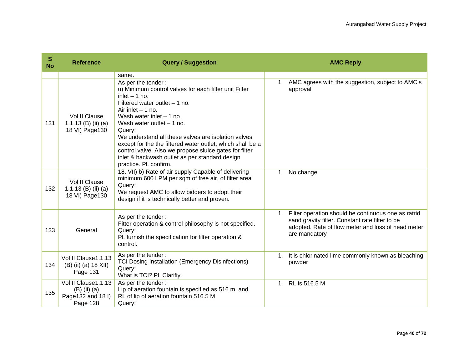| S<br><b>No</b> | <b>Reference</b>                                                       | <b>Query / Suggestion</b>                                                                                                                                                                                                                                                                                                                                                                                                                                                                      |                | <b>AMC Reply</b>                                                                                                                                                              |
|----------------|------------------------------------------------------------------------|------------------------------------------------------------------------------------------------------------------------------------------------------------------------------------------------------------------------------------------------------------------------------------------------------------------------------------------------------------------------------------------------------------------------------------------------------------------------------------------------|----------------|-------------------------------------------------------------------------------------------------------------------------------------------------------------------------------|
| 131            | Vol II Clause<br>1.1.13 (B) (ii) (a)<br>18 VI) Page 130                | same.<br>As per the tender:<br>u) Minimum control valves for each filter unit Filter<br>inlet $-1$ no.<br>Filtered water outlet $-1$ no.<br>Air inlet $-1$ no.<br>Wash water inlet $-1$ no.<br>Wash water outlet $-1$ no.<br>Query:<br>We understand all these valves are isolation valves<br>except for the the filtered water outlet, which shall be a<br>control valve. Also we propose sluice gates for filter<br>inlet & backwash outlet as per standard design<br>practice. Pl. confirm. | 1.             | AMC agrees with the suggestion, subject to AMC's<br>approval                                                                                                                  |
| 132            | Vol II Clause<br>1.1.13 (B) (ii) (a)<br>18 VI) Page 130                | 18. VII) b) Rate of air supply Capable of delivering<br>minimum 600 LPM per sqm of free air, of filter area<br>Query:<br>We request AMC to allow bidders to adopt their<br>design if it is technically better and proven.                                                                                                                                                                                                                                                                      | 1.             | No change                                                                                                                                                                     |
| 133            | General                                                                | As per the tender:<br>Fitter operation & control philosophy is not specified.<br>Query:<br>Pl. furnish the specification for filter operation &<br>control.                                                                                                                                                                                                                                                                                                                                    | $1_{\cdot}$    | Filter operation should be continuous one as ratrid<br>sand gravity filter. Constant rate filter to be<br>adopted. Rate of flow meter and loss of head meter<br>are mandatory |
| 134            | Vol II Clause1.1.13<br>(B) (ii) (a) 18 XII)<br>Page 131                | As per the tender:<br><b>TCI Dosing Installation (Emergency Disinfections)</b><br>Query:<br>What is TCI? PI. Clarifiy.                                                                                                                                                                                                                                                                                                                                                                         | 1.             | It is chlorinated lime commonly known as bleaching<br>powder                                                                                                                  |
| 135            | Vol II Clause1.1.13<br>$(B)$ (ii) (a)<br>Page132 and 18 I)<br>Page 128 | As per the tender:<br>Lip of aeration fountain is specified as 516 m and<br>RL of lip of aeration fountain 516.5 M<br>Query:                                                                                                                                                                                                                                                                                                                                                                   | 1 <sup>1</sup> | RL is 516.5 M                                                                                                                                                                 |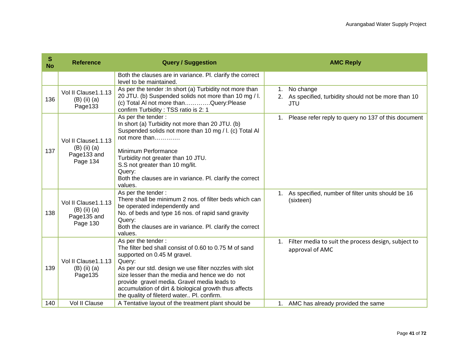| S<br><b>No</b> | <b>Reference</b>                                                   | <b>Query / Suggestion</b>                                                                                                                                                                                                                                                                                                                                                               | <b>AMC Reply</b>                                                                       |
|----------------|--------------------------------------------------------------------|-----------------------------------------------------------------------------------------------------------------------------------------------------------------------------------------------------------------------------------------------------------------------------------------------------------------------------------------------------------------------------------------|----------------------------------------------------------------------------------------|
|                |                                                                    | Both the clauses are in variance. Pl. clarify the correct<br>level to be maintained.                                                                                                                                                                                                                                                                                                    |                                                                                        |
| 136            | Vol II Clause1.1.13<br>$(B)$ (ii) $(a)$<br>Page133                 | As per the tender : In short (a) Turbidity not more than<br>20 JTU. (b) Suspended solids not more than 10 mg / l.<br>(c) Total AI not more thanQuery:Please<br>confirm Turbidity: TSS ratio is 2: 1                                                                                                                                                                                     | No change<br>1.<br>2. As specified, turbidity should not be more than 10<br><b>JTU</b> |
| 137            | Vol II Clause1.1.13<br>$(B)$ (ii) $(a)$<br>Page133 and<br>Page 134 | As per the tender:<br>In short (a) Turbidity not more than 20 JTU. (b)<br>Suspended solids not more than 10 mg / I. (c) Total Al<br>not more than<br>Minimum Performance<br>Turbidity not greater than 10 JTU.<br>S.S not greater than 10 mg/lit.<br>Query:<br>Both the clauses are in variance. Pl. clarify the correct<br>values.                                                     | 1. Please refer reply to query no 137 of this document                                 |
| 138            | Vol II Clause1.1.13<br>$(B)$ (ii) $(a)$<br>Page135 and<br>Page 130 | As per the tender:<br>There shall be minimum 2 nos. of filter beds which can<br>be operated independently and<br>No. of beds and type 16 nos. of rapid sand gravity<br>Query:<br>Both the clauses are in variance. Pl. clarify the correct<br>values.                                                                                                                                   | 1. As specified, number of filter units should be 16<br>(sixteen)                      |
| 139            | Vol II Clause 1.1.13<br>$(B)$ (ii) (a)<br>Page135                  | As per the tender:<br>The filter bed shall consist of 0.60 to 0.75 M of sand<br>supported on 0.45 M gravel.<br>Query:<br>As per our std. design we use filter nozzles with slot<br>size lesser than the media and hence we do not<br>provide gravel media. Gravel media leads to<br>accumulation of dirt & biological growth thus affects<br>the quality of fileterd water Pl. confirm. | Filter media to suit the process design, subject to<br>1.<br>approval of AMC           |
| 140            | Vol II Clause                                                      | A Tentative layout of the treatment plant should be                                                                                                                                                                                                                                                                                                                                     | 1. AMC has already provided the same                                                   |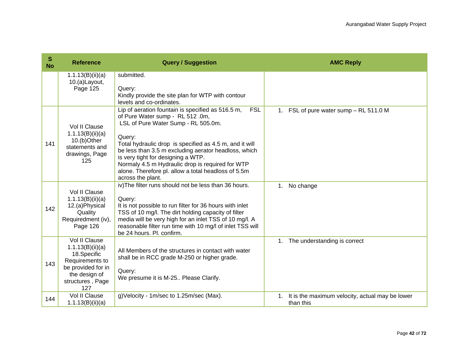| S<br><b>No</b> | <b>Reference</b>                                                                                                                      | <b>Query / Suggestion</b>                                                                                                                                                                                                                                                                                                                                                                                                                     | <b>AMC Reply</b>                                                   |
|----------------|---------------------------------------------------------------------------------------------------------------------------------------|-----------------------------------------------------------------------------------------------------------------------------------------------------------------------------------------------------------------------------------------------------------------------------------------------------------------------------------------------------------------------------------------------------------------------------------------------|--------------------------------------------------------------------|
|                | 1.1.13(B)(ii)(a)<br>10.(a)Layout,<br>Page 125                                                                                         | submitted.<br>Query:<br>Kindly provide the site plan for WTP with contour<br>levels and co-ordinates.                                                                                                                                                                                                                                                                                                                                         |                                                                    |
| 141            | Vol II Clause<br>1.1.13(B)(ii)(a)<br>10.(b)Other<br>statements and<br>drawings, Page<br>125                                           | Lip of aeration fountain is specified as 516.5 m,<br><b>FSL</b><br>of Pure Water sump - RL 512 .0m,<br>LSL of Pure Water Sump - RL 505.0m.<br>Query:<br>Total hydraulic drop is specified as 4.5 m, and it will<br>be less than 3.5 m excluding aerator headloss, which<br>is very tight for designing a WTP.<br>Normaly 4.5 m Hydraulic drop is required for WTP<br>alone. Therefore pl. allow a total headloss of 5.5m<br>across the plant. | 1. FSL of pure water sump - RL 511.0 M                             |
| 142            | Vol II Clause<br>1.1.13(B)(ii)(a)<br>12.(a)Physical<br>Quality<br>Requiredment (iv),<br>Page 126                                      | iv) The filter runs should not be less than 36 hours.<br>Query:<br>It is not possible to run filter for 36 hours with inlet<br>TSS of 10 mg/l. The dirt holding capacity of filter<br>media will be very high for an inlet TSS of 10 mg/l. A<br>reasonable filter run time with 10 mg/l of inlet TSS will<br>be 24 hours. Pl. confirm.                                                                                                        | 1. No change                                                       |
| 143            | Vol II Clause<br>1.1.13(B)(ii)(a)<br>18.Specific<br>Requirements to<br>be provided for in<br>the design of<br>structures, Page<br>127 | All Members of the structures in contact with water<br>shall be in RCC grade M-250 or higher grade.<br>Query:<br>We presume it is M-25 Please Clarify.                                                                                                                                                                                                                                                                                        | 1. The understanding is correct                                    |
| 144            | Vol II Clause<br>1.1.13(B)(ii)(a)                                                                                                     | g) Velocity - 1m/sec to 1.25m/sec (Max).                                                                                                                                                                                                                                                                                                                                                                                                      | It is the maximum velocity, actual may be lower<br>1.<br>than this |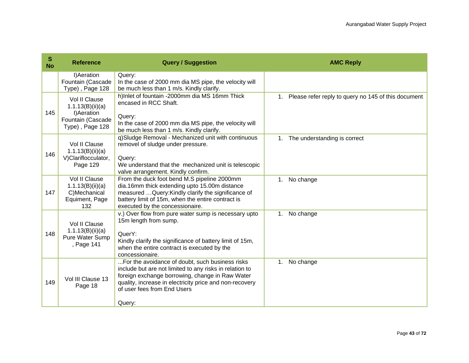| $\mathbf{s}$<br><b>No</b> | <b>Reference</b>                                                                         | <b>Query / Suggestion</b>                                                                                                                                                                                                                                         | <b>AMC Reply</b>                                       |
|---------------------------|------------------------------------------------------------------------------------------|-------------------------------------------------------------------------------------------------------------------------------------------------------------------------------------------------------------------------------------------------------------------|--------------------------------------------------------|
|                           | I)Aeration<br>Fountain (Cascade<br>Type), Page 128                                       | Query:<br>In the case of 2000 mm dia MS pipe, the velocity will<br>be much less than 1 m/s. Kindly clarify.                                                                                                                                                       |                                                        |
| 145                       | Vol II Clause<br>1.1.13(B)(ii)(a)<br>I) Aeration<br>Fountain (Cascade<br>Type), Page 128 | h)Inlet of fountain -2000mm dia MS 16mm Thick<br>encased in RCC Shaft.<br>Query:<br>In the case of 2000 mm dia MS pipe, the velocity will<br>be much less than 1 m/s. Kindly clarify.                                                                             | 1. Please refer reply to query no 145 of this document |
| 146                       | Vol II Clause<br>1.1.13(B)(ii)(a)<br>V)Clariflocculator,<br>Page 129                     | q)Sludge Removal - Mechanized unit with continuous<br>removel of sludge under pressure.<br>Query:<br>We understand that the mechanized unit is telescopic<br>valve arrangement. Kindly confirm.                                                                   | 1. The understanding is correct                        |
| 147                       | Vol II Clause<br>1.1.13(B)(ii)(a)<br>C)Mechanical<br>Equiment, Page<br>132               | From the duck foot bend M.S pipeline 2000mm<br>dia.16mm thick extending upto 15.00m distance<br>measured  Query: Kindly clarify the significance of<br>battery limit of 15m, when the entire contract is<br>executed by the concessionaire.                       | 1. No change                                           |
| 148                       | Vol II Clause<br>1.1.13(B)(ii)(a)<br>Pure Water Sump<br>, Page 141                       | v.) Over flow from pure water sump is necessary upto<br>15m length from sump.<br>QuerY:<br>Kindly clarify the significance of battery limit of 15m,<br>when the entire contract is executed by the<br>concessionaire.                                             | No change<br>1.                                        |
| 149                       | Vol III Clause 13<br>Page 18                                                             | For the avoidance of doubt, such business risks<br>include but are not limited to any risks in relation to<br>foreign exchange borrowing, change in Raw Water<br>quality, increase in electricity price and non-recovery<br>of user fees from End Users<br>Query: | No change<br>1.                                        |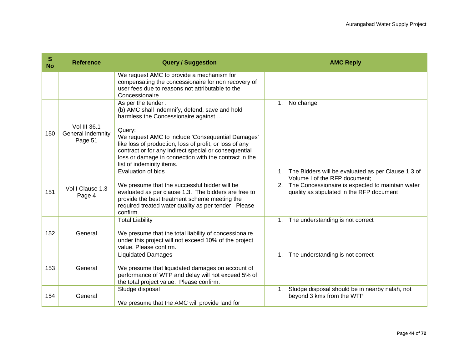| S<br><b>No</b> | <b>Reference</b>                             | <b>Query / Suggestion</b>                                                                                                                                                                                                                                             |                | <b>AMC Reply</b>                                                                                 |
|----------------|----------------------------------------------|-----------------------------------------------------------------------------------------------------------------------------------------------------------------------------------------------------------------------------------------------------------------------|----------------|--------------------------------------------------------------------------------------------------|
|                |                                              | We request AMC to provide a mechanism for<br>compensating the concessionaire for non recovery of<br>user fees due to reasons not attributable to the<br>Concessionaire                                                                                                |                |                                                                                                  |
|                |                                              | As per the tender:<br>(b) AMC shall indemnify, defend, save and hold<br>harmless the Concessionaire against                                                                                                                                                           | 1 <sub>1</sub> | No change                                                                                        |
| 150            | Vol III 36.1<br>General indemnity<br>Page 51 | Query:<br>We request AMC to include 'Consequential Damages'<br>like loss of production, loss of profit, or loss of any<br>contract or for any indirect special or consequential<br>loss or damage in connection with the contract in the<br>list of indeminity items. |                |                                                                                                  |
|                |                                              | <b>Evaluation of bids</b>                                                                                                                                                                                                                                             | 1 <sub>1</sub> | The Bidders will be evaluated as per Clause 1.3 of<br>Volume I of the RFP document;              |
| 151            | Vol I Clause 1.3<br>Page 4                   | We presume that the successful bidder will be<br>evaluated as per clause 1.3. The bidders are free to<br>provide the best treatment scheme meeting the<br>required treated water quality as per tender. Please<br>confirm.                                            |                | 2. The Concessionaire is expected to maintain water<br>quality as stipulated in the RFP document |
|                |                                              | <b>Total Liability</b>                                                                                                                                                                                                                                                |                | 1. The understanding is not correct                                                              |
| 152            | General                                      | We presume that the total liability of concessionaire<br>under this project will not exceed 10% of the project<br>value. Please confirm.                                                                                                                              |                |                                                                                                  |
|                |                                              | <b>Liquidated Damages</b>                                                                                                                                                                                                                                             |                | 1. The understanding is not correct                                                              |
| 153            | General                                      | We presume that liquidated damages on account of<br>performance of WTP and delay will not exceed 5% of<br>the total project value. Please confirm.                                                                                                                    |                |                                                                                                  |
| 154            | General                                      | Sludge disposal<br>We presume that the AMC will provide land for                                                                                                                                                                                                      | 1.             | Sludge disposal should be in nearby nalah, not<br>beyond 3 kms from the WTP                      |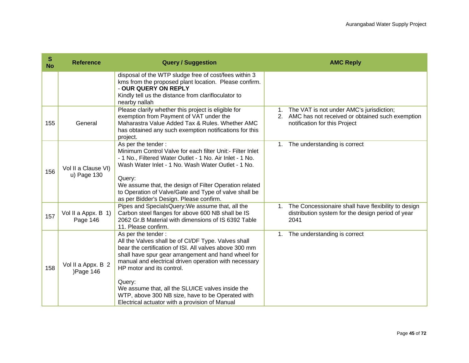| S<br><b>No</b> | <b>Reference</b>                   | <b>Query / Suggestion</b>                                                                                                                                                                                                                                                                                                                                                                                                                            | <b>AMC Reply</b>                                                                                                                                  |
|----------------|------------------------------------|------------------------------------------------------------------------------------------------------------------------------------------------------------------------------------------------------------------------------------------------------------------------------------------------------------------------------------------------------------------------------------------------------------------------------------------------------|---------------------------------------------------------------------------------------------------------------------------------------------------|
|                |                                    | disposal of the WTP sludge free of cost/fees within 3<br>kms from the proposed plant location. Please confirm.<br>- OUR QUERY ON REPLY<br>Kindly tell us the distance from clarifloculator to<br>nearby nallah                                                                                                                                                                                                                                       |                                                                                                                                                   |
| 155            | General                            | Please clarify whether this project is eligible for<br>exemption from Payment of VAT under the<br>Maharastra Value Added Tax & Rules. Whether AMC<br>has obtained any such exemption notifications for this<br>project.                                                                                                                                                                                                                              | The VAT is not under AMC's jurisdiction;<br>1 <sub>1</sub><br>2. AMC has not received or obtained such exemption<br>notification for this Project |
| 156            | Vol II a Clause VI)<br>u) Page 130 | As per the tender:<br>Minimum Control Valve for each filter Unit:- Filter Inlet<br>- 1 No., Filtered Water Outlet - 1 No. Air Inlet - 1 No.<br>Wash Water Inlet - 1 No. Wash Water Outlet - 1 No.<br>Query:<br>We assume that, the design of Filter Operation related<br>to Operation of Valve/Gate and Type of valve shall be<br>as per Bidder's Design. Please confirm.                                                                            | The understanding is correct<br>1.                                                                                                                |
| 157            | Vol II a Appx. B 1)<br>Page 146    | Pipes and SpecialsQuery: We assume that, all the<br>Carbon steel flanges for above 600 NB shall be IS<br>2062 Gr.B Material with dimensions of IS 6392 Table<br>11. Please confirm.                                                                                                                                                                                                                                                                  | The Concessionaire shall have flexibility to design<br>1.<br>distribution system for the design period of year<br>2041                            |
| 158            | Vol II a Appx. B 2<br>)Page 146    | As per the tender:<br>All the Valves shall be of CI/DF Type. Valves shall<br>bear the certification of ISI. All valves above 300 mm<br>shall have spur gear arrangement and hand wheel for<br>manual and electrical driven operation with necessary<br>HP motor and its control.<br>Query:<br>We assume that, all the SLUICE valves inside the<br>WTP, above 300 NB size, have to be Operated with<br>Electrical actuator with a provision of Manual | The understanding is correct<br>1.                                                                                                                |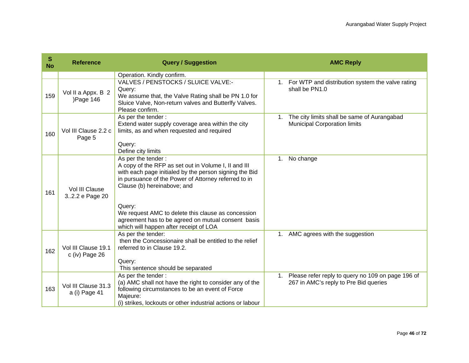| S<br><b>No</b> | <b>Reference</b>                        | <b>Query / Suggestion</b>                                                                                                                                                                                                                                                                                                                                                                   | <b>AMC Reply</b>                                                                                     |
|----------------|-----------------------------------------|---------------------------------------------------------------------------------------------------------------------------------------------------------------------------------------------------------------------------------------------------------------------------------------------------------------------------------------------------------------------------------------------|------------------------------------------------------------------------------------------------------|
|                |                                         | Operation. Kindly confirm.                                                                                                                                                                                                                                                                                                                                                                  |                                                                                                      |
| 159            | Vol II a Appx. B 2<br>)Page 146         | VALVES / PENSTOCKS / SLUICE VALVE:-<br>Query:<br>We assume that, the Valve Rating shall be PN 1.0 for<br>Sluice Valve, Non-return valves and Butterlfy Valves.<br>Please confirm.                                                                                                                                                                                                           | For WTP and distribution system the valve rating<br>1.<br>shall be PN1.0                             |
| 160            | Vol III Clause 2.2 c<br>Page 5          | As per the tender:<br>Extend water supply coverage area within the city<br>limits, as and when requested and required<br>Query:<br>Define city limits                                                                                                                                                                                                                                       | The city limits shall be same of Aurangabad<br>1 <sub>1</sub><br><b>Municipal Corporation limits</b> |
| 161            | Vol III Clause<br>32.2 e Page 20        | As per the tender:<br>A copy of the RFP as set out in Volume I, II and III<br>with each page initialed by the person signing the Bid<br>in pursuance of the Power of Attorney referred to in<br>Clause (b) hereinabove; and<br>Query:<br>We request AMC to delete this clause as concession<br>agreement has to be agreed on mutual consent basis<br>which will happen after receipt of LOA | No change<br>1.                                                                                      |
| 162            | Vol III Clause 19.1<br>$c$ (iv) Page 26 | As per the tender:<br>then the Concessionaire shall be entitled to the relief<br>referred to in Clause 19.2.<br>Query:<br>This sentence should be separated                                                                                                                                                                                                                                 | 1. AMC agrees with the suggestion                                                                    |
| 163            | Vol III Clause 31.3<br>a (i) Page 41    | As per the tender:<br>(a) AMC shall not have the right to consider any of the<br>following circumstances to be an event of Force<br>Majeure:<br>(i) strikes, lockouts or other industrial actions or labour                                                                                                                                                                                 | 1. Please refer reply to query no 109 on page 196 of<br>267 in AMC's reply to Pre Bid queries        |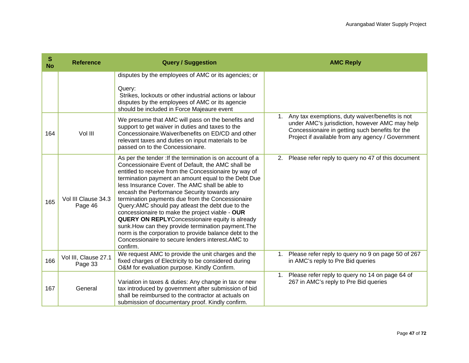| S<br><b>No</b> | <b>Reference</b>                | <b>Query / Suggestion</b>                                                                                                                                                                                                                                                                                                                                                                                                                                                                                                                                                                                                                                                                                                               | <b>AMC Reply</b>                                                                                                                                                                                                         |
|----------------|---------------------------------|-----------------------------------------------------------------------------------------------------------------------------------------------------------------------------------------------------------------------------------------------------------------------------------------------------------------------------------------------------------------------------------------------------------------------------------------------------------------------------------------------------------------------------------------------------------------------------------------------------------------------------------------------------------------------------------------------------------------------------------------|--------------------------------------------------------------------------------------------------------------------------------------------------------------------------------------------------------------------------|
|                |                                 | disputes by the employees of AMC or its agencies; or                                                                                                                                                                                                                                                                                                                                                                                                                                                                                                                                                                                                                                                                                    |                                                                                                                                                                                                                          |
|                |                                 | Query:<br>Strikes, lockouts or other industrial actions or labour<br>disputes by the employees of AMC or its agencie<br>should be included in Force Majeaure event                                                                                                                                                                                                                                                                                                                                                                                                                                                                                                                                                                      |                                                                                                                                                                                                                          |
| 164            | Vol III                         | We presume that AMC will pass on the benefits and<br>support to get waiver in duties and taxes to the<br>Concessionaire. Waiver/benefits on ED/CD and other<br>relevant taxes and duties on input materials to be<br>passed on to the Concessionaire.                                                                                                                                                                                                                                                                                                                                                                                                                                                                                   | Any tax exemptions, duty waiver/benefits is not<br>$1_{\cdot}$<br>under AMC's jurisdiction, however AMC may help<br>Concessionaire in getting such benefits for the<br>Project if available from any agency / Government |
| 165            | Vol III Clause 34.3<br>Page 46  | As per the tender : If the termination is on account of a<br>Concessionaire Event of Default, the AMC shall be<br>entitled to receive from the Concessionaire by way of<br>termination payment an amount equal to the Debt Due<br>less Insurance Cover. The AMC shall be able to<br>encash the Performance Security towards any<br>termination payments due from the Concessionaire<br>Query: AMC should pay atleast the debt due to the<br>concessionaire to make the project viable - OUR<br><b>QUERY ON REPLY</b> Concessionaire equity is already<br>sunk. How can they provide termination payment. The<br>norm is the corporation to provide balance debt to the<br>Concessionaire to secure lenders interest. AMC to<br>confirm. | 2. Please refer reply to query no 47 of this document                                                                                                                                                                    |
| 166            | Vol III, Clause 27.1<br>Page 33 | We request AMC to provide the unit charges and the<br>fixed charges of Electricity to be considered during<br>O&M for evaluation purpose. Kindly Confirm.                                                                                                                                                                                                                                                                                                                                                                                                                                                                                                                                                                               | Please refer reply to query no 9 on page 50 of 267<br>1.<br>in AMC's reply to Pre Bid queries                                                                                                                            |
| 167            | General                         | Variation in taxes & duties: Any change in tax or new<br>tax introduced by government after submission of bid<br>shall be reimbursed to the contractor at actuals on<br>submission of documentary proof. Kindly confirm.                                                                                                                                                                                                                                                                                                                                                                                                                                                                                                                | Please refer reply to query no 14 on page 64 of<br>1.<br>267 in AMC's reply to Pre Bid queries                                                                                                                           |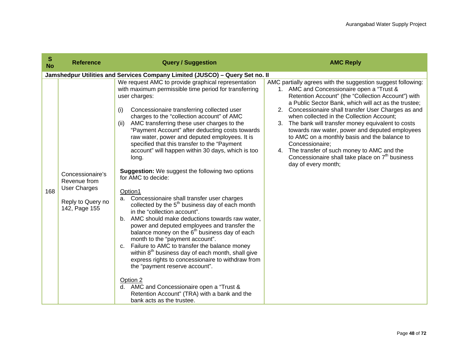| S<br><b>No</b> | <b>Reference</b>                                                                              | <b>Query / Suggestion</b>                                                                                                                                                                                                                                                                                                                                                                                                                                                                                                                                                                                                                                                                                                                                                                                                                                                                                                                                                                                                                                                                                                                                                                                                                                                                                               | <b>AMC Reply</b>                                                                                                                                                                                                                                                                                                                                                                                                                                                                                                                                                                                                                    |
|----------------|-----------------------------------------------------------------------------------------------|-------------------------------------------------------------------------------------------------------------------------------------------------------------------------------------------------------------------------------------------------------------------------------------------------------------------------------------------------------------------------------------------------------------------------------------------------------------------------------------------------------------------------------------------------------------------------------------------------------------------------------------------------------------------------------------------------------------------------------------------------------------------------------------------------------------------------------------------------------------------------------------------------------------------------------------------------------------------------------------------------------------------------------------------------------------------------------------------------------------------------------------------------------------------------------------------------------------------------------------------------------------------------------------------------------------------------|-------------------------------------------------------------------------------------------------------------------------------------------------------------------------------------------------------------------------------------------------------------------------------------------------------------------------------------------------------------------------------------------------------------------------------------------------------------------------------------------------------------------------------------------------------------------------------------------------------------------------------------|
|                |                                                                                               | Jamshedpur Utilities and Services Company Limited (JUSCO) - Query Set no. II                                                                                                                                                                                                                                                                                                                                                                                                                                                                                                                                                                                                                                                                                                                                                                                                                                                                                                                                                                                                                                                                                                                                                                                                                                            |                                                                                                                                                                                                                                                                                                                                                                                                                                                                                                                                                                                                                                     |
| 168            | Concessionaire's<br>Revenue from<br><b>User Charges</b><br>Reply to Query no<br>142, Page 155 | We request AMC to provide graphical representation<br>with maximum permissible time period for transferring<br>user charges:<br>Concessionaire transferring collected user<br>(i)<br>charges to the "collection account" of AMC<br>AMC transferring these user charges to the<br>(ii)<br>"Payment Account" after deducting costs towards<br>raw water, power and deputed employees. It is<br>specified that this transfer to the "Payment<br>account" will happen within 30 days, which is too<br>long.<br><b>Suggestion:</b> We suggest the following two options<br>for AMC to decide:<br>Option1<br>a. Concessionaire shall transfer user charges<br>collected by the 5 <sup>th</sup> business day of each month<br>in the "collection account".<br>b. AMC should make deductions towards raw water,<br>power and deputed employees and transfer the<br>balance money on the 6 <sup>th</sup> business day of each<br>month to the "payment account".<br>Failure to AMC to transfer the balance money<br>C <sub>1</sub><br>within 8 <sup>th</sup> business day of each month, shall give<br>express rights to concessionaire to withdraw from<br>the "payment reserve account".<br>Option 2<br>d. AMC and Concessionaire open a "Trust &<br>Retention Account" (TRA) with a bank and the<br>bank acts as the trustee. | AMC partially agrees with the suggestion suggest following:<br>1. AMC and Concessionaire open a "Trust &<br>Retention Account" (the "Collection Account") with<br>a Public Sector Bank, which will act as the trustee;<br>2. Concessionaire shall transfer User Charges as and<br>when collected in the Collection Account;<br>3. The bank will transfer money equivalent to costs<br>towards raw water, power and deputed employees<br>to AMC on a monthly basis and the balance to<br>Concessionaire;<br>4. The transfer of such money to AMC and the<br>Concessionaire shall take place on $7th$ business<br>day of every month; |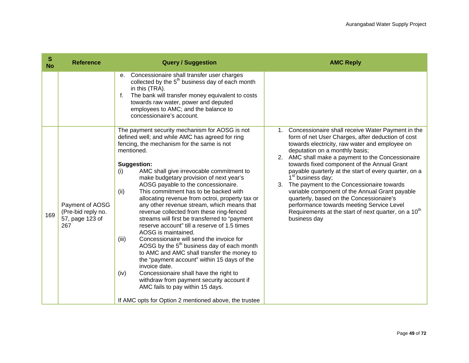| $\mathbf{s}$<br><b>No</b> | <b>Reference</b>                                                | <b>Query / Suggestion</b>                                                                                                                                                                                                                                                                                                                                                                                                                                                                                                                                                                                                                                                                                                                                                                                                                                                                                                                                                                                                                                               | <b>AMC Reply</b>                                                                                                                                                                                                                                                                                                                                                                                                                                                                                                                                                                                                                                                              |
|---------------------------|-----------------------------------------------------------------|-------------------------------------------------------------------------------------------------------------------------------------------------------------------------------------------------------------------------------------------------------------------------------------------------------------------------------------------------------------------------------------------------------------------------------------------------------------------------------------------------------------------------------------------------------------------------------------------------------------------------------------------------------------------------------------------------------------------------------------------------------------------------------------------------------------------------------------------------------------------------------------------------------------------------------------------------------------------------------------------------------------------------------------------------------------------------|-------------------------------------------------------------------------------------------------------------------------------------------------------------------------------------------------------------------------------------------------------------------------------------------------------------------------------------------------------------------------------------------------------------------------------------------------------------------------------------------------------------------------------------------------------------------------------------------------------------------------------------------------------------------------------|
|                           |                                                                 | Concessionaire shall transfer user charges<br>$e_{1}$<br>collected by the 5 <sup>th</sup> business day of each month<br>in this (TRA).<br>The bank will transfer money equivalent to costs<br>f.<br>towards raw water, power and deputed<br>employees to AMC; and the balance to<br>concessionaire's account.                                                                                                                                                                                                                                                                                                                                                                                                                                                                                                                                                                                                                                                                                                                                                           |                                                                                                                                                                                                                                                                                                                                                                                                                                                                                                                                                                                                                                                                               |
| 169                       | Payment of AOSG<br>(Pre-bid reply no.<br>57, page 123 of<br>267 | The payment security mechanism for AOSG is not<br>defined well; and while AMC has agreed for ring<br>fencing, the mechanism for the same is not<br>mentioned.<br><b>Suggestion:</b><br>AMC shall give irrevocable commitment to<br>(i)<br>make budgetary provision of next year's<br>AOSG payable to the concessionaire.<br>This commitment has to be backed with<br>(ii)<br>allocating revenue from octroi, property tax or<br>any other revenue stream, which means that<br>revenue collected from these ring-fenced<br>streams will first be transferred to "payment<br>reserve account" till a reserve of 1.5 times<br>AOSG is maintained.<br>Concessionaire will send the invoice for<br>(iii)<br>AOSG by the 5 <sup>th</sup> business day of each month<br>to AMC and AMC shall transfer the money to<br>the "payment account" within 15 days of the<br>invoice date.<br>Concessionaire shall have the right to<br>(iv)<br>withdraw from payment security account if<br>AMC fails to pay within 15 days.<br>If AMC opts for Option 2 mentioned above, the trustee | 1. Concessionaire shall receive Water Payment in the<br>form of net User Charges, after deduction of cost<br>towards electricity, raw water and employee on<br>deputation on a monthly basis;<br>2. AMC shall make a payment to the Concessionaire<br>towards fixed component of the Annual Grant<br>payable quarterly at the start of every quarter, on a<br>1 <sup>st</sup> business day;<br>The payment to the Concessionaire towards<br>3.<br>variable component of the Annual Grant payable<br>quarterly, based on the Concessionaire's<br>performance towards meeting Service Level<br>Requirements at the start of next quarter, on a 10 <sup>th</sup><br>business day |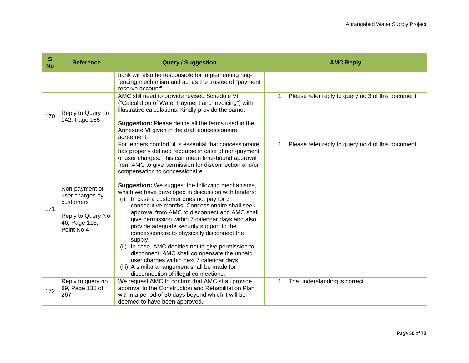| S<br><b>No</b> | <b>Reference</b>                                                                                   | <b>Query / Suggestion</b>                                                                                                                                                                                                                                                                                                                                                                                                                                                                                                                                                                                                                                                                                                                                                                                                                                                                                                                   | <b>AMC Reply</b>                                     |
|----------------|----------------------------------------------------------------------------------------------------|---------------------------------------------------------------------------------------------------------------------------------------------------------------------------------------------------------------------------------------------------------------------------------------------------------------------------------------------------------------------------------------------------------------------------------------------------------------------------------------------------------------------------------------------------------------------------------------------------------------------------------------------------------------------------------------------------------------------------------------------------------------------------------------------------------------------------------------------------------------------------------------------------------------------------------------------|------------------------------------------------------|
|                |                                                                                                    | bank will also be responsible for implementing ring-<br>fencing mechanism and act as the trustee of "payment"<br>reserve account".                                                                                                                                                                                                                                                                                                                                                                                                                                                                                                                                                                                                                                                                                                                                                                                                          |                                                      |
| 170            | Reply to Query no<br>142, Page 155                                                                 | AMC still need to provide revised Schedule VI<br>("Calculation of Water Payment and Invoicing") with<br>illustrative calculations. Kindly provide the same.<br>Suggestion: Please define all the terms used in the<br>Annexure VI given in the draft concessionaire<br>agreement.                                                                                                                                                                                                                                                                                                                                                                                                                                                                                                                                                                                                                                                           | 1. Please refer reply to query no 3 of this document |
| 171            | Non-payment of<br>user charges by<br>customers<br>Reply to Query No<br>46, Page 113,<br>Point No 4 | For lenders comfort, it is essential that concessionaire<br>has properly defined recourse in case of non-payment<br>of user charges. This can mean time-bound approval<br>from AMC to give permission for disconnection and/or<br>compensation to concessionaire.<br><b>Suggestion:</b> We suggest the following mechanisms,<br>which we have developed in discussion with lenders:<br>In case a customer does not pay for 3<br>(i)<br>consecutive months, Concessionaire shall seek<br>approval from AMC to disconnect and AMC shall<br>give permission within 7 calendar days and also<br>provide adequate security support to the<br>concessionaire to physically disconnect the<br>supply.<br>(ii) In case, AMC decides not to give permission to<br>disconnect, AMC shall compensate the unpaid<br>user charges within next 7 calendar days.<br>(iii) A similar arrangement shall be made for<br>disconnection of illegal connections. | 1. Please refer reply to query no 4 of this document |
| 172            | Reply to query no<br>89, Page 138 of<br>267                                                        | We request AMC to confirm that AMC shall provide<br>approval to the Construction and Rehabilitation Plan<br>within a period of 30 days beyond which it will be<br>deemed to have been approved.                                                                                                                                                                                                                                                                                                                                                                                                                                                                                                                                                                                                                                                                                                                                             | 1. The understanding is correct                      |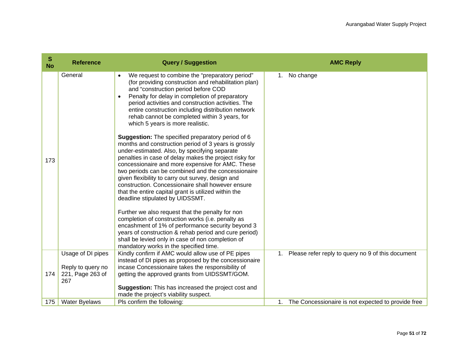| S<br><b>No</b> | <b>Reference</b>                             | <b>Query / Suggestion</b>                                                                                                                                                                                                                                                                                                                                                                                                                                                                                                                                                                                                                                                                                                                                                                                                                                                                                                                                                                                                                                                                                                                                                                                                                                     | <b>AMC Reply</b>                                        |
|----------------|----------------------------------------------|---------------------------------------------------------------------------------------------------------------------------------------------------------------------------------------------------------------------------------------------------------------------------------------------------------------------------------------------------------------------------------------------------------------------------------------------------------------------------------------------------------------------------------------------------------------------------------------------------------------------------------------------------------------------------------------------------------------------------------------------------------------------------------------------------------------------------------------------------------------------------------------------------------------------------------------------------------------------------------------------------------------------------------------------------------------------------------------------------------------------------------------------------------------------------------------------------------------------------------------------------------------|---------------------------------------------------------|
| 173            | General                                      | We request to combine the "preparatory period"<br>(for providing construction and rehabilitation plan)<br>and "construction period before COD<br>Penalty for delay in completion of preparatory<br>period activities and construction activities. The<br>entire construction including distribution network<br>rehab cannot be completed within 3 years, for<br>which 5 years is more realistic.<br>Suggestion: The specified preparatory period of 6<br>months and construction period of 3 years is grossly<br>under-estimated. Also, by specifying separate<br>penalties in case of delay makes the project risky for<br>concessionaire and more expensive for AMC. These<br>two periods can be combined and the concessionaire<br>given flexibility to carry out survey, design and<br>construction. Concessionaire shall however ensure<br>that the entire capital grant is utilized within the<br>deadline stipulated by UIDSSMT.<br>Further we also request that the penalty for non<br>completion of construction works (i.e. penalty as<br>encashment of 1% of performance security beyond 3<br>years of construction & rehab period and cure period)<br>shall be levied only in case of non completion of<br>mandatory works in the specified time. | No change<br>1.                                         |
|                | Usage of DI pipes                            | Kindly confirm if AMC would allow use of PE pipes                                                                                                                                                                                                                                                                                                                                                                                                                                                                                                                                                                                                                                                                                                                                                                                                                                                                                                                                                                                                                                                                                                                                                                                                             | Please refer reply to query no 9 of this document<br>1. |
| 174            | Reply to query no<br>221, Page 263 of<br>267 | instead of DI pipes as proposed by the concessionaire<br>incase Concessionaire takes the responsibility of<br>getting the approved grants from UIDSSMT/GOM.                                                                                                                                                                                                                                                                                                                                                                                                                                                                                                                                                                                                                                                                                                                                                                                                                                                                                                                                                                                                                                                                                                   |                                                         |
|                |                                              | Suggestion: This has increased the project cost and<br>made the project's viability suspect.                                                                                                                                                                                                                                                                                                                                                                                                                                                                                                                                                                                                                                                                                                                                                                                                                                                                                                                                                                                                                                                                                                                                                                  |                                                         |
| 175            | <b>Water Byelaws</b>                         | Pls confirm the following:                                                                                                                                                                                                                                                                                                                                                                                                                                                                                                                                                                                                                                                                                                                                                                                                                                                                                                                                                                                                                                                                                                                                                                                                                                    | 1. The Concessionaire is not expected to provide free   |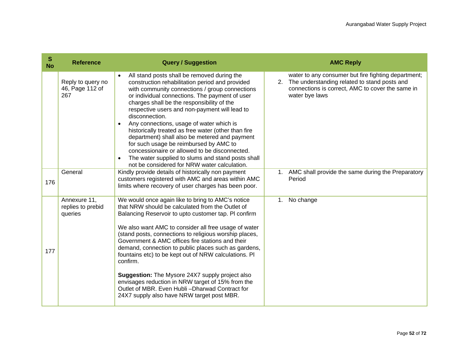| S<br><b>No</b> | <b>Reference</b>                             | <b>Query / Suggestion</b>                                                                                                                                                                                                                                                                                                                                                                                                                                                                                                                                                                                                                                                       | <b>AMC Reply</b>                                                                                                                                                                |
|----------------|----------------------------------------------|---------------------------------------------------------------------------------------------------------------------------------------------------------------------------------------------------------------------------------------------------------------------------------------------------------------------------------------------------------------------------------------------------------------------------------------------------------------------------------------------------------------------------------------------------------------------------------------------------------------------------------------------------------------------------------|---------------------------------------------------------------------------------------------------------------------------------------------------------------------------------|
|                | Reply to query no<br>46, Page 112 of<br>267  | All stand posts shall be removed during the<br>construction rehabilitation period and provided<br>with community connections / group connections<br>or individual connections. The payment of user<br>charges shall be the responsibility of the<br>respective users and non-payment will lead to<br>disconnection.<br>Any connections, usage of water which is<br>historically treated as free water (other than fire<br>department) shall also be metered and payment<br>for such usage be reimbursed by AMC to<br>concessionaire or allowed to be disconnected.<br>The water supplied to slums and stand posts shall<br>not be considered for NRW water calculation.         | water to any consumer but fire fighting department;<br>The understanding related to stand posts and<br>2.<br>connections is correct, AMC to cover the same in<br>water bye laws |
| 176            | General                                      | Kindly provide details of historically non payment<br>customers registered with AMC and areas within AMC<br>limits where recovery of user charges has been poor.                                                                                                                                                                                                                                                                                                                                                                                                                                                                                                                | 1. AMC shall provide the same during the Preparatory<br>Period                                                                                                                  |
| 177            | Annexure 11,<br>replies to prebid<br>queries | We would once again like to bring to AMC's notice<br>that NRW should be calculated from the Outlet of<br>Balancing Reservoir to upto customer tap. PI confirm<br>We also want AMC to consider all free usage of water<br>(stand posts, connections to religious worship places,<br>Government & AMC offices fire stations and their<br>demand, connection to public places such as gardens,<br>fountains etc) to be kept out of NRW calculations. PI<br>confirm.<br><b>Suggestion:</b> The Mysore 24X7 supply project also<br>envisages reduction in NRW target of 15% from the<br>Outlet of MBR. Even Hubli-Dharwad Contract for<br>24X7 supply also have NRW target post MBR. | No change<br>1.                                                                                                                                                                 |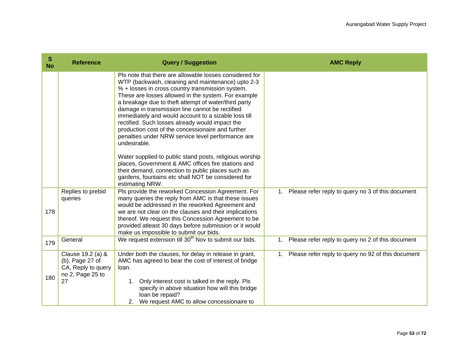| S<br><b>No</b> | <b>Reference</b>                                                                     | <b>Query / Suggestion</b>                                                                                                                                                                                                                                                                                                                                                                                                                                                                                                                                                                                                                                                                                                                                                                                              | <b>AMC Reply</b>                                                  |
|----------------|--------------------------------------------------------------------------------------|------------------------------------------------------------------------------------------------------------------------------------------------------------------------------------------------------------------------------------------------------------------------------------------------------------------------------------------------------------------------------------------------------------------------------------------------------------------------------------------------------------------------------------------------------------------------------------------------------------------------------------------------------------------------------------------------------------------------------------------------------------------------------------------------------------------------|-------------------------------------------------------------------|
|                |                                                                                      | Pls note that there are allowable losses considered for<br>WTP (backwash, cleaning and maintenance) upto 2-3<br>% + losses in cross country transmission system.<br>These are losses allowed in the system. For example<br>a breakage due to theft attempt of water/third party<br>damage in transmission line cannot be rectified<br>immediately and would account to a sizable loss till<br>rectified. Such losses already would impact the<br>production cost of the concessionaire and further<br>penalties under NRW service level performance are<br>undesirable.<br>Water supplied to public stand posts, religious worship<br>places, Government & AMC offices fire stations and<br>their demand, connection to public places such as<br>gardens, fountains etc shall NOT be considered for<br>estimating NRW. |                                                                   |
| 178            | Replies to prebid<br>queries                                                         | Pls provide the reworked Concession Agreement. For<br>many queries the reply from AMC is that these issues<br>would be addressed in the reworked Agreement and<br>we are not clear on the clauses and their implications<br>thereof. We request this Concession Agreement to be<br>provided atleast 30 days before submission or it would<br>make us impossible to submit our bids.                                                                                                                                                                                                                                                                                                                                                                                                                                    | 1. Please refer reply to query no 3 of this document              |
| 179            | General                                                                              | We request extension till 30 <sup>th</sup> Nov to submit our bids.                                                                                                                                                                                                                                                                                                                                                                                                                                                                                                                                                                                                                                                                                                                                                     | Please refer reply to query no 2 of this document<br>1.           |
| 180            | Clause 19.2 (a) &<br>(b), Page 27 of<br>CA, Reply to query<br>no 2, Page 25 to<br>27 | Under both the clauses, for delay in release in grant,<br>AMC has agreed to bear the cost of interest of bridge<br>loan.<br>1. Only interest cost is talked in the reply. Pls<br>specify in above situation how will this bridge<br>loan be repaid?<br>2. We request AMC to allow concessionaire to                                                                                                                                                                                                                                                                                                                                                                                                                                                                                                                    | Please refer reply to query no 92 of this document<br>$1_{\cdot}$ |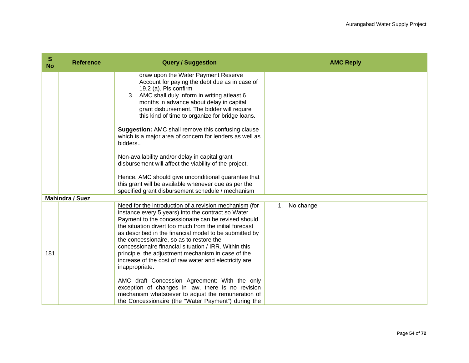| S<br><b>No</b> | <b>Reference</b>       | <b>Query / Suggestion</b>                                                                                                                                                                                                                                                                                                                                                                                                                                                                                                      | <b>AMC Reply</b> |
|----------------|------------------------|--------------------------------------------------------------------------------------------------------------------------------------------------------------------------------------------------------------------------------------------------------------------------------------------------------------------------------------------------------------------------------------------------------------------------------------------------------------------------------------------------------------------------------|------------------|
|                |                        | draw upon the Water Payment Reserve<br>Account for paying the debt due as in case of<br>19.2 (a). Pls confirm<br>3. AMC shall duly inform in writing atleast 6<br>months in advance about delay in capital<br>grant disbursement. The bidder will require<br>this kind of time to organize for bridge loans.<br><b>Suggestion: AMC shall remove this confusing clause</b>                                                                                                                                                      |                  |
|                |                        | which is a major area of concern for lenders as well as<br>bidders                                                                                                                                                                                                                                                                                                                                                                                                                                                             |                  |
|                |                        | Non-availability and/or delay in capital grant<br>disbursement will affect the viability of the project.                                                                                                                                                                                                                                                                                                                                                                                                                       |                  |
|                |                        | Hence, AMC should give unconditional guarantee that<br>this grant will be available whenever due as per the<br>specified grant disbursement schedule / mechanism                                                                                                                                                                                                                                                                                                                                                               |                  |
|                | <b>Mahindra / Suez</b> |                                                                                                                                                                                                                                                                                                                                                                                                                                                                                                                                |                  |
| 181            |                        | Need for the introduction of a revision mechanism (for<br>instance every 5 years) into the contract so Water<br>Payment to the concessionaire can be revised should<br>the situation divert too much from the initial forecast<br>as described in the financial model to be submitted by<br>the concessionaire, so as to restore the<br>concessionaire financial situation / IRR. Within this<br>principle, the adjustment mechanism in case of the<br>increase of the cost of raw water and electricity are<br>inappropriate. | 1. No change     |
|                |                        | AMC draft Concession Agreement: With the only<br>exception of changes in law, there is no revision<br>mechanism whatsoever to adjust the remuneration of<br>the Concessionaire (the "Water Payment") during the                                                                                                                                                                                                                                                                                                                |                  |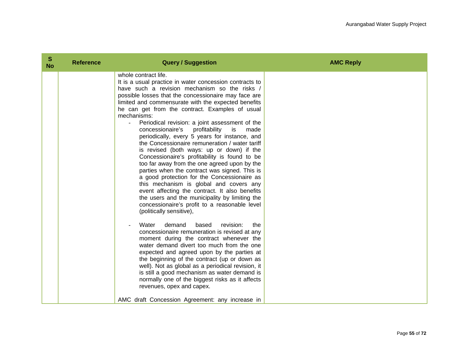| S<br><b>No</b> | <b>Reference</b> | <b>Query / Suggestion</b>                                                                                                                                                                                                                                                                                                                                                                                                                                                                                                                                                                                                                                                                                                                                                                                                                                                                                                                                                                                                                                                                                                                                                                                                                                                                                                                                                                                                                                                                                                          | <b>AMC Reply</b> |
|----------------|------------------|------------------------------------------------------------------------------------------------------------------------------------------------------------------------------------------------------------------------------------------------------------------------------------------------------------------------------------------------------------------------------------------------------------------------------------------------------------------------------------------------------------------------------------------------------------------------------------------------------------------------------------------------------------------------------------------------------------------------------------------------------------------------------------------------------------------------------------------------------------------------------------------------------------------------------------------------------------------------------------------------------------------------------------------------------------------------------------------------------------------------------------------------------------------------------------------------------------------------------------------------------------------------------------------------------------------------------------------------------------------------------------------------------------------------------------------------------------------------------------------------------------------------------------|------------------|
|                |                  | whole contract life.<br>It is a usual practice in water concession contracts to<br>have such a revision mechanism so the risks /<br>possible losses that the concessionaire may face are<br>limited and commensurate with the expected benefits<br>he can get from the contract. Examples of usual<br>mechanisms:<br>Periodical revision: a joint assessment of the<br>concessionaire's<br>profitability<br>is<br>made<br>periodically, every 5 years for instance, and<br>the Concessionaire remuneration / water tariff<br>is revised (both ways: up or down) if the<br>Concessionaire's profitability is found to be<br>too far away from the one agreed upon by the<br>parties when the contract was signed. This is<br>a good protection for the Concessionaire as<br>this mechanism is global and covers any<br>event affecting the contract. It also benefits<br>the users and the municipality by limiting the<br>concessionaire's profit to a reasonable level<br>(politically sensitive),<br>Water<br>demand<br>based<br>revision:<br>the<br>concessionaire remuneration is revised at any<br>moment during the contract whenever the<br>water demand divert too much from the one<br>expected and agreed upon by the parties at<br>the beginning of the contract (up or down as<br>well). Not as global as a periodical revision, it<br>is still a good mechanism as water demand is<br>normally one of the biggest risks as it affects<br>revenues, opex and capex.<br>AMC draft Concession Agreement: any increase in |                  |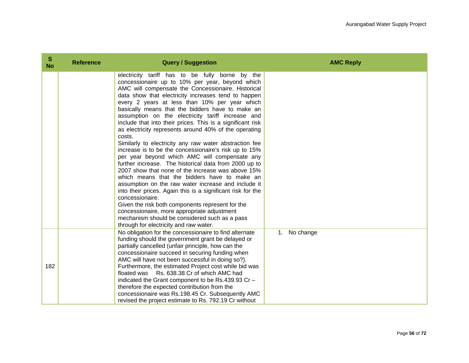| S<br><b>No</b> | <b>Reference</b> | <b>Query / Suggestion</b>                                                                                                                                                                                                                                                                                                                                                                                                                                                                                                                                                                                                                                                                                                                                                                                                                                                                                                                                                                                                                                                                                                                                                           | <b>AMC Reply</b> |
|----------------|------------------|-------------------------------------------------------------------------------------------------------------------------------------------------------------------------------------------------------------------------------------------------------------------------------------------------------------------------------------------------------------------------------------------------------------------------------------------------------------------------------------------------------------------------------------------------------------------------------------------------------------------------------------------------------------------------------------------------------------------------------------------------------------------------------------------------------------------------------------------------------------------------------------------------------------------------------------------------------------------------------------------------------------------------------------------------------------------------------------------------------------------------------------------------------------------------------------|------------------|
|                |                  | electricity tariff has to be fully borne by the<br>concessionaire up to 10% per year, beyond which<br>AMC will compensate the Concessionaire. Historical<br>data show that electricity increases tend to happen<br>every 2 years at less than 10% per year which<br>basically means that the bidders have to make an<br>assumption on the electricity tariff increase and<br>include that into their prices. This is a significant risk<br>as electricity represents around 40% of the operating<br>costs.<br>Similarly to electricity any raw water abstraction fee<br>increase is to be the concessionaire's risk up to 15%<br>per year beyond which AMC will compensate any<br>further increase. The historical data from 2000 up to<br>2007 show that none of the increase was above 15%<br>which means that the bidders have to make an<br>assumption on the raw water increase and include it<br>into their prices. Again this is a significant risk for the<br>concessionaire.<br>Given the risk both components represent for the<br>concessionaire, more appropriate adjustment<br>mechanism should be considered such as a pass<br>through for electricity and raw water. |                  |
| 182            |                  | No obligation for the concessionaire to find alternate<br>funding should the government grant be delayed or<br>partially cancelled (unfair principle, how can the<br>concessionaire succeed in securing funding when<br>AMC will have not been successful in doing so?).<br>Furthermore, the estimated Project cost while bid was<br>floated was Rs. 638.38 Cr of which AMC had<br>indicated the Grant component to be Rs.439.93 Cr -<br>therefore the expected contribution from the<br>concessionaire was Rs.198.45 Cr. Subsequently AMC<br>revised the project estimate to Rs. 792.19 Cr without                                                                                                                                                                                                                                                                                                                                                                                                                                                                                                                                                                                 | 1. No change     |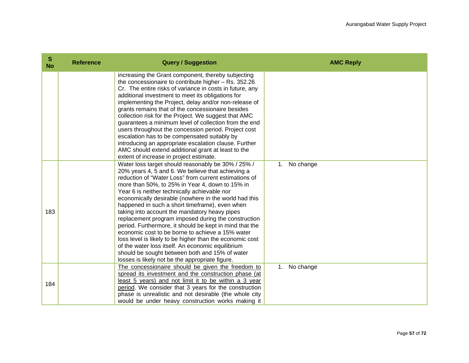| S<br><b>No</b> | <b>Reference</b> | <b>Query / Suggestion</b>                                                                                                                                                                                                                                                                                                                                                                                                                                                                                                                                                                                                                                                                                                                                                                                                   | <b>AMC Reply</b> |
|----------------|------------------|-----------------------------------------------------------------------------------------------------------------------------------------------------------------------------------------------------------------------------------------------------------------------------------------------------------------------------------------------------------------------------------------------------------------------------------------------------------------------------------------------------------------------------------------------------------------------------------------------------------------------------------------------------------------------------------------------------------------------------------------------------------------------------------------------------------------------------|------------------|
|                |                  | increasing the Grant component, thereby subjecting<br>the concessionaire to contribute higher $-$ Rs. 352.26<br>Cr. The entire risks of variance in costs in future, any<br>additional investment to meet its obligations for<br>implementing the Project, delay and/or non-release of<br>grants remains that of the concessionaire besides<br>collection risk for the Project. We suggest that AMC<br>guarantees a minimum level of collection from the end<br>users throughout the concession period. Project cost<br>escalation has to be compensated suitably by<br>introducing an appropriate escalation clause. Further<br>AMC should extend additional grant at least to the<br>extent of increase in project estimate.                                                                                              |                  |
| 183            |                  | Water loss target should reasonably be 30% / 25% /<br>20% years 4, 5 and 6. We believe that achieving a<br>reduction of "Water Loss" from current estimations of<br>more than 50%, to 25% in Year 4, down to 15% in<br>Year 6 is neither technically achievable nor<br>economically desirable (nowhere in the world had this<br>happened in such a short timeframe), even when<br>taking into account the mandatory heavy pipes<br>replacement program imposed during the construction<br>period. Furthermore, it should be kept in mind that the<br>economic cost to be borne to achieve a 15% water<br>loss level is likely to be higher than the economic cost<br>of the water loss itself. An economic equilibrium<br>should be sought between both and 15% of water<br>losses is likely not be the appropriate figure. | No change<br>1.  |
| 184            |                  | The concessionaire should be given the freedom to<br>spread its investment and the construction phase (at<br>least 5 years) and not limit it to be within a 3 year<br>period. We consider that 3 years for the construction<br>phase is unrealistic and not desirable (the whole city<br>would be under heavy construction works making it                                                                                                                                                                                                                                                                                                                                                                                                                                                                                  | No change<br>1.  |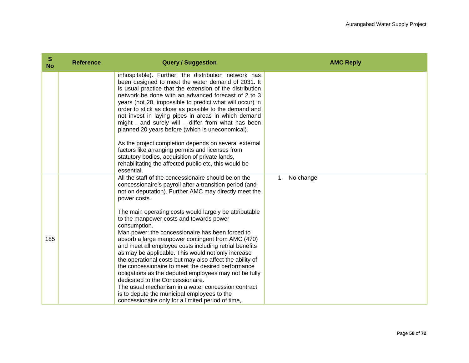| S<br><b>No</b> | <b>Reference</b> | <b>Query / Suggestion</b>                                                                                                                                                                                                                                                                                                                                                                                                                                                                                                                                                                                                                                                                                                                                                                                                                                                                                       | <b>AMC Reply</b> |
|----------------|------------------|-----------------------------------------------------------------------------------------------------------------------------------------------------------------------------------------------------------------------------------------------------------------------------------------------------------------------------------------------------------------------------------------------------------------------------------------------------------------------------------------------------------------------------------------------------------------------------------------------------------------------------------------------------------------------------------------------------------------------------------------------------------------------------------------------------------------------------------------------------------------------------------------------------------------|------------------|
|                |                  | inhospitable). Further, the distribution network has<br>been designed to meet the water demand of 2031. It<br>is usual practice that the extension of the distribution<br>network be done with an advanced forecast of 2 to 3<br>years (not 20, impossible to predict what will occur) in<br>order to stick as close as possible to the demand and<br>not invest in laying pipes in areas in which demand<br>might - and surely will $-$ differ from what has been<br>planned 20 years before (which is uneconomical).<br>As the project completion depends on several external<br>factors like arranging permits and licenses from<br>statutory bodies, acquisition of private lands,<br>rehabilitating the affected public etc, this would be<br>essential.                                                                                                                                                   |                  |
| 185            |                  | All the staff of the concessionaire should be on the<br>concessionaire's payroll after a transition period (and<br>not on deputation). Further AMC may directly meet the<br>power costs.<br>The main operating costs would largely be attributable<br>to the manpower costs and towards power<br>consumption.<br>Man power: the concessionaire has been forced to<br>absorb a large manpower contingent from AMC (470)<br>and meet all employee costs including retrial benefits<br>as may be applicable. This would not only increase<br>the operational costs but may also affect the ability of<br>the concessionaire to meet the desired performance<br>obligations as the deputed employees may not be fully<br>dedicated to the Concessionaire.<br>The usual mechanism in a water concession contract<br>is to depute the municipal employees to the<br>concessionaire only for a limited period of time, | 1. No change     |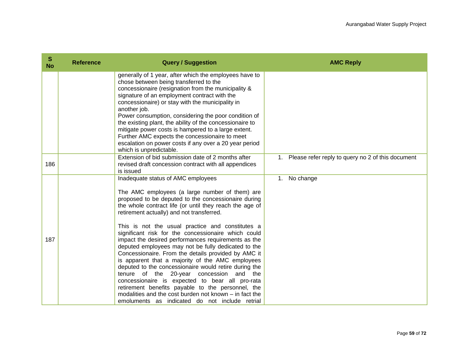| $\mathbf{s}$<br><b>No</b> | <b>Reference</b> | <b>Query / Suggestion</b>                                                                                                                                                                                                                                                                                                                                                                                                                                                                                                                                                                                                                                                                                                                                                                                                                                                                                           | <b>AMC Reply</b>                                     |
|---------------------------|------------------|---------------------------------------------------------------------------------------------------------------------------------------------------------------------------------------------------------------------------------------------------------------------------------------------------------------------------------------------------------------------------------------------------------------------------------------------------------------------------------------------------------------------------------------------------------------------------------------------------------------------------------------------------------------------------------------------------------------------------------------------------------------------------------------------------------------------------------------------------------------------------------------------------------------------|------------------------------------------------------|
|                           |                  | generally of 1 year, after which the employees have to<br>chose between being transferred to the<br>concessionaire (resignation from the municipality &<br>signature of an employment contract with the<br>concessionaire) or stay with the municipality in<br>another job.<br>Power consumption, considering the poor condition of<br>the existing plant, the ability of the concessionaire to<br>mitigate power costs is hampered to a large extent.<br>Further AMC expects the concessionaire to meet<br>escalation on power costs if any over a 20 year period<br>which is unpredictable.                                                                                                                                                                                                                                                                                                                       |                                                      |
| 186                       |                  | Extension of bid submission date of 2 months after<br>revised draft concession contract with all appendices<br>is issued                                                                                                                                                                                                                                                                                                                                                                                                                                                                                                                                                                                                                                                                                                                                                                                            | 1. Please refer reply to query no 2 of this document |
| 187                       |                  | Inadequate status of AMC employees<br>The AMC employees (a large number of them) are<br>proposed to be deputed to the concessionaire during<br>the whole contract life (or until they reach the age of<br>retirement actually) and not transferred.<br>This is not the usual practice and constitutes a<br>significant risk for the concessionaire which could<br>impact the desired performances requirements as the<br>deputed employees may not be fully dedicated to the<br>Concessionaire. From the details provided by AMC it<br>is apparent that a majority of the AMC employees<br>deputed to the concessionaire would retire during the<br>tenure of the 20-year concession<br>and the<br>concessionaire is expected to bear all pro-rata<br>retirement benefits payable to the personnel, the<br>modalities and the cost burden not known - in fact the<br>emoluments as indicated do not include retrial | No change<br>1.                                      |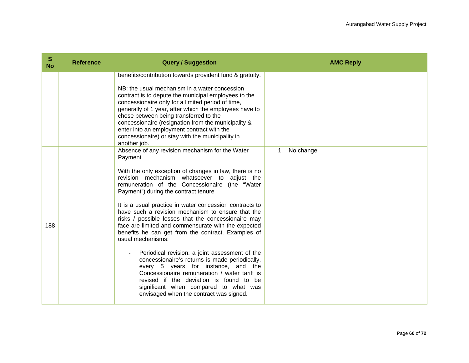| S<br><b>No</b> | <b>Reference</b> | <b>Query / Suggestion</b>                                                                                                                                                                                                                                                                                                                                                                                                                                                                                                                                                                                                                                                                                                                                                                                                                                                                         | <b>AMC Reply</b> |
|----------------|------------------|---------------------------------------------------------------------------------------------------------------------------------------------------------------------------------------------------------------------------------------------------------------------------------------------------------------------------------------------------------------------------------------------------------------------------------------------------------------------------------------------------------------------------------------------------------------------------------------------------------------------------------------------------------------------------------------------------------------------------------------------------------------------------------------------------------------------------------------------------------------------------------------------------|------------------|
|                |                  | benefits/contribution towards provident fund & gratuity.<br>NB: the usual mechanism in a water concession<br>contract is to depute the municipal employees to the<br>concessionaire only for a limited period of time,<br>generally of 1 year, after which the employees have to<br>chose between being transferred to the<br>concessionaire (resignation from the municipality &<br>enter into an employment contract with the<br>concessionaire) or stay with the municipality in<br>another job.                                                                                                                                                                                                                                                                                                                                                                                               |                  |
| 188            |                  | Absence of any revision mechanism for the Water<br>Payment<br>With the only exception of changes in law, there is no<br>revision mechanism whatsoever to adjust the<br>remuneration of the Concessionaire (the "Water<br>Payment") during the contract tenure<br>It is a usual practice in water concession contracts to<br>have such a revision mechanism to ensure that the<br>risks / possible losses that the concessionaire may<br>face are limited and commensurate with the expected<br>benefits he can get from the contract. Examples of<br>usual mechanisms:<br>Periodical revision: a joint assessment of the<br>concessionaire's returns is made periodically,<br>every 5 years for instance, and the<br>Concessionaire remuneration / water tariff is<br>revised if the deviation is found to be<br>significant when compared to what was<br>envisaged when the contract was signed. | 1. No change     |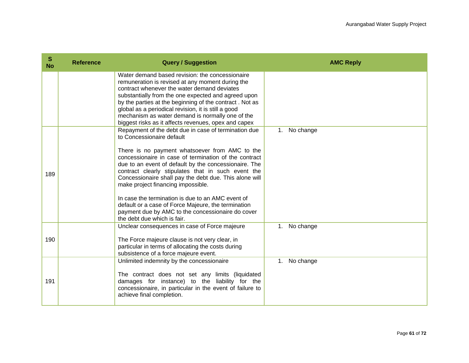| S<br><b>No</b> | <b>Reference</b> | <b>Query / Suggestion</b>                                                                                                                                                                                                                                                                                                                                                                                                                                                                                                                                                                                   | <b>AMC Reply</b> |
|----------------|------------------|-------------------------------------------------------------------------------------------------------------------------------------------------------------------------------------------------------------------------------------------------------------------------------------------------------------------------------------------------------------------------------------------------------------------------------------------------------------------------------------------------------------------------------------------------------------------------------------------------------------|------------------|
|                |                  | Water demand based revision: the concessionaire<br>remuneration is revised at any moment during the<br>contract whenever the water demand deviates<br>substantially from the one expected and agreed upon<br>by the parties at the beginning of the contract. Not as<br>global as a periodical revision, it is still a good<br>mechanism as water demand is normally one of the<br>biggest risks as it affects revenues, opex and capex                                                                                                                                                                     |                  |
| 189            |                  | Repayment of the debt due in case of termination due<br>to Concessionaire default<br>There is no payment whatsoever from AMC to the<br>concessionaire in case of termination of the contract<br>due to an event of default by the concessionaire. The<br>contract clearly stipulates that in such event the<br>Concessionaire shall pay the debt due. This alone will<br>make project financing impossible.<br>In case the termination is due to an AMC event of<br>default or a case of Force Majeure, the termination<br>payment due by AMC to the concessionaire do cover<br>the debt due which is fair. | No change<br>1.  |
| 190            |                  | Unclear consequences in case of Force majeure<br>The Force majeure clause is not very clear, in<br>particular in terms of allocating the costs during<br>subsistence of a force majeure event.                                                                                                                                                                                                                                                                                                                                                                                                              | 1. No change     |
| 191            |                  | Unlimited indemnity by the concessionaire<br>The contract does not set any limits (liquidated<br>damages for instance) to the liability for the<br>concessionaire, in particular in the event of failure to<br>achieve final completion.                                                                                                                                                                                                                                                                                                                                                                    | No change<br>1.  |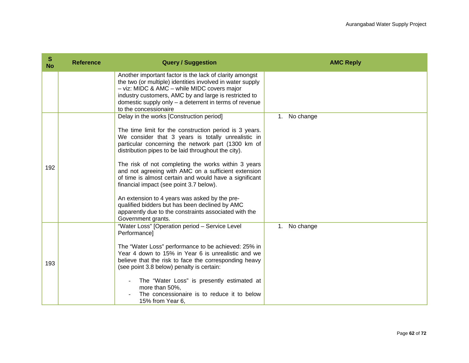| S<br><b>No</b> | <b>Reference</b> | <b>Query / Suggestion</b>                                                                                                                                                                                                                                                                                                                                                                                                                                                                                                                                                                                                                                                  | <b>AMC Reply</b>         |
|----------------|------------------|----------------------------------------------------------------------------------------------------------------------------------------------------------------------------------------------------------------------------------------------------------------------------------------------------------------------------------------------------------------------------------------------------------------------------------------------------------------------------------------------------------------------------------------------------------------------------------------------------------------------------------------------------------------------------|--------------------------|
|                |                  | Another important factor is the lack of clarity amongst<br>the two (or multiple) identities involved in water supply<br>- viz: MIDC & AMC - while MIDC covers major<br>industry customers, AMC by and large is restricted to<br>domestic supply only $-$ a deterrent in terms of revenue<br>to the concessionaire                                                                                                                                                                                                                                                                                                                                                          |                          |
| 192            |                  | Delay in the works [Construction period]<br>The time limit for the construction period is 3 years.<br>We consider that 3 years is totally unrealistic in<br>particular concerning the network part (1300 km of<br>distribution pipes to be laid throughout the city).<br>The risk of not completing the works within 3 years<br>and not agreeing with AMC on a sufficient extension<br>of time is almost certain and would have a significant<br>financial impact (see point 3.7 below).<br>An extension to 4 years was asked by the pre-<br>qualified bidders but has been declined by AMC<br>apparently due to the constraints associated with the<br>Government grants. | No change<br>1.          |
| 193            |                  | "Water Loss" [Operation period - Service Level<br><b>Performancel</b><br>The "Water Loss" performance to be achieved: 25% in<br>Year 4 down to 15% in Year 6 is unrealistic and we<br>believe that the risk to face the corresponding heavy<br>(see point 3.8 below) penalty is certain:<br>The "Water Loss" is presently estimated at<br>more than 50%,<br>The concessionaire is to reduce it to below<br>15% from Year 6.                                                                                                                                                                                                                                                | No change<br>$1_{\cdot}$ |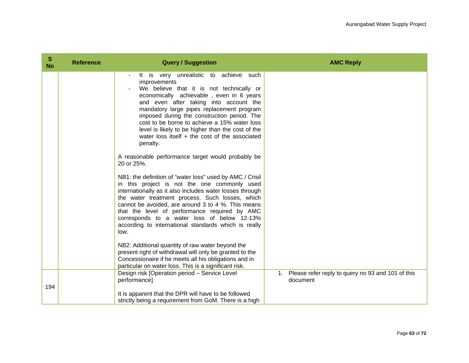| S<br><b>No</b> | <b>Reference</b> | <b>Query / Suggestion</b>                                                                                                                                                                                                                                                                                                                                                                                                                                 | <b>AMC Reply</b>                                                 |
|----------------|------------------|-----------------------------------------------------------------------------------------------------------------------------------------------------------------------------------------------------------------------------------------------------------------------------------------------------------------------------------------------------------------------------------------------------------------------------------------------------------|------------------------------------------------------------------|
|                |                  | It is very unrealistic to achieve such<br>improvements<br>We believe that it is not technically or<br>economically achievable, even in 6 years<br>and even after taking into account the<br>mandatory large pipes replacement program<br>imposed during the construction period. The<br>cost to be borne to achieve a 15% water loss<br>level is likely to be higher than the cost of the<br>water loss itself $+$ the cost of the associated<br>penalty. |                                                                  |
|                |                  | A reasonable performance target would probably be<br>20 or 25%.                                                                                                                                                                                                                                                                                                                                                                                           |                                                                  |
|                |                  | NB1: the definition of "water loss" used by AMC / Crisil<br>in this project is not the one commonly used<br>internationally as it also includes water losses through<br>the water treatment process. Such losses, which<br>cannot be avoided, are around 3 to 4 %. This means<br>that the level of performance required by AMC<br>corresponds to a water loss of below 12-13%<br>according to international standards which is really<br>low.             |                                                                  |
|                |                  | NB2: Additional quantity of raw water beyond the<br>present right of withdrawal will only be granted to the<br>Concessionaire if he meets all his obligations and in<br>particular on water loss. This is a significant risk.                                                                                                                                                                                                                             |                                                                  |
| 194            |                  | Design risk [Operation period - Service Level<br>performance]                                                                                                                                                                                                                                                                                                                                                                                             | 1. Please refer reply to query no 93 and 101 of this<br>document |
|                |                  | It is apparent that the DPR will have to be followed<br>strictly being a requirement from GoM. There is a high                                                                                                                                                                                                                                                                                                                                            |                                                                  |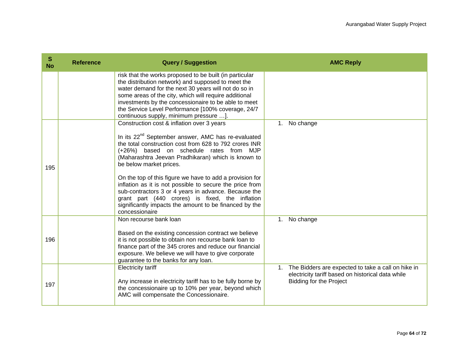| S<br><b>No</b> | <b>Reference</b> | <b>Query / Suggestion</b>                                                                                                                                                                                                                                                                                                                                                                                                                                                                                                             | <b>AMC Reply</b>                                                                                                                             |
|----------------|------------------|---------------------------------------------------------------------------------------------------------------------------------------------------------------------------------------------------------------------------------------------------------------------------------------------------------------------------------------------------------------------------------------------------------------------------------------------------------------------------------------------------------------------------------------|----------------------------------------------------------------------------------------------------------------------------------------------|
|                |                  | risk that the works proposed to be built (in particular<br>the distribution network) and supposed to meet the<br>water demand for the next 30 years will not do so in<br>some areas of the city, which will require additional<br>investments by the concessionaire to be able to meet<br>the Service Level Performance [100% coverage, 24/7<br>continuous supply, minimum pressure ].                                                                                                                                                |                                                                                                                                              |
| 195            |                  | Construction cost & inflation over 3 years<br>In its 22 <sup>nd</sup> September answer, AMC has re-evaluated<br>the total construction cost from 628 to 792 crores INR<br>(+26%) based on schedule rates from MJP<br>(Maharashtra Jeevan Pradhikaran) which is known to<br>be below market prices.<br>On the top of this figure we have to add a provision for<br>inflation as it is not possible to secure the price from<br>sub-contractors 3 or 4 years in advance. Because the<br>grant part (440 crores) is fixed, the inflation | 1. No change                                                                                                                                 |
| 196            |                  | significantly impacts the amount to be financed by the<br>concessionaire<br>Non recourse bank loan<br>Based on the existing concession contract we believe<br>it is not possible to obtain non recourse bank loan to<br>finance part of the 345 crores and reduce our financial<br>exposure. We believe we will have to give corporate<br>guarantee to the banks for any loan.                                                                                                                                                        | 1. No change                                                                                                                                 |
| 197            |                  | <b>Electricity tariff</b><br>Any increase in electricity tariff has to be fully borne by<br>the concessionaire up to 10% per year, beyond which<br>AMC will compensate the Concessionaire.                                                                                                                                                                                                                                                                                                                                            | 1. The Bidders are expected to take a call on hike in<br>electricity tariff based on historical data while<br><b>Bidding for the Project</b> |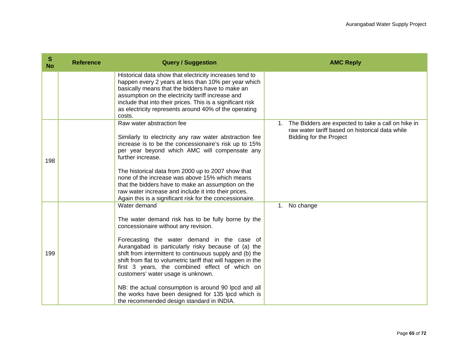| S<br><b>No</b> | <b>Reference</b> | <b>Query / Suggestion</b>                                                                                                                                                                                                                                                                                                                                                                                                                                                                                                                                                                       | <b>AMC Reply</b>                                                                                                                              |  |
|----------------|------------------|-------------------------------------------------------------------------------------------------------------------------------------------------------------------------------------------------------------------------------------------------------------------------------------------------------------------------------------------------------------------------------------------------------------------------------------------------------------------------------------------------------------------------------------------------------------------------------------------------|-----------------------------------------------------------------------------------------------------------------------------------------------|--|
|                |                  | Historical data show that electricity increases tend to<br>happen every 2 years at less than 10% per year which<br>basically means that the bidders have to make an<br>assumption on the electricity tariff increase and<br>include that into their prices. This is a significant risk<br>as electricity represents around 40% of the operating<br>costs.                                                                                                                                                                                                                                       |                                                                                                                                               |  |
| 198            |                  | Raw water abstraction fee<br>Similarly to electricity any raw water abstraction fee<br>increase is to be the concessionaire's risk up to 15%<br>per year beyond which AMC will compensate any<br>further increase.<br>The historical data from 2000 up to 2007 show that<br>none of the increase was above 15% which means<br>that the bidders have to make an assumption on the<br>raw water increase and include it into their prices.<br>Again this is a significant risk for the concessionaire.                                                                                            | The Bidders are expected to take a call on hike in<br>1.<br>raw water tariff based on historical data while<br><b>Bidding for the Project</b> |  |
| 199            |                  | Water demand<br>The water demand risk has to be fully borne by the<br>concessionaire without any revision.<br>Forecasting the water demand in the case of<br>Aurangabad is particularly risky because of (a) the<br>shift from intermittent to continuous supply and (b) the<br>shift from flat to volumetric tariff that will happen in the<br>first 3 years, the combined effect of which on<br>customers' water usage is unknown.<br>NB: the actual consumption is around 90 lpcd and all<br>the works have been designed for 135 lpcd which is<br>the recommended design standard in INDIA. | 1. No change                                                                                                                                  |  |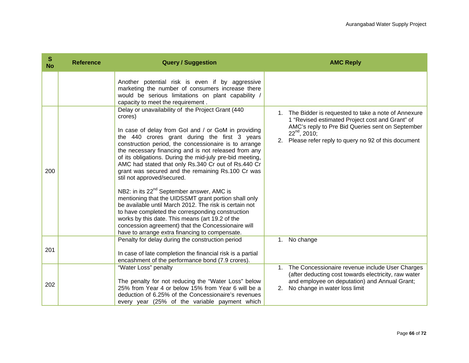| S<br><b>No</b> | <b>Reference</b> | <b>Query / Suggestion</b>                                                                                                                                                                                                                                                                                                                                                                                                                                                                                                                                                                                                                                                                                                                                                                                                                                                             | <b>AMC Reply</b>                                                                                                                                                                                                                           |
|----------------|------------------|---------------------------------------------------------------------------------------------------------------------------------------------------------------------------------------------------------------------------------------------------------------------------------------------------------------------------------------------------------------------------------------------------------------------------------------------------------------------------------------------------------------------------------------------------------------------------------------------------------------------------------------------------------------------------------------------------------------------------------------------------------------------------------------------------------------------------------------------------------------------------------------|--------------------------------------------------------------------------------------------------------------------------------------------------------------------------------------------------------------------------------------------|
|                |                  | Another potential risk is even if by aggressive<br>marketing the number of consumers increase there<br>would be serious limitations on plant capability /<br>capacity to meet the requirement.                                                                                                                                                                                                                                                                                                                                                                                                                                                                                                                                                                                                                                                                                        |                                                                                                                                                                                                                                            |
| 200            |                  | Delay or unavailability of the Project Grant (440<br>crores)<br>In case of delay from GoI and / or GoM in providing<br>the 440 crores grant during the first 3 years<br>construction period, the concessionaire is to arrange<br>the necessary financing and is not released from any<br>of its obligations. During the mid-july pre-bid meeting,<br>AMC had stated that only Rs.340 Cr out of Rs.440 Cr<br>grant was secured and the remaining Rs.100 Cr was<br>stil not approved/secured.<br>NB2: in its 22 <sup>nd</sup> September answer, AMC is<br>mentioning that the UIDSSMT grant portion shall only<br>be available until March 2012. The risk is certain not<br>to have completed the corresponding construction<br>works by this date. This means (art 19.2 of the<br>concession agreement) that the Concessionaire will<br>have to arrange extra financing to compensate. | 1. The Bidder is requested to take a note of Annexure<br>1 "Revised estimated Project cost and Grant" of<br>AMC's reply to Pre Bid Queries sent on September<br>$22^{nd}$ , 2010;<br>2. Please refer reply to query no 92 of this document |
| 201            |                  | Penalty for delay during the construction period<br>In case of late completion the financial risk is a partial<br>encashment of the performance bond (7.9 crores).                                                                                                                                                                                                                                                                                                                                                                                                                                                                                                                                                                                                                                                                                                                    | No change<br>1.                                                                                                                                                                                                                            |
| 202            |                  | "Water Loss" penalty<br>The penalty for not reducing the "Water Loss" below<br>25% from Year 4 or below 15% from Year 6 will be a<br>deduction of 6.25% of the Concessionaire's revenues<br>every year (25% of the variable payment which                                                                                                                                                                                                                                                                                                                                                                                                                                                                                                                                                                                                                                             | The Concessionaire revenue include User Charges<br>$1_{\cdot}$<br>(after deducting cost towards electricity, raw water<br>and employee on deputation) and Annual Grant;<br>No change in water loss limit<br>2.                             |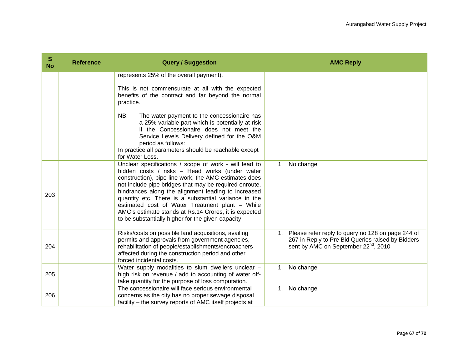| S<br><b>No</b> | <b>Reference</b> | <b>Query / Suggestion</b>                                                                                                                                                                                                                                                                                                                                                                                                                                                                                  | <b>AMC Reply</b>                                                                                                                                              |
|----------------|------------------|------------------------------------------------------------------------------------------------------------------------------------------------------------------------------------------------------------------------------------------------------------------------------------------------------------------------------------------------------------------------------------------------------------------------------------------------------------------------------------------------------------|---------------------------------------------------------------------------------------------------------------------------------------------------------------|
|                |                  | represents 25% of the overall payment).                                                                                                                                                                                                                                                                                                                                                                                                                                                                    |                                                                                                                                                               |
|                |                  | This is not commensurate at all with the expected<br>benefits of the contract and far beyond the normal<br>practice.                                                                                                                                                                                                                                                                                                                                                                                       |                                                                                                                                                               |
|                |                  | NB:<br>The water payment to the concessionaire has<br>a 25% variable part which is potentially at risk<br>if the Concessionaire does not meet the<br>Service Levels Delivery defined for the O&M<br>period as follows:<br>In practice all parameters should be reachable except<br>for Water Loss.                                                                                                                                                                                                         |                                                                                                                                                               |
| 203            |                  | Unclear specifications / scope of work - will lead to<br>hidden costs / risks - Head works (under water<br>construction), pipe line work, the AMC estimates does<br>not include pipe bridges that may be required enroute,<br>hindrances along the alignment leading to increased<br>quantity etc. There is a substantial variance in the<br>estimated cost of Water Treatment plant - While<br>AMC's estimate stands at Rs.14 Crores, it is expected<br>to be substantially higher for the given capacity | 1. No change                                                                                                                                                  |
| 204            |                  | Risks/costs on possible land acquisitions, availing<br>permits and approvals from government agencies,<br>rehabilitation of people/establishments/encroachers<br>affected during the construction period and other<br>forced incidental costs.                                                                                                                                                                                                                                                             | 1. Please refer reply to query no 128 on page 244 of<br>267 in Reply to Pre Bid Queries raised by Bidders<br>sent by AMC on September 22 <sup>nd</sup> , 2010 |
| 205            |                  | Water supply modalities to slum dwellers unclear -<br>high risk on revenue / add to accounting of water off-<br>take quantity for the purpose of loss computation.                                                                                                                                                                                                                                                                                                                                         | 1. No change                                                                                                                                                  |
| 206            |                  | The concessionaire will face serious environmental<br>concerns as the city has no proper sewage disposal<br>facility – the survey reports of AMC itself projects at                                                                                                                                                                                                                                                                                                                                        | No change<br>1.                                                                                                                                               |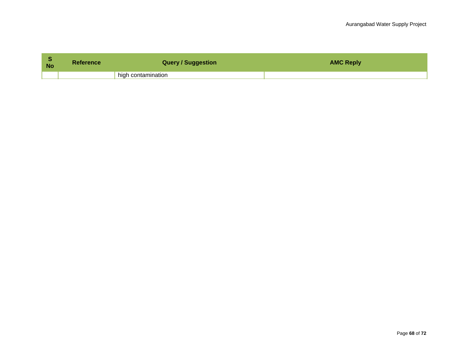| <b>No</b> | <b>Reference</b> | <b>Query / Suggestion</b> | <b>AMC Reply</b> |
|-----------|------------------|---------------------------|------------------|
|           |                  | high contamination        |                  |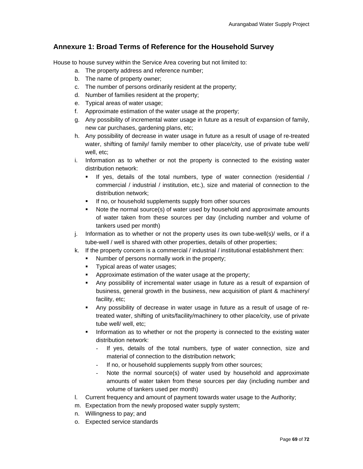## **Annexure 1: Broad Terms of Reference for the Household Survey**

House to house survey within the Service Area covering but not limited to:

- a. The property address and reference number;
- b. The name of property owner;
- c. The number of persons ordinarily resident at the property;
- d. Number of families resident at the property;
- e. Typical areas of water usage;
- f. Approximate estimation of the water usage at the property;
- g. Any possibility of incremental water usage in future as a result of expansion of family, new car purchases, gardening plans, etc;
- h. Any possibility of decrease in water usage in future as a result of usage of re-treated water, shifting of family/ family member to other place/city, use of private tube well/ well, etc;
- i. Information as to whether or not the property is connected to the existing water distribution network:
	- If yes, details of the total numbers, type of water connection (residential / commercial / industrial / institution, etc.), size and material of connection to the distribution network;
	- **If no, or household supplements supply from other sources**
	- Note the normal source(s) of water used by household and approximate amounts of water taken from these sources per day (including number and volume of tankers used per month)
- j. Information as to whether or not the property uses its own tube-well(s)/ wells, or if a tube-well / well is shared with other properties, details of other properties;
- k. If the property concern is a commercial / industrial / institutional establishment then:
	- Number of persons normally work in the property;
	- **Typical areas of water usages;**
	- Approximate estimation of the water usage at the property;
	- Any possibility of incremental water usage in future as a result of expansion of business, general growth in the business, new acquisition of plant & machinery/ facility, etc;
	- Any possibility of decrease in water usage in future as a result of usage of retreated water, shifting of units/facility/machinery to other place/city, use of private tube well/ well, etc;
	- Information as to whether or not the property is connected to the existing water distribution network:
		- If yes, details of the total numbers, type of water connection, size and material of connection to the distribution network;
		- If no, or household supplements supply from other sources;
		- Note the normal source(s) of water used by household and approximate amounts of water taken from these sources per day (including number and volume of tankers used per month)
- l. Current frequency and amount of payment towards water usage to the Authority;
- m. Expectation from the newly proposed water supply system;
- n. Willingness to pay; and
- o. Expected service standards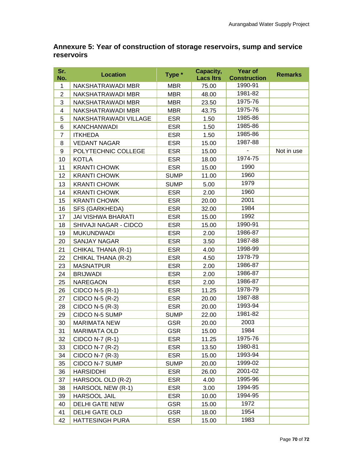## **Annexure 5: Year of construction of storage reservoirs, sump and service reservoirs**

| Sr.<br>No.     | <b>Location</b>           | Type *      | Capacity,<br><b>Lacs Itrs</b> | <b>Year of</b><br><b>Construction</b> | <b>Remarks</b> |
|----------------|---------------------------|-------------|-------------------------------|---------------------------------------|----------------|
| 1              | NAKSHATRAWADI MBR         | <b>MBR</b>  | 75.00                         | 1990-91                               |                |
| $\overline{2}$ | NAKSHATRAWADI MBR         | <b>MBR</b>  | 48.00                         | 1981-82                               |                |
| 3              | NAKSHATRAWADI MBR         | <b>MBR</b>  | 23.50                         | 1975-76                               |                |
| 4              | NAKSHATRAWADI MBR         | <b>MBR</b>  | 43.75                         | 1975-76                               |                |
| 5              | NAKSHATRAWADI VILLAGE     | <b>ESR</b>  | 1.50                          | 1985-86                               |                |
| 6              | <b>KANCHANWADI</b>        | <b>ESR</b>  | 1.50                          | 1985-86                               |                |
| 7              | <b>ITKHEDA</b>            | <b>ESR</b>  | 1.50                          | 1985-86                               |                |
| 8              | <b>VEDANT NAGAR</b>       | <b>ESR</b>  | 15.00                         | 1987-88                               |                |
| 9              | POLYTECHNIC COLLEGE       | <b>ESR</b>  | 15.00                         |                                       | Not in use     |
| 10             | <b>KOTLA</b>              | <b>ESR</b>  | 18.00                         | 1974-75                               |                |
| 11             | <b>KRANTI CHOWK</b>       | <b>ESR</b>  | 15.00                         | 1990                                  |                |
| 12             | <b>KRANTI CHOWK</b>       | <b>SUMP</b> | 11.00                         | 1960                                  |                |
| 13             | <b>KRANTI CHOWK</b>       | <b>SUMP</b> | 5.00                          | 1979                                  |                |
| 14             | <b>KRANTI CHOWK</b>       | <b>ESR</b>  | 2.00                          | 1960                                  |                |
| 15             | <b>KRANTI CHOWK</b>       | <b>ESR</b>  | 20.00                         | 2001                                  |                |
| 16             | SFS (GARKHEDA)            | <b>ESR</b>  | 32.00                         | 1984                                  |                |
| 17             | <b>JAI VISHWA BHARATI</b> | <b>ESR</b>  | 15.00                         | 1992                                  |                |
| 18             | SHIVAJI NAGAR - CIDCO     | <b>ESR</b>  | 15.00                         | 1990-91                               |                |
| 19             | <b>MUKUNDWADI</b>         | <b>ESR</b>  | 2.00                          | 1986-87                               |                |
| 20             | <b>SANJAY NAGAR</b>       | <b>ESR</b>  | 3.50                          | 1987-88                               |                |
| 21             | CHIKAL THANA (R-1)        | <b>ESR</b>  | 4.00                          | 1998-99                               |                |
| 22             | CHIKAL THANA (R-2)        | <b>ESR</b>  | 4.50                          | 1978-79                               |                |
| 23             | <b>MASNATPUR</b>          | <b>ESR</b>  | 2.00                          | 1986-87                               |                |
| 24             | <b>BRIJWADI</b>           | <b>ESR</b>  | 2.00                          | 1986-87                               |                |
| 25             | <b>NAREGAON</b>           | <b>ESR</b>  | 2.00                          | 1986-87                               |                |
| 26             | CIDCO N-5 (R-1)           | <b>ESR</b>  | 11.25                         | 1978-79                               |                |
| 27             | CIDCO N-5 (R-2)           | <b>ESR</b>  | 20.00                         | 1987-88                               |                |
| 28             | CIDCO N-5 (R-3)           | <b>ESR</b>  | 20.00                         | 1993-94                               |                |
| 29             | CIDCO N-5 SUMP            | <b>SUMP</b> | 22.00                         | 1981-82                               |                |
| 30             | <b>MARIMATA NEW</b>       | <b>GSR</b>  | 20.00                         | 2003                                  |                |
| 31             | <b>MARIMATA OLD</b>       | GSR         | 15.00                         | 1984                                  |                |
| 32             | CIDCO N-7 (R-1)           | <b>ESR</b>  | 11.25                         | 1975-76                               |                |
| 33             | CIDCO N-7 (R-2)           | <b>ESR</b>  | 13.50                         | 1980-81                               |                |
| 34             | CIDCO N-7 (R-3)           | <b>ESR</b>  | 15.00                         | 1993-94                               |                |
| 35             | CIDCO N-7 SUMP            | <b>SUMP</b> | 20.00                         | 1999-02                               |                |
| 36             | <b>HARSIDDHI</b>          | <b>ESR</b>  | 26.00                         | 2001-02                               |                |
| 37             | HARSOOL OLD (R-2)         | <b>ESR</b>  | 4.00                          | 1995-96                               |                |
| 38             | HARSOOL NEW (R-1)         | <b>ESR</b>  | 3.00                          | 1994-95                               |                |
| 39             | <b>HARSOOL JAIL</b>       | <b>ESR</b>  | 10.00                         | 1994-95                               |                |
| 40             | <b>DELHI GATE NEW</b>     | <b>GSR</b>  | 15.00                         | 1972                                  |                |
| 41             | DELHI GATE OLD            | <b>GSR</b>  | 18.00                         | 1954                                  |                |
| 42             | <b>HATTESINGH PURA</b>    | <b>ESR</b>  | 15.00                         | 1983                                  |                |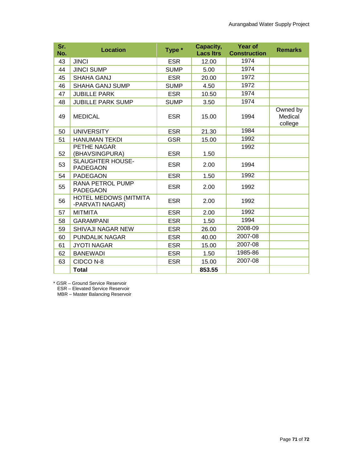| Sr.<br>No. | <b>Location</b>                            | Type *      | Capacity,<br><b>Lacs Itrs</b> | <b>Year of</b><br><b>Construction</b> | <b>Remarks</b>                 |
|------------|--------------------------------------------|-------------|-------------------------------|---------------------------------------|--------------------------------|
| 43         | <b>JINCI</b>                               | <b>ESR</b>  | 12.00                         | 1974                                  |                                |
| 44         | <b>JINCI SUMP</b>                          | <b>SUMP</b> | 5.00                          | 1974                                  |                                |
| 45         | <b>SHAHA GANJ</b>                          | <b>ESR</b>  | 20.00                         | 1972                                  |                                |
| 46         | <b>SHAHA GANJ SUMP</b>                     | <b>SUMP</b> | 4.50                          | 1972                                  |                                |
| 47         | <b>JUBILLE PARK</b>                        | <b>ESR</b>  | 10.50                         | 1974                                  |                                |
| 48         | <b>JUBILLE PARK SUMP</b>                   | <b>SUMP</b> | 3.50                          | 1974                                  |                                |
| 49         | <b>MEDICAL</b>                             | <b>ESR</b>  | 15.00                         | 1994                                  | Owned by<br>Medical<br>college |
| 50         | <b>UNIVERSITY</b>                          | <b>ESR</b>  | 21.30                         | 1984                                  |                                |
| 51         | <b>HANUMAN TEKDI</b>                       | <b>GSR</b>  | 15.00                         | 1992                                  |                                |
| 52         | PETHE NAGAR<br>(BHAVSINGPURA)              | <b>ESR</b>  | 1.50                          | 1992                                  |                                |
| 53         | <b>SLAUGHTER HOUSE-</b><br><b>PADEGAON</b> | <b>ESR</b>  | 2.00                          | 1994                                  |                                |
| 54         | <b>PADEGAON</b>                            | <b>ESR</b>  | 1.50                          | 1992                                  |                                |
| 55         | RANA PETROL PUMP<br><b>PADEGAON</b>        | <b>ESR</b>  | 2.00                          | 1992                                  |                                |
| 56         | HOTEL MEDOWS (MITMITA<br>-PARVATI NAGAR)   | <b>ESR</b>  | 2.00                          | 1992                                  |                                |
| 57         | <b>MITMITA</b>                             | <b>ESR</b>  | 2.00                          | 1992                                  |                                |
| 58         | <b>GARAMPANI</b>                           | <b>ESR</b>  | 1.50                          | 1994                                  |                                |
| 59         | <b>SHIVAJI NAGAR NEW</b>                   | <b>ESR</b>  | 26.00                         | 2008-09                               |                                |
| 60         | PUNDALIK NAGAR                             | <b>ESR</b>  | 40.00                         | 2007-08                               |                                |
| 61         | <b>JYOTI NAGAR</b>                         | <b>ESR</b>  | 15.00                         | 2007-08                               |                                |
| 62         | <b>BANEWADI</b>                            | <b>ESR</b>  | 1.50                          | 1985-86                               |                                |
| 63         | CIDCO N-8                                  | <b>ESR</b>  | 15.00                         | 2007-08                               |                                |
|            | <b>Total</b>                               |             | 853.55                        |                                       |                                |

\* GSR – Ground Service Reservoir

ESR – Elevated Service Reservoir

MBR – Master Balancing Reservoir